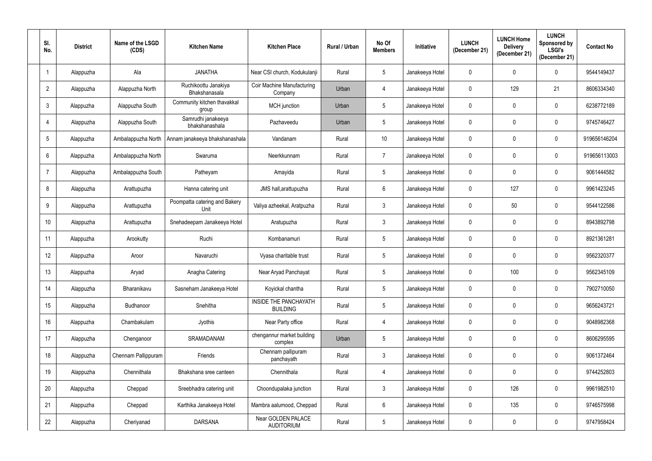| SI.<br>No.      | <b>District</b> | Name of the LSGD<br>(CDS) | <b>Kitchen Name</b>                   | <b>Kitchen Place</b>                         | Rural / Urban | No Of<br><b>Members</b> | Initiative      | <b>LUNCH</b><br>(December 21) | <b>LUNCH Home</b><br><b>Delivery</b><br>(December 21) | <b>LUNCH</b><br>Sponsored by<br><b>LSGI's</b><br>(December 21) | <b>Contact No</b> |
|-----------------|-----------------|---------------------------|---------------------------------------|----------------------------------------------|---------------|-------------------------|-----------------|-------------------------------|-------------------------------------------------------|----------------------------------------------------------------|-------------------|
|                 | Alappuzha       | Ala                       | <b>JANATHA</b>                        | Near CSI church, Kodukulanji                 | Rural         | $\overline{5}$          | Janakeeya Hotel | $\mathbf 0$                   | 0                                                     | $\mathbf 0$                                                    | 9544149437        |
| $\overline{2}$  | Alappuzha       | Alappuzha North           | Ruchikoottu Janakiya<br>Bhakshanasala | <b>Coir Machine Manufacturing</b><br>Company | Urban         | 4                       | Janakeeya Hotel | $\pmb{0}$                     | 129                                                   | 21                                                             | 8606334340        |
| 3               | Alappuzha       | Alappuzha South           | Community kitchen thavakkal<br>group  | MCH junction                                 | Urban         | $\overline{5}$          | Janakeeya Hotel | $\mathbf 0$                   | 0                                                     | $\mathbf 0$                                                    | 6238772189        |
| 4               | Alappuzha       | Alappuzha South           | Samrudhi janakeeya<br>bhakshanashala  | Pazhaveedu                                   | Urban         | $5\phantom{.0}$         | Janakeeya Hotel | $\pmb{0}$                     |                                                       | 0                                                              | 9745746427        |
| 5               | Alappuzha       | Ambalappuzha North        | Annam janakeeya bhakshanashala        | Vandanam                                     | Rural         | 10                      | Janakeeya Hotel | $\mathbf 0$                   | 0                                                     | $\mathbf 0$                                                    | 919656146204      |
| $6\phantom{1}$  | Alappuzha       | Ambalappuzha North        | Swaruma                               | Neerkkunnam                                  | Rural         | $\overline{7}$          | Janakeeya Hotel | $\mathbf 0$                   |                                                       | $\mathbf 0$                                                    | 919656113003      |
| $\overline{7}$  | Alappuzha       | Ambalappuzha South        | Patheyam                              | Amayida                                      | Rural         | $\overline{5}$          | Janakeeya Hotel | $\mathbf 0$                   | 0                                                     | $\mathbf 0$                                                    | 9061444582        |
| 8               | Alappuzha       | Arattupuzha               | Hanna catering unit                   | JMS hall, arattupuzha                        | Rural         | 6                       | Janakeeya Hotel | $\mathbf 0$                   | 127                                                   | 0                                                              | 9961423245        |
| 9               | Alappuzha       | Arattupuzha               | Poompatta catering and Bakery<br>Unit | Valiya azheekal, Aratpuzha                   | Rural         | $\mathfrak{Z}$          | Janakeeya Hotel | $\mathbf 0$                   | 50                                                    | $\mathbf 0$                                                    | 9544122586        |
| 10 <sup>°</sup> | Alappuzha       | Arattupuzha               | Snehadeepam Janakeeya Hotel           | Aratupuzha                                   | Rural         | 3                       | Janakeeya Hotel | $\mathbf 0$                   |                                                       | 0                                                              | 8943892798        |
| 11              | Alappuzha       | Arookutty                 | Ruchi                                 | Kombanamuri                                  | Rural         | $\overline{5}$          | Janakeeya Hotel | $\mathbf 0$                   | 0                                                     | $\mathbf 0$                                                    | 8921361281        |
| 12              | Alappuzha       | Aroor                     | Navaruchi                             | Vyasa charitable trust                       | Rural         | $\overline{5}$          | Janakeeya Hotel | $\mathbf 0$                   | 0                                                     | $\mathbf 0$                                                    | 9562320377        |
| 13              | Alappuzha       | Aryad                     | Anagha Catering                       | Near Aryad Panchayat                         | Rural         | 5                       | Janakeeya Hotel | 0                             | 100                                                   | $\mathbf 0$                                                    | 9562345109        |
| 14              | Alappuzha       | Bharanikavu               | Sasneham Janakeeya Hotel              | Koyickal chantha                             | Rural         | $\sqrt{5}$              | Janakeeya Hotel | $\mathbf 0$                   | 0                                                     | $\mathbf 0$                                                    | 7902710050        |
| 15              | Alappuzha       | Budhanoor                 | Snehitha                              | INSIDE THE PANCHAYATH<br><b>BUILDING</b>     | Rural         | $\sqrt{5}$              | Janakeeya Hotel | $\mathbf 0$                   | 0                                                     | $\mathbf 0$                                                    | 9656243721        |
| 16              | Alappuzha       | Chambakulam               | Jyothis                               | Near Party office                            | Rural         | $\overline{4}$          | Janakeeya Hotel | $\mathbf 0$                   | 0                                                     | $\mathbf 0$                                                    | 9048982368        |
| 17              | Alappuzha       | Chenganoor                | SRAMADANAM                            | chengannur market building<br>complex        | Urban         | $5\,$                   | Janakeeya Hotel | $\mathbf 0$                   | 0                                                     | $\pmb{0}$                                                      | 8606295595        |
| 18              | Alappuzha       | Chennam Pallippuram       | Friends                               | Chennam pallipuram<br>panchayath             | Rural         | $\mathfrak{Z}$          | Janakeeya Hotel | $\mathbf 0$                   | 0                                                     | $\mathbf 0$                                                    | 9061372464        |
| 19              | Alappuzha       | Chennithala               | Bhakshana sree canteen                | Chennithala                                  | Rural         | 4                       | Janakeeya Hotel | $\mathbf 0$                   | 0                                                     | $\mathbf 0$                                                    | 9744252803        |
| 20              | Alappuzha       | Cheppad                   | Sreebhadra catering unit              | Choondupalaka junction                       | Rural         | $\mathbf{3}$            | Janakeeya Hotel | $\mathbf 0$                   | 126                                                   | $\mathbf 0$                                                    | 9961982510        |
| 21              | Alappuzha       | Cheppad                   | Karthika Janakeeya Hotel              | Mambra aalumood, Cheppad                     | Rural         | $\boldsymbol{6}$        | Janakeeya Hotel | $\mathbf 0$                   | 135                                                   | $\pmb{0}$                                                      | 9746575998        |
| 22              | Alappuzha       | Cheriyanad                | <b>DARSANA</b>                        | Near GOLDEN PALACE<br><b>AUDITORIUM</b>      | Rural         | $\sqrt{5}$              | Janakeeya Hotel | $\mathbf 0$                   | 0                                                     | $\mathbf 0$                                                    | 9747958424        |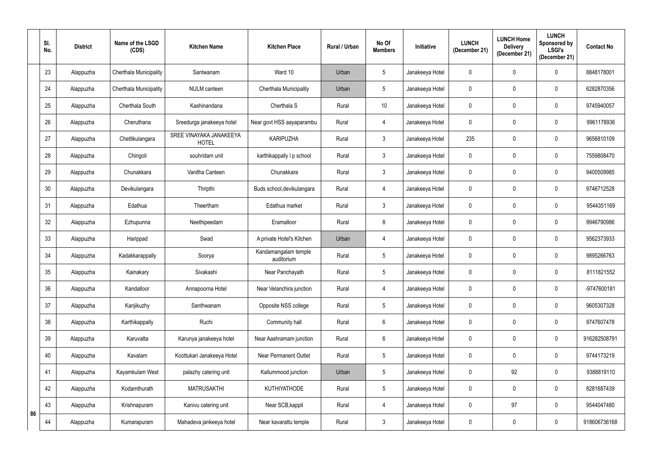|    | SI.<br>No. | <b>District</b> | Name of the LSGD<br>(CDS)     | <b>Kitchen Name</b>                     | <b>Kitchen Place</b>               | Rural / Urban | No Of<br><b>Members</b> | Initiative      | <b>LUNCH</b><br>(December 21) | <b>LUNCH Home</b><br><b>Delivery</b><br>(December 21) | <b>LUNCH</b><br>Sponsored by<br><b>LSGI's</b><br>(December 21) | <b>Contact No</b> |
|----|------------|-----------------|-------------------------------|-----------------------------------------|------------------------------------|---------------|-------------------------|-----------------|-------------------------------|-------------------------------------------------------|----------------------------------------------------------------|-------------------|
|    | 23         | Alappuzha       | Cherthala Municipality        | Santwanam                               | Ward 10                            | Urban         | $\sqrt{5}$              | Janakeeya Hotel | 0                             | 0                                                     | 0                                                              | 8848178001        |
|    | 24         | Alappuzha       | <b>Cherthala Municipality</b> | <b>NULM</b> canteen                     | Cherthala Municipality             | Urban         | $\sqrt{5}$              | Janakeeya Hotel | 0                             | 0                                                     | 0                                                              | 6282870356        |
|    | 25         | Alappuzha       | Cherthala South               | Kashinandana                            | Cherthala S                        | Rural         | 10 <sup>°</sup>         | Janakeeya Hotel | 0                             | 0                                                     | 0                                                              | 9745940057        |
|    | 26         | Alappuzha       | Cheruthana                    | Sreedurga janakeeya hotel               | Near govt HSS aayaparambu          | Rural         | $\overline{4}$          | Janakeeya Hotel | 0                             | 0                                                     | 0                                                              | 9961178936        |
|    | 27         | Alappuzha       | Chettikulangara               | SREE VINAYAKA JANAKEEYA<br><b>HOTEL</b> | <b>KARIPUZHA</b>                   | Rural         | $\mathfrak{Z}$          | Janakeeya Hotel | 235                           | 0                                                     | $\mathbf 0$                                                    | 9656810109        |
|    | 28         | Alappuzha       | Chingoli                      | souhridam unit                          | karthikappally I p school          | Rural         | $\mathfrak{Z}$          | Janakeeya Hotel | 0                             | 0                                                     | $\mathbf 0$                                                    | 7559808470        |
|    | 29         | Alappuzha       | Chunakkara                    | Vanitha Canteen                         | Chunakkara                         | Rural         | $\mathbf{3}$            | Janakeeya Hotel | $\mathbf 0$                   | 0                                                     | $\mathbf 0$                                                    | 9400509985        |
|    | 30         | Alappuzha       | Devikulangara                 | Thripthi                                | Buds school, devikulangara         | Rural         | $\overline{4}$          | Janakeeya Hotel | 0                             | 0                                                     | $\mathbf 0$                                                    | 9746712528        |
|    | 31         | Alappuzha       | Edathua                       | Theertham                               | Edathua market                     | Rural         | $\mathbf{3}$            | Janakeeya Hotel | $\mathbf 0$                   | 0                                                     | $\mathbf 0$                                                    | 9544351169        |
|    | 32         | Alappuzha       | Ezhupunna                     | Neethipeedam                            | Eramalloor                         | Rural         | 8                       | Janakeeya Hotel | 0                             | 0                                                     | $\mathbf 0$                                                    | 9946790986        |
|    | 33         | Alappuzha       | Harippad                      | Swad                                    | A private Hotel's Kitchen          | Urban         | $\overline{4}$          | Janakeeya Hotel | $\mathbf 0$                   | 0                                                     | $\mathbf 0$                                                    | 9562373933        |
|    | 34         | Alappuzha       | Kadakkarappally               | Soorya                                  | Kandamangalam temple<br>auditorium | Rural         | $\sqrt{5}$              | Janakeeya Hotel | 0                             | 0                                                     | $\mathbf 0$                                                    | 9895266763        |
|    | 35         | Alappuzha       | Kainakary                     | Sivakashi                               | Near Panchayath                    | Rural         | 5                       | Janakeeya Hotel | 0                             |                                                       | $\mathbf 0$                                                    | 8111821552        |
|    | 36         | Alappuzha       | Kandalloor                    | Annapoorna Hotel                        | Near Velanchira junction           | Rural         | $\overline{4}$          | Janakeeya Hotel | $\mathbf 0$                   | 0                                                     | $\mathbf 0$                                                    | -9747600181       |
|    | 37         | Alappuzha       | Kanjikuzhy                    | Santhwanam                              | Opposite NSS college               | Rural         | $\sqrt{5}$              | Janakeeya Hotel | $\mathbf 0$                   | 0                                                     | $\mathbf 0$                                                    | 9605307328        |
|    | 38         | Alappuzha       | Karthikappally                | Ruchi                                   | Community hall                     | Rural         | $\,6\,$                 | Janakeeya Hotel | $\mathbf 0$                   | 0                                                     | $\mathbf 0$                                                    | 9747607478        |
|    | 39         | Alappuzha       | Karuvatta                     | Karunya janakeeya hotel                 | Near Aashramam junction            | Rural         | $\,6\,$                 | Janakeeya Hotel | $\mathbf 0$                   | 0                                                     | $\mathbf 0$                                                    | 916282508791      |
|    | 40         | Alappuzha       | Kavalam                       | Koottukari Janakeeya Hotel              | <b>Near Permanent Outlet</b>       | Rural         | $\sqrt{5}$              | Janakeeya Hotel | $\mathbf 0$                   | 0                                                     | $\mathbf 0$                                                    | 9744173219        |
|    | 41         | Alappuzha       | Kayamkulam West               | palazhy catering unit                   | Kallummood junction                | Urban         | $5\phantom{.0}$         | Janakeeya Hotel | $\mathbf 0$                   | 92                                                    | $\mathbf 0$                                                    | 9388819110        |
|    | 42         | Alappuzha       | Kodamthurath                  | <b>MATRUSAKTHI</b>                      | KUTHIYATHODE                       | Rural         | $5\phantom{.0}$         | Janakeeya Hotel | $\mathbf 0$                   | 0                                                     | $\mathbf 0$                                                    | 8281687439        |
|    | 43         | Alappuzha       | Krishnapuram                  | Kanivu catering unit                    | Near SCB, kappil                   | Rural         | $\overline{4}$          | Janakeeya Hotel | $\mathbf 0$                   | 97                                                    | $\pmb{0}$                                                      | 9544047480        |
| 86 | 44         | Alappuzha       | Kumarapuram                   | Mahadeva jankeeya hotel                 | Near kavarattu temple              | Rural         | $\mathfrak{Z}$          | Janakeeya Hotel | $\mathbf 0$                   | 0                                                     | $\mathbf 0$                                                    | 918606736168      |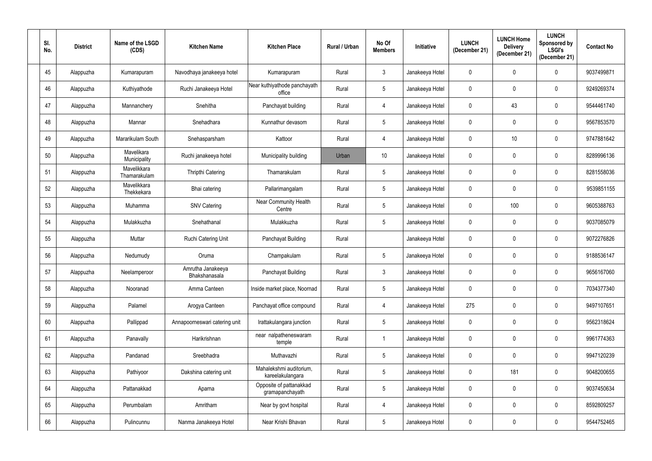| SI.<br>No. | <b>District</b> | Name of the LSGD<br>(CDS)   | <b>Kitchen Name</b>                | <b>Kitchen Place</b>                        | <b>Rural / Urban</b> | No Of<br><b>Members</b> | Initiative      | <b>LUNCH</b><br>(December 21) | <b>LUNCH Home</b><br><b>Delivery</b><br>(December 21) | <b>LUNCH</b><br>Sponsored by<br><b>LSGI's</b><br>(December 21) | <b>Contact No</b> |
|------------|-----------------|-----------------------------|------------------------------------|---------------------------------------------|----------------------|-------------------------|-----------------|-------------------------------|-------------------------------------------------------|----------------------------------------------------------------|-------------------|
| 45         | Alappuzha       | Kumarapuram                 | Navodhaya janakeeya hotel          | Kumarapuram                                 | Rural                | $\mathfrak{Z}$          | Janakeeya Hotel | $\pmb{0}$                     | 0                                                     | $\mathbf 0$                                                    | 9037499871        |
| 46         | Alappuzha       | Kuthiyathode                | Ruchi Janakeeya Hotel              | Near kuthiyathode panchayath<br>office      | Rural                | $5\phantom{.0}$         | Janakeeya Hotel | $\mathbf 0$                   | 0                                                     | 0                                                              | 9249269374        |
| 47         | Alappuzha       | Mannanchery                 | Snehitha                           | Panchayat building                          | Rural                | 4                       | Janakeeya Hotel | $\pmb{0}$                     | 43                                                    | 0                                                              | 9544461740        |
| 48         | Alappuzha       | Mannar                      | Snehadhara                         | Kunnathur devasom                           | Rural                | $5\phantom{.0}$         | Janakeeya Hotel | $\mathbf 0$                   | 0                                                     | 0                                                              | 9567853570        |
| 49         | Alappuzha       | Mararikulam South           | Snehasparsham                      | Kattoor                                     | Rural                | 4                       | Janakeeya Hotel | $\mathbf 0$                   | 10                                                    | $\mathbf 0$                                                    | 9747881642        |
| 50         | Alappuzha       | Mavelikara<br>Municipality  | Ruchi janakeeya hotel              | Municipality building                       | Urban                | 10 <sup>°</sup>         | Janakeeya Hotel | $\mathbf 0$                   | 0                                                     | $\mathbf 0$                                                    | 8289996136        |
| 51         | Alappuzha       | Mavelikkara<br>Thamarakulam | Thripthi Catering                  | Thamarakulam                                | Rural                | $\overline{5}$          | Janakeeya Hotel | $\mathbf 0$                   | 0                                                     | $\mathbf 0$                                                    | 8281558036        |
| 52         | Alappuzha       | Mavelikkara<br>Thekkekara   | Bhai catering                      | Pallarimangalam                             | Rural                | $5\phantom{.0}$         | Janakeeya Hotel | $\mathbf 0$                   | 0                                                     | $\mathbf 0$                                                    | 9539851155        |
| 53         | Alappuzha       | Muhamma                     | <b>SNV Catering</b>                | Near Community Health<br>Centre             | Rural                | $\overline{5}$          | Janakeeya Hotel | $\mathbf 0$                   | 100                                                   | $\mathbf 0$                                                    | 9605388763        |
| 54         | Alappuzha       | Mulakkuzha                  | Snehathanal                        | Mulakkuzha                                  | Rural                | $5\phantom{.0}$         | Janakeeya Hotel | $\mathbf 0$                   | 0                                                     | $\mathbf 0$                                                    | 9037085079        |
| 55         | Alappuzha       | Muttar                      | <b>Ruchi Catering Unit</b>         | Panchayat Building                          | Rural                |                         | Janakeeya Hotel | $\mathbf 0$                   | 0                                                     | $\mathbf 0$                                                    | 9072276826        |
| 56         | Alappuzha       | Nedumudy                    | Oruma                              | Champakulam                                 | Rural                | $\overline{5}$          | Janakeeya Hotel | $\mathbf 0$                   | 0                                                     | $\mathbf 0$                                                    | 9188536147        |
| 57         | Alappuzha       | Neelamperoor                | Amrutha Janakeeya<br>Bhakshanasala | Panchayat Building                          | Rural                | 3                       | Janakeeya Hotel | 0                             |                                                       | $\mathbf 0$                                                    | 9656167060        |
| 58         | Alappuzha       | Nooranad                    | Amma Canteen                       | Inside market place, Noornad                | Rural                | $5\,$                   | Janakeeya Hotel | $\mathbf 0$                   | 0                                                     | $\mathbf 0$                                                    | 7034377340        |
| 59         | Alappuzha       | Palamel                     | Arogya Canteen                     | Panchayat office compound                   | Rural                | 4                       | Janakeeya Hotel | 275                           | 0                                                     | $\mathbf 0$                                                    | 9497107651        |
| 60         | Alappuzha       | Pallippad                   | Annapoorneswari catering unit      | Irattakulangara junction                    | Rural                | $\sqrt{5}$              | Janakeeya Hotel | $\mathbf 0$                   | 0                                                     | $\mathbf 0$                                                    | 9562318624        |
| 61         | Alappuzha       | Panavally                   | Harikrishnan                       | near nalpatheneswaram<br>temple             | Rural                | $\overline{\mathbf{1}}$ | Janakeeya Hotel | $\mathbf 0$                   | 0                                                     | 0                                                              | 9961774363        |
| 62         | Alappuzha       | Pandanad                    | Sreebhadra                         | Muthavazhi                                  | Rural                | $\sqrt{5}$              | Janakeeya Hotel | $\mathbf 0$                   | 0                                                     | $\mathbf 0$                                                    | 9947120239        |
| 63         | Alappuzha       | Pathiyoor                   | Dakshina catering unit             | Mahalekshmi auditorium,<br>kareelakulangara | Rural                | $5\phantom{.0}$         | Janakeeya Hotel | $\mathbf 0$                   | 181                                                   | $\mathbf 0$                                                    | 9048200655        |
| 64         | Alappuzha       | Pattanakkad                 | Aparna                             | Opposite of pattanakkad<br>gramapanchayath  | Rural                | $\overline{5}$          | Janakeeya Hotel | $\mathbf 0$                   | 0                                                     | $\mathbf 0$                                                    | 9037450634        |
| 65         | Alappuzha       | Perumbalam                  | Amritham                           | Near by govt hospital                       | Rural                | 4                       | Janakeeya Hotel | $\mathbf 0$                   | 0                                                     | $\mathbf 0$                                                    | 8592809257        |
| 66         | Alappuzha       | Pulincunnu                  | Nanma Janakeeya Hotel              | Near Krishi Bhavan                          | Rural                | $5\,$                   | Janakeeya Hotel | $\boldsymbol{0}$              | 0                                                     | $\mathbf 0$                                                    | 9544752465        |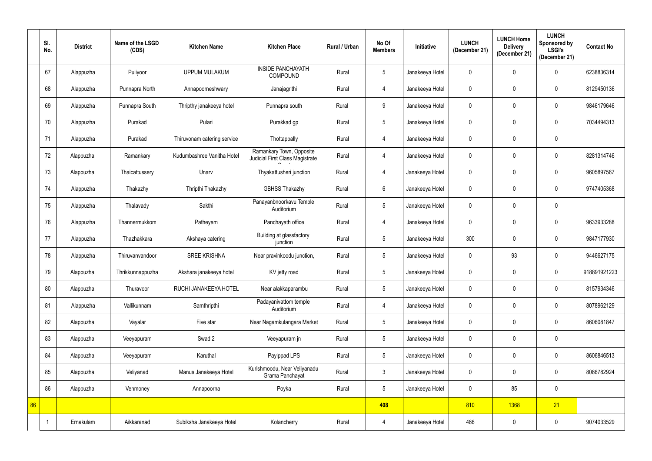|    | SI.<br>No. | <b>District</b> | Name of the LSGD<br>(CDS) | <b>Kitchen Name</b>         | <b>Kitchen Place</b>                                        | Rural / Urban | No Of<br><b>Members</b> | Initiative      | <b>LUNCH</b><br>(December 21) | <b>LUNCH Home</b><br><b>Delivery</b><br>(December 21) | <b>LUNCH</b><br><b>Sponsored by</b><br><b>LSGI's</b><br>(December 21) | <b>Contact No</b> |
|----|------------|-----------------|---------------------------|-----------------------------|-------------------------------------------------------------|---------------|-------------------------|-----------------|-------------------------------|-------------------------------------------------------|-----------------------------------------------------------------------|-------------------|
|    | 67         | Alappuzha       | Puliyoor                  | <b>UPPUM MULAKUM</b>        | <b>INSIDE PANCHAYATH</b><br><b>COMPOUND</b>                 | Rural         | $\sqrt{5}$              | Janakeeya Hotel | 0                             | 0                                                     | $\mathbf 0$                                                           | 6238836314        |
|    | 68         | Alappuzha       | Punnapra North            | Annapoorneshwary            | Janajagrithi                                                | Rural         | 4                       | Janakeeya Hotel | $\mathbf 0$                   | 0                                                     | $\mathbf 0$                                                           | 8129450136        |
|    | 69         | Alappuzha       | Punnapra South            | Thripthy janakeeya hotel    | Punnapra south                                              | Rural         | 9                       | Janakeeya Hotel | $\mathbf 0$                   | 0                                                     | $\pmb{0}$                                                             | 9846179646        |
|    | 70         | Alappuzha       | Purakad                   | Pulari                      | Purakkad gp                                                 | Rural         | $5\phantom{.0}$         | Janakeeya Hotel | $\mathbf 0$                   | 0                                                     | $\mathbf 0$                                                           | 7034494313        |
|    | 71         | Alappuzha       | Purakad                   | Thiruvonam catering service | Thottappally                                                | Rural         | $\overline{4}$          | Janakeeya Hotel | $\mathbf 0$                   | 0                                                     | $\mathbf 0$                                                           |                   |
|    | 72         | Alappuzha       | Ramankary                 | Kudumbashree Vanitha Hotel  | Ramankary Town, Opposite<br>Judicial First Class Magistrate | Rural         | 4                       | Janakeeya Hotel | $\mathbf 0$                   | 0                                                     | $\mathbf 0$                                                           | 8281314746        |
|    | 73         | Alappuzha       | Thaicattussery            | Unarv                       | Thyakattusheri junction                                     | Rural         | $\overline{4}$          | Janakeeya Hotel | $\pmb{0}$                     | 0                                                     | $\mathbf 0$                                                           | 9605897567        |
|    | 74         | Alappuzha       | Thakazhy                  | Thripthi Thakazhy           | <b>GBHSS Thakazhy</b>                                       | Rural         | $6\,$                   | Janakeeya Hotel | 0                             | 0                                                     | $\mathbf 0$                                                           | 9747405368        |
|    | 75         | Alappuzha       | Thalavady                 | Sakthi                      | Panayanbnoorkavu Temple<br>Auditorium                       | Rural         | $5\phantom{.0}$         | Janakeeya Hotel | $\pmb{0}$                     | 0                                                     | $\pmb{0}$                                                             |                   |
|    | 76         | Alappuzha       | Thannermukkom             | Patheyam                    | Panchayath office                                           | Rural         | $\overline{4}$          | Janakeeya Hotel | $\mathbf 0$                   | $\mathbf 0$                                           | $\mathbf 0$                                                           | 9633933288        |
|    | 77         | Alappuzha       | Thazhakkara               | Akshaya catering            | Building at glassfactory<br>junction                        | Rural         | $5\phantom{.0}$         | Janakeeya Hotel | 300                           | 0                                                     | $\mathbf 0$                                                           | 9847177930        |
|    | 78         | Alappuzha       | Thiruvanvandoor           | <b>SREE KRISHNA</b>         | Near pravinkoodu junction,                                  | Rural         | $5\phantom{.0}$         | Janakeeya Hotel | 0                             | 93                                                    | $\mathbf 0$                                                           | 9446627175        |
|    | 79         | Alappuzha       | Thrikkunnappuzha          | Akshara janakeeya hotel     | KV jetty road                                               | Rural         | 5                       | Janakeeya Hotel | 0                             | 0                                                     | 0                                                                     | 918891921223      |
|    | 80         | Alappuzha       | Thuravoor                 | RUCHI JANAKEEYA HOTEL       | Near alakkaparambu                                          | Rural         | $5\phantom{.0}$         | Janakeeya Hotel | $\pmb{0}$                     | 0                                                     | $\mathbf 0$                                                           | 8157934346        |
|    | 81         | Alappuzha       | Vallikunnam               | Samthripthi                 | Padayanivattom temple<br>Auditorium                         | Rural         | $\overline{4}$          | Janakeeya Hotel | $\pmb{0}$                     | 0                                                     | $\mathbf 0$                                                           | 8078962129        |
|    | 82         | Alappuzha       | Vayalar                   | Five star                   | Near Nagamkulangara Market                                  | Rural         | $\sqrt{5}$              | Janakeeya Hotel | $\pmb{0}$                     | 0                                                     | $\mathbf 0$                                                           | 8606081847        |
|    | 83         | Alappuzha       | Veeyapuram                | Swad 2                      | Veeyapuram jn                                               | Rural         | $5\phantom{.0}$         | Janakeeya Hotel | $\pmb{0}$                     | 0                                                     | $\pmb{0}$                                                             |                   |
|    | 84         | Alappuzha       | Veeyapuram                | Karuthal                    | Payippad LPS                                                | Rural         | $5\phantom{.0}$         | Janakeeya Hotel | 0                             | 0                                                     | $\mathbf 0$                                                           | 8606846513        |
|    | 85         | Alappuzha       | Veliyanad                 | Manus Janakeeya Hotel       | Kurishmoodu, Near Veliyanadu<br>Grama Panchayat             | Rural         | $\mathbf{3}$            | Janakeeya Hotel | $\pmb{0}$                     | 0                                                     | $\mathbf 0$                                                           | 8086782924        |
|    | 86         | Alappuzha       | Venmoney                  | Annapoorna                  | Poyka                                                       | Rural         | $5\overline{)}$         | Janakeeya Hotel | 0                             | 85                                                    | $\mathbf 0$                                                           |                   |
| 86 |            |                 |                           |                             |                                                             |               | 408                     |                 | 810                           | 1368                                                  | 21                                                                    |                   |
|    |            | Ernakulam       | Aikkaranad                | Subiksha Janakeeya Hotel    | Kolancherry                                                 | Rural         | $\overline{4}$          | Janakeeya Hotel | 486                           | 0                                                     | $\mathbf 0$                                                           | 9074033529        |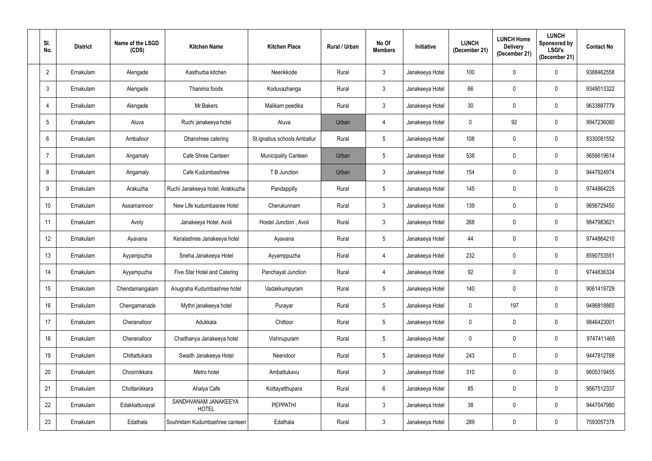| SI.<br>No.      | <b>District</b> | Name of the LSGD<br>(CDS) | <b>Kitchen Name</b>                  | <b>Kitchen Place</b>         | Rural / Urban | No Of<br><b>Members</b> | Initiative      | <b>LUNCH</b><br>(December 21) | <b>LUNCH Home</b><br><b>Delivery</b><br>(December 21) | <b>LUNCH</b><br>Sponsored by<br><b>LSGI's</b><br>(December 21) | <b>Contact No</b> |
|-----------------|-----------------|---------------------------|--------------------------------------|------------------------------|---------------|-------------------------|-----------------|-------------------------------|-------------------------------------------------------|----------------------------------------------------------------|-------------------|
| $\overline{2}$  | Ernakulam       | Alengade                  | Kasthurba kitchen                    | Neerikkode                   | Rural         | $\mathfrak{Z}$          | Janakeeya Hotel | 100                           | $\mathbf 0$                                           | $\mathbf 0$                                                    | 9388462558        |
| $\mathbf{3}$    | Ernakulam       | Alengade                  | Thanima foods                        | Koduvazhanga                 | Rural         | $\mathfrak{Z}$          | Janakeeya Hotel | 66                            | 0                                                     | 0                                                              | 9349013322        |
| 4               | Ernakulam       | Alengade                  | Mr.Bakers                            | Malikam peedika              | Rural         | $\mathfrak{Z}$          | Janakeeya Hotel | 30                            | 0                                                     | 0                                                              | 9633887779        |
| 5               | Ernakulam       | Aluva                     | Ruchi janakeeya hotel                | Aluva                        | Urban         | 4                       | Janakeeya Hotel | $\mathbf 0$                   | 92                                                    | 0                                                              | 9947236080        |
| 6               | Ernakulam       | Amballoor                 | Dhanshree catering                   | St.ignatius schools Amballur | Rural         | $5\phantom{.0}$         | Janakeeya Hotel | 108                           | 0                                                     | $\mathbf 0$                                                    | 8330081552        |
| $\overline{7}$  | Ernakulam       | Angamaly                  | Cafe Shree Canteen                   | <b>Municipality Canteen</b>  | Urban         | $\overline{5}$          | Janakeeya Hotel | 538                           | 0                                                     | $\mathbf 0$                                                    | 9656619614        |
| 8               | Ernakulam       | Angamaly                  | Cafe Kudumbashree                    | T B Junction                 | Urban         | $\mathfrak{Z}$          | Janakeeya Hotel | 154                           | 0                                                     | $\mathbf 0$                                                    | 9447924974        |
| 9               | Ernakulam       | Arakuzha                  | Ruchi Janakeeya hotel, Arakkuzha     | Pandappilly                  | Rural         | $\overline{5}$          | Janakeeya Hotel | 145                           | 0                                                     | $\mathbf 0$                                                    | 9744864225        |
| 10 <sup>°</sup> | Ernakulam       | Assamannoor               | New Life kudumbasree Hotel           | Cherukunnam                  | Rural         | $\mathfrak{Z}$          | Janakeeya Hotel | 139                           | 0                                                     | $\mathbf 0$                                                    | 9656729450        |
| 11              | Ernakulam       | Avoly                     | Janakeeya Hotel, Avoli               | Hostel Junction, Avoli       | Rural         | $\mathfrak{Z}$          | Janakeeya Hotel | 268                           | 0                                                     | 0                                                              | 9847983621        |
| 12              | Ernakulam       | Ayavana                   | Keralashree Janakeeya hotel          | Ayavana                      | Rural         | $\overline{5}$          | Janakeeya Hotel | 44                            | 0                                                     | $\mathbf 0$                                                    | 9744864210        |
| 13              | Ernakulam       | Ayyampuzha                | Sneha Janakeeya Hotel                | Ayyamppuzha                  | Rural         | 4                       | Janakeeya Hotel | 232                           | 0                                                     | $\mathbf 0$                                                    | 8590753551        |
| 14              | Ernakulam       | Ayyampuzha                | Five Star Hotel and Catering         | Panchayat Junction           | Rural         |                         | Janakeeya Hotel | 92                            |                                                       | $\mathbf 0$                                                    | 9744836324        |
| 15              | Ernakulam       | Chendamangalam            | Anugraha Kudumbashree hotel          | Vadakkumpuram                | Rural         | $\sqrt{5}$              | Janakeeya Hotel | 140                           | 0                                                     | $\mathbf 0$                                                    | 9061419729        |
| 16              | Ernakulam       | Chengamanade              | Mythri janakeeya hotel               | Purayar                      | Rural         | $5\,$                   | Janakeeya Hotel | $\mathbf 0$                   | 197                                                   | $\mathbf 0$                                                    | 9496818865        |
| 17              | Ernakulam       | Cheranalloor              | Adukkala                             | Chittoor                     | Rural         | $5\,$                   | Janakeeya Hotel | $\mathbf 0$                   | 0                                                     | $\mathbf 0$                                                    | 9846423001        |
| 18              | Ernakulam       | Cheranalloor              | Chaithanya Janakeeya hotel           | Vishnupuram                  | Rural         | $\sqrt{5}$              | Janakeeya Hotel | $\mathbf 0$                   | 0                                                     | $\mathbf 0$                                                    | 9747411465        |
| 19              | Ernakulam       | Chittattukara             | Swadh Janakeeya Hotel                | Neendoor                     | Rural         | $5\,$                   | Janakeeya Hotel | 243                           | 0                                                     | $\mathbf 0$                                                    | 9447812788        |
| 20              | Ernakulam       | Choornikkara              | Metro hotel                          | Ambattukavu                  | Rural         | $\mathfrak{Z}$          | Janakeeya Hotel | 310                           | 0                                                     | $\mathbf 0$                                                    | 9605319455        |
| 21              | Ernakulam       | Chottanikkara             | Ahalya Cafe                          | Kottayatthupara              | Rural         | $6\phantom{.}6$         | Janakeeya Hotel | 85                            | 0                                                     | $\mathbf 0$                                                    | 9567512337        |
| 22              | Ernakulam       | Edakkattuvayal            | SANDHVANAM JANAKEEYA<br><b>HOTEL</b> | <b>PEPPATHI</b>              | Rural         | $\mathfrak{Z}$          | Janakeeya Hotel | 38                            | 0                                                     | $\mathbf 0$                                                    | 9447047980        |
| 23              | Ernakulam       | Edathala                  | Souhridam Kudumbashree canteen       | Edathala                     | Rural         | $\mathfrak{Z}$          | Janakeeya Hotel | 289                           | 0                                                     | $\overline{0}$                                                 | 7593057378        |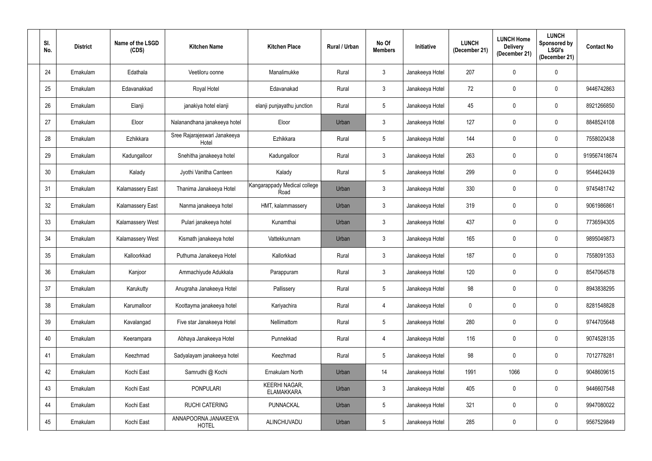| SI.<br>No. | <b>District</b> | Name of the LSGD<br>(CDS) | <b>Kitchen Name</b>                   | <b>Kitchen Place</b>                      | <b>Rural / Urban</b> | No Of<br><b>Members</b> | Initiative      | <b>LUNCH</b><br>(December 21) | <b>LUNCH Home</b><br><b>Delivery</b><br>(December 21) | <b>LUNCH</b><br>Sponsored by<br><b>LSGI's</b><br>(December 21) | <b>Contact No</b> |
|------------|-----------------|---------------------------|---------------------------------------|-------------------------------------------|----------------------|-------------------------|-----------------|-------------------------------|-------------------------------------------------------|----------------------------------------------------------------|-------------------|
| 24         | Ernakulam       | Edathala                  | Veetiloru oonne                       | Manalimukke                               | Rural                | $\mathfrak{Z}$          | Janakeeya Hotel | 207                           | 0                                                     | 0                                                              |                   |
| 25         | Ernakulam       | Edavanakkad               | Royal Hotel                           | Edavanakad                                | Rural                | $\mathfrak{Z}$          | Janakeeya Hotel | 72                            | 0                                                     | $\mathbf 0$                                                    | 9446742863        |
| 26         | Ernakulam       | Elanji                    | janakiya hotel elanji                 | elanji punjayathu junction                | Rural                | $\sqrt{5}$              | Janakeeya Hotel | 45                            | 0                                                     | 0                                                              | 8921266850        |
| 27         | Ernakulam       | Eloor                     | Nalanandhana janakeeya hotel          | Eloor                                     | Urban                | $\mathbf{3}$            | Janakeeya Hotel | 127                           | 0                                                     | 0                                                              | 8848524108        |
| 28         | Ernakulam       | Ezhikkara                 | Sree Rajarajeswari Janakeeya<br>Hotel | Ezhikkara                                 | Rural                | $\sqrt{5}$              | Janakeeya Hotel | 144                           | 0                                                     | $\mathbf 0$                                                    | 7558020438        |
| 29         | Ernakulam       | Kadungalloor              | Snehitha janakeeya hotel              | Kadungalloor                              | Rural                | $\mathfrak{Z}$          | Janakeeya Hotel | 263                           | 0                                                     | $\mathbf 0$                                                    | 919567418674      |
| 30         | Ernakulam       | Kalady                    | Jyothi Vanitha Canteen                | Kalady                                    | Rural                | $\sqrt{5}$              | Janakeeya Hotel | 299                           | 0                                                     | $\mathbf 0$                                                    | 9544624439        |
| 31         | Ernakulam       | Kalamassery East          | Thanima Janakeeya Hotel               | Kangarappady Medical college<br>Road      | Urban                | $\mathfrak{Z}$          | Janakeeya Hotel | 330                           | 0                                                     | $\mathbf 0$                                                    | 9745481742        |
| 32         | Ernakulam       | <b>Kalamassery East</b>   | Nanma janakeeya hotel                 | HMT, kalammassery                         | Urban                | $\mathfrak{Z}$          | Janakeeya Hotel | 319                           | 0                                                     | $\mathbf 0$                                                    | 9061986861        |
| 33         | Ernakulam       | Kalamassery West          | Pulari janakeeya hotel                | Kunamthai                                 | Urban                | $\mathfrak{Z}$          | Janakeeya Hotel | 437                           | 0                                                     | $\mathbf 0$                                                    | 7736594305        |
| 34         | Ernakulam       | <b>Kalamassery West</b>   | Kismath janakeeya hotel               | Vattekkunnam                              | Urban                | $\mathbf{3}$            | Janakeeya Hotel | 165                           | 0                                                     | $\mathbf 0$                                                    | 9895049873        |
| 35         | Ernakulam       | Kalloorkkad               | Puthuma Janakeeya Hotel               | Kallorkkad                                | Rural                | $\mathbf{3}$            | Janakeeya Hotel | 187                           | 0                                                     | $\mathbf 0$                                                    | 7558091353        |
| 36         | Ernakulam       | Kanjoor                   | Ammachiyude Adukkala                  | Parappuram                                | Rural                | 3                       | Janakeeya Hotel | 120                           |                                                       | $\mathbf 0$                                                    | 8547064578        |
| 37         | Ernakulam       | Karukutty                 | Anugraha Janakeeya Hotel              | Pallissery                                | Rural                | $5\,$                   | Janakeeya Hotel | 98                            | 0                                                     | $\mathbf 0$                                                    | 8943838295        |
| 38         | Ernakulam       | Karumalloor               | Koottayma janakeeya hotel             | Kariyachira                               | Rural                | $\overline{4}$          | Janakeeya Hotel | $\mathbf 0$                   | 0                                                     | $\mathbf 0$                                                    | 8281548828        |
| 39         | Ernakulam       | Kavalangad                | Five star Janakeeya Hotel             | Nellimattom                               | Rural                | $\sqrt{5}$              | Janakeeya Hotel | 280                           | 0                                                     | $\mathbf 0$                                                    | 9744705648        |
| 40         | Ernakulam       | Keerampara                | Abhaya Janakeeya Hotel                | Punnekkad                                 | Rural                | $\overline{4}$          | Janakeeya Hotel | 116                           | $\mathbf 0$                                           | $\mathbf 0$                                                    | 9074528135        |
| 41         | Ernakulam       | Keezhmad                  | Sadyalayam janakeeya hotel            | Keezhmad                                  | Rural                | $\sqrt{5}$              | Janakeeya Hotel | 98                            | 0                                                     | $\mathbf 0$                                                    | 7012778281        |
| 42         | Ernakulam       | Kochi East                | Samrudhi @ Kochi                      | Ernakulam North                           | Urban                | 14                      | Janakeeya Hotel | 1991                          | 1066                                                  | $\mathbf 0$                                                    | 9048609615        |
| 43         | Ernakulam       | Kochi East                | <b>PONPULARI</b>                      | <b>KEERHI NAGAR,</b><br><b>ELAMAKKARA</b> | Urban                | $\mathbf{3}$            | Janakeeya Hotel | 405                           | 0                                                     | $\mathbf 0$                                                    | 9446607548        |
| 44         | Ernakulam       | Kochi East                | RUCHI CATERING                        | PUNNACKAL                                 | Urban                | $5\phantom{.0}$         | Janakeeya Hotel | 321                           | $\mathbf 0$                                           | $\mathbf 0$                                                    | 9947080022        |
| 45         | Ernakulam       | Kochi East                | ANNAPOORNA JANAKEEYA<br><b>HOTEL</b>  | ALINCHUVADU                               | Urban                | $5\,$                   | Janakeeya Hotel | 285                           | 0                                                     | $\overline{0}$                                                 | 9567529849        |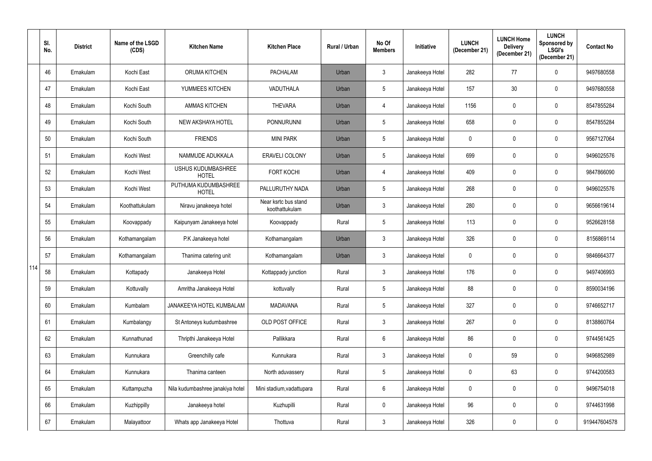|     | SI.<br>No. | <b>District</b> | Name of the LSGD<br>(CDS) | <b>Kitchen Name</b>                       | <b>Kitchen Place</b>                   | Rural / Urban | No Of<br><b>Members</b> | Initiative      | <b>LUNCH</b><br>(December 21) | <b>LUNCH Home</b><br><b>Delivery</b><br>(December 21) | <b>LUNCH</b><br>Sponsored by<br><b>LSGI's</b><br>(December 21) | <b>Contact No</b> |
|-----|------------|-----------------|---------------------------|-------------------------------------------|----------------------------------------|---------------|-------------------------|-----------------|-------------------------------|-------------------------------------------------------|----------------------------------------------------------------|-------------------|
|     | 46         | Ernakulam       | Kochi East                | ORUMA KITCHEN                             | <b>PACHALAM</b>                        | Urban         | $\mathbf{3}$            | Janakeeya Hotel | 282                           | 77                                                    | $\mathbf 0$                                                    | 9497680558        |
|     | 47         | Ernakulam       | Kochi East                | YUMMEES KITCHEN                           | <b>VADUTHALA</b>                       | Urban         | $\overline{5}$          | Janakeeya Hotel | 157                           | 30                                                    | $\mathbf 0$                                                    | 9497680558        |
|     | 48         | Ernakulam       | Kochi South               | <b>AMMAS KITCHEN</b>                      | <b>THEVARA</b>                         | Urban         | 4                       | Janakeeya Hotel | 1156                          | 0                                                     | $\mathbf 0$                                                    | 8547855284        |
|     | 49         | Ernakulam       | Kochi South               | <b>NEW AKSHAYA HOTEL</b>                  | <b>PONNURUNNI</b>                      | Urban         | $5\phantom{.0}$         | Janakeeya Hotel | 658                           | 0                                                     | $\mathbf 0$                                                    | 8547855284        |
|     | 50         | Ernakulam       | Kochi South               | <b>FRIENDS</b>                            | <b>MINI PARK</b>                       | Urban         | $5\phantom{.0}$         | Janakeeya Hotel | $\mathbf 0$                   | 0                                                     | $\mathbf 0$                                                    | 9567127064        |
|     | 51         | Ernakulam       | Kochi West                | NAMMUDE ADUKKALA                          | <b>ERAVELI COLONY</b>                  | Urban         | $5\phantom{.0}$         | Janakeeya Hotel | 699                           | 0                                                     | $\mathbf 0$                                                    | 9496025576        |
|     | 52         | Ernakulam       | Kochi West                | <b>USHUS KUDUMBASHREE</b><br><b>HOTEL</b> | <b>FORT KOCHI</b>                      | Urban         | 4                       | Janakeeya Hotel | 409                           | $\mathbf 0$                                           | $\mathbf 0$                                                    | 9847866090        |
|     | 53         | Ernakulam       | Kochi West                | PUTHUMA KUDUMBASHREE<br><b>HOTEL</b>      | PALLURUTHY NADA                        | Urban         | $\overline{5}$          | Janakeeya Hotel | 268                           | 0                                                     | $\mathbf 0$                                                    | 9496025576        |
|     | 54         | Ernakulam       | Koothattukulam            | Niravu janakeeya hotel                    | Near ksrtc bus stand<br>koothattukulam | Urban         | $\mathfrak{Z}$          | Janakeeya Hotel | 280                           | 0                                                     | $\mathbf 0$                                                    | 9656619614        |
|     | 55         | Ernakulam       | Koovappady                | Kaipunyam Janakeeya hotel                 | Koovappady                             | Rural         | $5\phantom{.0}$         | Janakeeya Hotel | 113                           | 0                                                     | $\mathbf 0$                                                    | 9526628158        |
|     | 56         | Ernakulam       | Kothamangalam             | P.K Janakeeya hotel                       | Kothamangalam                          | Urban         | $\mathbf{3}$            | Janakeeya Hotel | 326                           | 0                                                     | $\mathbf 0$                                                    | 8156869114        |
|     | 57         | Ernakulam       | Kothamangalam             | Thanima catering unit                     | Kothamangalam                          | Urban         | $\mathbf{3}$            | Janakeeya Hotel | 0                             | 0                                                     | $\mathbf 0$                                                    | 9846664377        |
| 114 | 58         | Ernakulam       | Kottapady                 | Janakeeya Hotel                           | Kottappady junction                    | Rural         | 3                       | Janakeeya Hotel | 176                           | 0                                                     | $\mathbf 0$                                                    | 9497406993        |
|     | 59         | Ernakulam       | Kottuvally                | Amritha Janakeeya Hotel                   | kottuvally                             | Rural         | $\sqrt{5}$              | Janakeeya Hotel | 88                            | $\mathbf 0$                                           | $\mathbf 0$                                                    | 8590034196        |
|     | 60         | Ernakulam       | Kumbalam                  | JANAKEEYA HOTEL KUMBALAM                  | <b>MADAVANA</b>                        | Rural         | $\sqrt{5}$              | Janakeeya Hotel | 327                           | 0                                                     | $\mathbf 0$                                                    | 9746652717        |
|     | 61         | Ernakulam       | Kumbalangy                | St Antoneys kudumbashree                  | OLD POST OFFICE                        | Rural         | $\mathfrak{Z}$          | Janakeeya Hotel | 267                           | 0                                                     | $\mathbf 0$                                                    | 8138860764        |
|     | 62         | Ernakulam       | Kunnathunad               | Thripthi Janakeeya Hotel                  | Pallikkara                             | Rural         | $\,6\,$                 | Janakeeya Hotel | 86                            | 0                                                     | $\mathbf 0$                                                    | 9744561425        |
|     | 63         | Ernakulam       | Kunnukara                 | Greenchilly cafe                          | Kunnukara                              | Rural         | $\mathbf{3}$            | Janakeeya Hotel | 0                             | 59                                                    | $\mathbf 0$                                                    | 9496852989        |
|     | 64         | Ernakulam       | Kunnukara                 | Thanima canteen                           | North aduvassery                       | Rural         | $5\phantom{.0}$         | Janakeeya Hotel | $\pmb{0}$                     | 63                                                    | $\mathbf 0$                                                    | 9744200583        |
|     | 65         | Ernakulam       | Kuttampuzha               | Nila kudumbashree janakiya hotel          | Mini stadium, vadattupara              | Rural         | $6\,$                   | Janakeeya Hotel | 0                             | $\mathbf 0$                                           | $\mathbf 0$                                                    | 9496754018        |
|     | 66         | Ernakulam       | Kuzhippilly               | Janakeeya hotel                           | Kuzhupilli                             | Rural         | $\pmb{0}$               | Janakeeya Hotel | 96                            | 0                                                     | $\mathbf 0$                                                    | 9744631998        |
|     | 67         | Ernakulam       | Malayattoor               | Whats app Janakeeya Hotel                 | Thottuva                               | Rural         | $\mathbf{3}$            | Janakeeya Hotel | 326                           | 0                                                     | $\mathbf 0$                                                    | 919447604578      |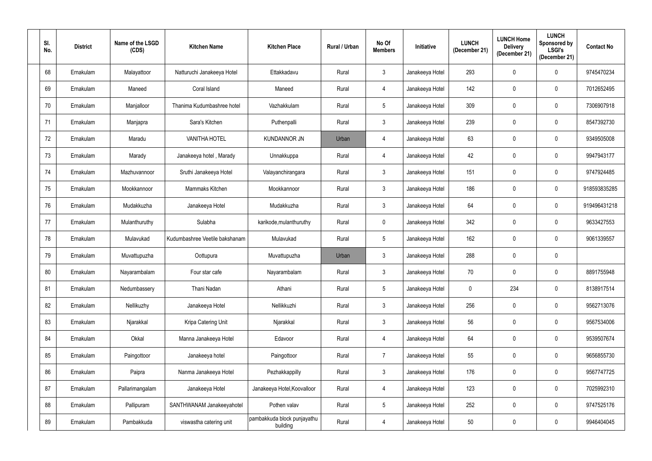| SI.<br>No. | <b>District</b> | Name of the LSGD<br>(CDS) | <b>Kitchen Name</b>            | <b>Kitchen Place</b>                    | <b>Rural / Urban</b> | No Of<br><b>Members</b> | Initiative      | <b>LUNCH</b><br>(December 21) | <b>LUNCH Home</b><br><b>Delivery</b><br>(December 21) | <b>LUNCH</b><br>Sponsored by<br><b>LSGI's</b><br>(December 21) | <b>Contact No</b> |
|------------|-----------------|---------------------------|--------------------------------|-----------------------------------------|----------------------|-------------------------|-----------------|-------------------------------|-------------------------------------------------------|----------------------------------------------------------------|-------------------|
| 68         | Ernakulam       | Malayattoor               | Natturuchi Janakeeya Hotel     | Ettakkadavu                             | Rural                | $\mathfrak{Z}$          | Janakeeya Hotel | 293                           | 0                                                     | $\mathbf 0$                                                    | 9745470234        |
| 69         | Ernakulam       | Maneed                    | Coral Island                   | Maneed                                  | Rural                | 4                       | Janakeeya Hotel | 142                           | 0                                                     | 0                                                              | 7012652495        |
| 70         | Ernakulam       | Manjalloor                | Thanima Kudumbashree hotel     | Vazhakkulam                             | Rural                | $5\phantom{.0}$         | Janakeeya Hotel | 309                           | 0                                                     | 0                                                              | 7306907918        |
| 71         | Ernakulam       | Manjapra                  | Sara's Kitchen                 | Puthenpalli                             | Rural                | $\mathbf{3}$            | Janakeeya Hotel | 239                           | 0                                                     | 0                                                              | 8547392730        |
| 72         | Ernakulam       | Maradu                    | <b>VANITHA HOTEL</b>           | <b>KUNDANNOR JN</b>                     | Urban                | 4                       | Janakeeya Hotel | 63                            | 0                                                     | $\mathbf 0$                                                    | 9349505008        |
| 73         | Ernakulam       | Marady                    | Janakeeya hotel, Marady        | Unnakkuppa                              | Rural                | 4                       | Janakeeya Hotel | 42                            | 0                                                     | $\mathbf 0$                                                    | 9947943177        |
| 74         | Ernakulam       | Mazhuvannoor              | Sruthi Janakeeya Hotel         | Valayanchirangara                       | Rural                | $\mathfrak{Z}$          | Janakeeya Hotel | 151                           | 0                                                     | $\mathbf 0$                                                    | 9747924485        |
| 75         | Ernakulam       | Mookkannoor               | Mammaks Kitchen                | Mookkannoor                             | Rural                | $\mathfrak{Z}$          | Janakeeya Hotel | 186                           | 0                                                     | $\mathbf 0$                                                    | 918593835285      |
| 76         | Ernakulam       | Mudakkuzha                | Janakeeya Hotel                | Mudakkuzha                              | Rural                | $\mathfrak{Z}$          | Janakeeya Hotel | 64                            | 0                                                     | $\mathbf 0$                                                    | 919496431218      |
| 77         | Ernakulam       | Mulanthuruthy             | Sulabha                        | karikode, mulanthuruthy                 | Rural                | $\mathbf 0$             | Janakeeya Hotel | 342                           | 0                                                     | 0                                                              | 9633427553        |
| 78         | Ernakulam       | Mulavukad                 | Kudumbashree Veetile bakshanam | Mulavukad                               | Rural                | $5\phantom{.0}$         | Janakeeya Hotel | 162                           | 0                                                     | $\mathbf 0$                                                    | 9061339557        |
| 79         | Ernakulam       | Muvattupuzha              | Oottupura                      | Muvattupuzha                            | Urban                | $\mathfrak{Z}$          | Janakeeya Hotel | 288                           | 0                                                     | 0                                                              |                   |
| 80         | Ernakulam       | Nayarambalam              | Four star cafe                 | Nayarambalam                            | Rural                | 3                       | Janakeeya Hotel | 70                            |                                                       | $\mathbf 0$                                                    | 8891755948        |
| 81         | Ernakulam       | Nedumbassery              | Thani Nadan                    | Athani                                  | Rural                | $5\,$                   | Janakeeya Hotel | $\mathbf 0$                   | 234                                                   | $\mathbf 0$                                                    | 8138917514        |
| 82         | Ernakulam       | Nellikuzhy                | Janakeeya Hotel                | Nellikkuzhi                             | Rural                | $\mathfrak{Z}$          | Janakeeya Hotel | 256                           | 0                                                     | $\mathbf 0$                                                    | 9562713076        |
| 83         | Ernakulam       | Njarakkal                 | Kripa Catering Unit            | Njarakkal                               | Rural                | $\mathbf{3}$            | Janakeeya Hotel | 56                            | 0                                                     | $\mathbf 0$                                                    | 9567534006        |
| 84         | Ernakulam       | Okkal                     | Manna Janakeeya Hotel          | Edavoor                                 | Rural                | $\overline{4}$          | Janakeeya Hotel | 64                            | 0                                                     | $\pmb{0}$                                                      | 9539507674        |
| 85         | Ernakulam       | Paingottoor               | Janakeeya hotel                | Paingottoor                             | Rural                | $\overline{7}$          | Janakeeya Hotel | 55                            | 0                                                     | $\mathbf 0$                                                    | 9656855730        |
| 86         | Ernakulam       | Paipra                    | Nanma Janakeeya Hotel          | Pezhakkappilly                          | Rural                | $\mathfrak{Z}$          | Janakeeya Hotel | 176                           | 0                                                     | $\pmb{0}$                                                      | 9567747725        |
| 87         | Ernakulam       | Pallarimangalam           | Janakeeya Hotel                | Janakeeya Hotel, Koovalloor             | Rural                | 4                       | Janakeeya Hotel | 123                           | 0                                                     | $\mathbf 0$                                                    | 7025992310        |
| 88         | Ernakulam       | Pallipuram                | SANTHWANAM Janakeeyahotel      | Pothen valav                            | Rural                | $5\phantom{.0}$         | Janakeeya Hotel | 252                           | 0                                                     | $\mathbf 0$                                                    | 9747525176        |
| 89         | Ernakulam       | Pambakkuda                | viswastha catering unit        | pambakkuda block punjayathu<br>building | Rural                | $\overline{4}$          | Janakeeya Hotel | $50\,$                        | 0                                                     | $\mathbf 0$                                                    | 9946404045        |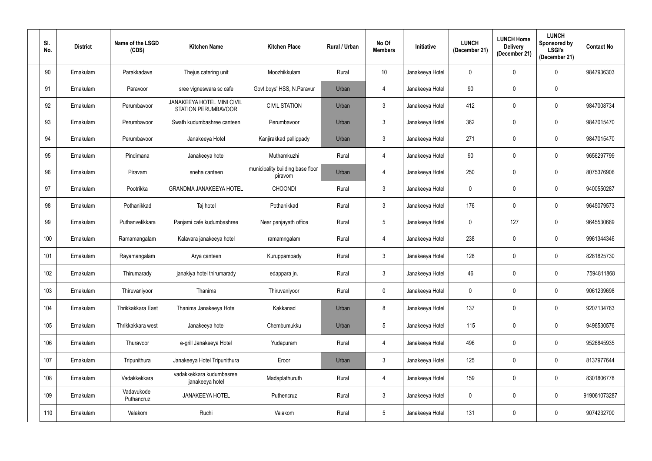| SI.<br>No. | <b>District</b> | Name of the LSGD<br>(CDS) | <b>Kitchen Name</b>                                      | <b>Kitchen Place</b>                        | Rural / Urban | No Of<br><b>Members</b> | Initiative      | <b>LUNCH</b><br>(December 21) | <b>LUNCH Home</b><br><b>Delivery</b><br>(December 21) | <b>LUNCH</b><br>Sponsored by<br><b>LSGI's</b><br>(December 21) | <b>Contact No</b> |
|------------|-----------------|---------------------------|----------------------------------------------------------|---------------------------------------------|---------------|-------------------------|-----------------|-------------------------------|-------------------------------------------------------|----------------------------------------------------------------|-------------------|
| 90         | Ernakulam       | Parakkadave               | Thejus catering unit                                     | Moozhikkulam                                | Rural         | 10 <sup>°</sup>         | Janakeeya Hotel | $\pmb{0}$                     | 0                                                     | $\mathbf 0$                                                    | 9847936303        |
| 91         | Ernakulam       | Paravoor                  | sree vigneswara sc cafe                                  | Govt.boys' HSS, N.Paravur                   | Urban         | 4                       | Janakeeya Hotel | 90                            | 0                                                     | 0                                                              |                   |
| 92         | Ernakulam       | Perumbavoor               | JANAKEEYA HOTEL MINI CIVIL<br><b>STATION PERUMBAVOOR</b> | <b>CIVIL STATION</b>                        | Urban         | $\mathfrak{Z}$          | Janakeeya Hotel | 412                           | 0                                                     | 0                                                              | 9847008734        |
| 93         | Ernakulam       | Perumbavoor               | Swath kudumbashree canteen                               | Perumbavoor                                 | Urban         | $\mathbf{3}$            | Janakeeya Hotel | 362                           | 0                                                     | $\mathbf 0$                                                    | 9847015470        |
| 94         | Ernakulam       | Perumbavoor               | Janakeeya Hotel                                          | Kanjirakkad pallippady                      | Urban         | $\mathfrak{Z}$          | Janakeeya Hotel | 271                           | 0                                                     | $\mathbf 0$                                                    | 9847015470        |
| 95         | Ernakulam       | Pindimana                 | Janakeeya hotel                                          | Muthamkuzhi                                 | Rural         | 4                       | Janakeeya Hotel | 90                            | 0                                                     | $\mathbf 0$                                                    | 9656297799        |
| 96         | Ernakulam       | Piravam                   | sneha canteen                                            | municipality building base floor<br>piravom | Urban         | 4                       | Janakeeya Hotel | 250                           | 0                                                     | $\mathbf 0$                                                    | 8075376906        |
| 97         | Ernakulam       | Pootrikka                 | <b>GRANDMA JANAKEEYA HOTEL</b>                           | <b>CHOONDI</b>                              | Rural         | $\mathfrak{Z}$          | Janakeeya Hotel | $\mathbf 0$                   | 0                                                     | $\mathbf 0$                                                    | 9400550287        |
| 98         | Ernakulam       | Pothanikkad               | Taj hotel                                                | Pothanikkad                                 | Rural         | $\mathfrak{Z}$          | Janakeeya Hotel | 176                           | 0                                                     | $\mathbf 0$                                                    | 9645079573        |
| 99         | Ernakulam       | Puthanvelikkara           | Panjami cafe kudumbashree                                | Near panjayath office                       | Rural         | $5\phantom{.0}$         | Janakeeya Hotel | $\mathbf 0$                   | 127                                                   | $\mathbf 0$                                                    | 9645530669        |
| 100        | Ernakulam       | Ramamangalam              | Kalavara janakeeya hotel                                 | ramamngalam                                 | Rural         | 4                       | Janakeeya Hotel | 238                           | 0                                                     | $\mathbf 0$                                                    | 9961344346        |
| 101        | Ernakulam       | Rayamangalam              | Arya canteen                                             | Kuruppampady                                | Rural         | $\mathfrak{Z}$          | Janakeeya Hotel | 128                           | 0                                                     | $\mathbf 0$                                                    | 8281825730        |
| 102        | Ernakulam       | Thirumarady               | janakiya hotel thirumarady                               | edappara jn.                                | Rural         | 3                       | Janakeeya Hotel | 46                            | $\mathbf{0}$                                          | $\mathbf 0$                                                    | 7594811868        |
| 103        | Ernakulam       | Thiruvaniyoor             | Thanima                                                  | Thiruvaniyoor                               | Rural         | $\pmb{0}$               | Janakeeya Hotel | $\overline{0}$                | 0                                                     | $\pmb{0}$                                                      | 9061239698        |
| 104        | Ernakulam       | Thrikkakkara East         | Thanima Janakeeya Hotel                                  | Kakkanad                                    | Urban         | $8\,$                   | Janakeeya Hotel | 137                           | 0                                                     | $\mathbf 0$                                                    | 9207134763        |
| 105        | Ernakulam       | Thrikkakkara west         | Janakeeya hotel                                          | Chembumukku                                 | Urban         | $\sqrt{5}$              | Janakeeya Hotel | 115                           | 0                                                     | $\pmb{0}$                                                      | 9496530576        |
| 106        | Ernakulam       | Thuravoor                 | e-grill Janakeeya Hotel                                  | Yudapuram                                   | Rural         | 4                       | Janakeeya Hotel | 496                           | 0                                                     | $\mathbf 0$                                                    | 9526845935        |
| 107        | Ernakulam       | Tripunithura              | Janakeeya Hotel Tripunithura                             | Eroor                                       | Urban         | $\mathfrak{Z}$          | Janakeeya Hotel | 125                           | 0                                                     | $\mathbf 0$                                                    | 8137977644        |
| 108        | Ernakulam       | Vadakkekkara              | vadakkekkara kudumbasree<br>janakeeya hotel              | Madaplathuruth                              | Rural         | 4                       | Janakeeya Hotel | 159                           | 0                                                     | $\mathbf 0$                                                    | 8301806778        |
| 109        | Ernakulam       | Vadavukode<br>Puthancruz  | <b>JANAKEEYA HOTEL</b>                                   | Puthencruz                                  | Rural         | $\mathbf{3}$            | Janakeeya Hotel | $\mathbf 0$                   | 0                                                     | $\mathbf 0$                                                    | 919061073287      |
| 110        | Ernakulam       | Valakom                   | Ruchi                                                    | Valakom                                     | Rural         | $5\,$                   | Janakeeya Hotel | 131                           | 0                                                     | $\mathbf 0$                                                    | 9074232700        |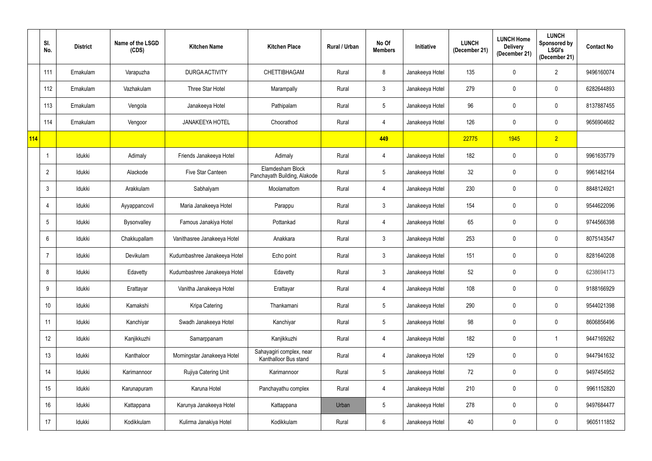|            | SI.<br>No.      | <b>District</b> | Name of the LSGD<br>(CDS) | <b>Kitchen Name</b>          | <b>Kitchen Place</b>                              | Rural / Urban | No Of<br><b>Members</b> | <b>Initiative</b> | <b>LUNCH</b><br>(December 21) | <b>LUNCH Home</b><br><b>Delivery</b><br>(December 21) | <b>LUNCH</b><br>Sponsored by<br><b>LSGI's</b><br>(December 21) | <b>Contact No</b> |
|------------|-----------------|-----------------|---------------------------|------------------------------|---------------------------------------------------|---------------|-------------------------|-------------------|-------------------------------|-------------------------------------------------------|----------------------------------------------------------------|-------------------|
|            | 111             | Ernakulam       | Varapuzha                 | <b>DURGA ACTIVITY</b>        | CHETTIBHAGAM                                      | Rural         | 8                       | Janakeeya Hotel   | 135                           | 0                                                     | $\overline{2}$                                                 | 9496160074        |
|            | 112             | Ernakulam       | Vazhakulam                | Three Star Hotel             | Marampally                                        | Rural         | $\mathfrak{Z}$          | Janakeeya Hotel   | 279                           | 0                                                     | $\mathbf 0$                                                    | 6282644893        |
|            | 113             | Ernakulam       | Vengola                   | Janakeeya Hotel              | Pathipalam                                        | Rural         | $5\,$                   | Janakeeya Hotel   | 96                            | 0                                                     | $\mathbf 0$                                                    | 8137887455        |
|            | 114             | Ernakulam       | Vengoor                   | <b>JANAKEEYA HOTEL</b>       | Choorathod                                        | Rural         | $\overline{4}$          | Janakeeya Hotel   | 126                           | 0                                                     | $\mathbf 0$                                                    | 9656904682        |
| <b>114</b> |                 |                 |                           |                              |                                                   |               | 449                     |                   | 22775                         | 1945                                                  | 2 <sup>7</sup>                                                 |                   |
|            | -1              | Idukki          | Adimaly                   | Friends Janakeeya Hotel      | Adimaly                                           | Rural         | 4                       | Janakeeya Hotel   | 182                           | 0                                                     | $\mathbf 0$                                                    | 9961635779        |
|            | $\overline{2}$  | Idukki          | Alackode                  | Five Star Canteen            | Elamdesham Block<br>Panchayath Building, Alakode  | Rural         | $\sqrt{5}$              | Janakeeya Hotel   | 32                            | 0                                                     | $\mathbf 0$                                                    | 9961482164        |
|            | 3               | Idukki          | Arakkulam                 | Sabhalyam                    | Moolamattom                                       | Rural         | 4                       | Janakeeya Hotel   | 230                           | 0                                                     | $\mathbf 0$                                                    | 8848124921        |
|            |                 | Idukki          | Ayyappancovil             | Maria Janakeeya Hotel        | Parappu                                           | Rural         | $\mathfrak{Z}$          | Janakeeya Hotel   | 154                           | 0                                                     | $\mathbf 0$                                                    | 9544622096        |
|            | $5\phantom{.0}$ | Idukki          | Bysonvalley               | Famous Janakiya Hotel        | Pottankad                                         | Rural         | $\overline{4}$          | Janakeeya Hotel   | 65                            | 0                                                     | $\mathbf 0$                                                    | 9744566398        |
|            | 6               | Idukki          | Chakkupallam              | Vanithasree Janakeeya Hotel  | Anakkara                                          | Rural         | $\mathfrak{Z}$          | Janakeeya Hotel   | 253                           | 0                                                     | $\mathbf 0$                                                    | 8075143547        |
|            |                 | Idukki          | Devikulam                 | Kudumbashree Janakeeya Hotel | Echo point                                        | Rural         | $\mathfrak{Z}$          | Janakeeya Hotel   | 151                           | 0                                                     | $\mathbf 0$                                                    | 8281640208        |
|            | 8               | Idukki          | Edavetty                  | Kudumbashree Janakeeya Hotel | Edavetty                                          | Rural         | 3                       | Janakeeya Hotel   | 52                            |                                                       | $\mathbf 0$                                                    | 6238694173        |
|            | 9               | Idukki          | Erattayar                 | Vanitha Janakeeya Hotel      | Erattayar                                         | Rural         | $\overline{4}$          | Janakeeya Hotel   | 108                           | 0                                                     | $\mathbf 0$                                                    | 9188166929        |
|            | 10              | Idukki          | Kamakshi                  | Kripa Catering               | Thankamani                                        | Rural         | $\sqrt{5}$              | Janakeeya Hotel   | 290                           | 0                                                     | $\pmb{0}$                                                      | 9544021398        |
|            | 11              | Idukki          | Kanchiyar                 | Swadh Janakeeya Hotel        | Kanchiyar                                         | Rural         | $5\,$                   | Janakeeya Hotel   | 98                            | 0                                                     | $\mathbf 0$                                                    | 8606856496        |
|            | 12              | Idukki          | Kanjikkuzhi               | Samarppanam                  | Kanjikkuzhi                                       | Rural         | $\overline{4}$          | Janakeeya Hotel   | 182                           | 0                                                     | $\mathbf 1$                                                    | 9447169262        |
|            | 13              | Idukki          | Kanthaloor                | Morningstar Janakeeya Hotel  | Sahayagiri complex, near<br>Kanthalloor Bus stand | Rural         | 4                       | Janakeeya Hotel   | 129                           | 0                                                     | $\mathbf 0$                                                    | 9447941632        |
|            | 14              | Idukki          | Karimannoor               | Rujiya Catering Unit         | Karimannoor                                       | Rural         | $\overline{5}$          | Janakeeya Hotel   | 72                            | $\mathbf 0$                                           | $\mathbf 0$                                                    | 9497454952        |
|            | 15              | Idukki          | Karunapuram               | Karuna Hotel                 | Panchayathu complex                               | Rural         | 4                       | Janakeeya Hotel   | 210                           | 0                                                     | $\mathbf 0$                                                    | 9961152820        |
|            | 16              | Idukki          | Kattappana                | Karunya Janakeeya Hotel      | Kattappana                                        | Urban         | $\sqrt{5}$              | Janakeeya Hotel   | 278                           | 0                                                     | $\mathbf 0$                                                    | 9497684477        |
|            | 17              | Idukki          | Kodikkulam                | Kulirma Janakiya Hotel       | Kodikkulam                                        | Rural         | $\,6\,$                 | Janakeeya Hotel   | 40                            | 0                                                     | $\mathbf 0$                                                    | 9605111852        |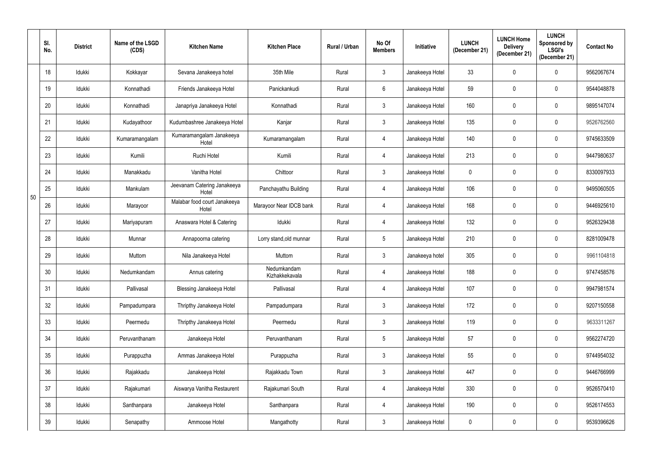|    | SI.<br>No. | <b>District</b> | Name of the LSGD<br>(CDS) | <b>Kitchen Name</b>                   | <b>Kitchen Place</b>          | Rural / Urban | No Of<br><b>Members</b> | Initiative      | <b>LUNCH</b><br>(December 21) | <b>LUNCH Home</b><br><b>Delivery</b><br>(December 21) | <b>LUNCH</b><br>Sponsored by<br><b>LSGI's</b><br>(December 21) | <b>Contact No</b> |
|----|------------|-----------------|---------------------------|---------------------------------------|-------------------------------|---------------|-------------------------|-----------------|-------------------------------|-------------------------------------------------------|----------------------------------------------------------------|-------------------|
|    | 18         | Idukki          | Kokkayar                  | Sevana Janakeeya hotel                | 35th Mile                     | Rural         | $\mathfrak{Z}$          | Janakeeya Hotel | 33                            | 0                                                     | $\mathbf 0$                                                    | 9562067674        |
|    | 19         | Idukki          | Konnathadi                | Friends Janakeeya Hotel               | Panickankudi                  | Rural         | $6\phantom{.}$          | Janakeeya Hotel | 59                            | 0                                                     | 0                                                              | 9544048878        |
|    | 20         | Idukki          | Konnathadi                | Janapriya Janakeeya Hotel             | Konnathadi                    | Rural         | $\mathfrak{Z}$          | Janakeeya Hotel | 160                           | 0                                                     | $\mathbf 0$                                                    | 9895147074        |
|    | 21         | Idukki          | Kudayathoor               | Kudumbashree Janakeeya Hotel          | Kanjar                        | Rural         | $\mathfrak{Z}$          | Janakeeya Hotel | 135                           | 0                                                     | 0                                                              | 9526762560        |
|    | 22         | Idukki          | Kumaramangalam            | Kumaramangalam Janakeeya<br>Hotel     | Kumaramangalam                | Rural         | $\overline{4}$          | Janakeeya Hotel | 140                           | 0                                                     | $\mathbf 0$                                                    | 9745633509        |
|    | 23         | Idukki          | Kumili                    | Ruchi Hotel                           | Kumili                        | Rural         | $\overline{4}$          | Janakeeya Hotel | 213                           | 0                                                     | $\mathbf 0$                                                    | 9447980637        |
|    | 24         | Idukki          | Manakkadu                 | Vanitha Hotel                         | Chittoor                      | Rural         | $\mathfrak{Z}$          | Janakeeya Hotel | $\mathbf 0$                   | 0                                                     | $\mathbf 0$                                                    | 8330097933        |
|    | 25         | Idukki          | Mankulam                  | Jeevanam Catering Janakeeya<br>Hotel  | Panchayathu Building          | Rural         | 4                       | Janakeeya Hotel | 106                           | 0                                                     | $\mathbf 0$                                                    | 9495060505        |
| 50 | 26         | Idukki          | Marayoor                  | Malabar food court Janakeeya<br>Hotel | Marayoor Near IDCB bank       | Rural         | $\overline{4}$          | Janakeeya Hotel | 168                           | 0                                                     | $\mathbf 0$                                                    | 9446925610        |
|    | 27         | Idukki          | Mariyapuram               | Anaswara Hotel & Catering             | Idukki                        | Rural         | 4                       | Janakeeya Hotel | 132                           | 0                                                     | $\mathbf 0$                                                    | 9526329438        |
|    | 28         | Idukki          | Munnar                    | Annapoorna catering                   | Lorry stand, old munnar       | Rural         | $\overline{5}$          | Janakeeya Hotel | 210                           | 0                                                     | $\mathbf 0$                                                    | 8281009478        |
|    | 29         | Idukki          | Muttom                    | Nila Janakeeya Hotel                  | Muttom                        | Rural         | $\mathfrak{Z}$          | Janakeeya hotel | 305                           | 0                                                     | $\mathbf 0$                                                    | 9961104818        |
|    | 30         | Idukki          | Nedumkandam               | Annus catering                        | Nedumkandam<br>Kizhakkekavala | Rural         |                         | Janakeeya Hotel | 188                           |                                                       | $\mathbf 0$                                                    | 9747458576        |
|    | 31         | Idukki          | Pallivasal                | <b>Blessing Janakeeya Hotel</b>       | Pallivasal                    | Rural         | $\overline{4}$          | Janakeeya Hotel | 107                           | 0                                                     | $\mathbf 0$                                                    | 9947981574        |
|    | 32         | Idukki          | Pampadumpara              | Thripthy Janakeeya Hotel              | Pampadumpara                  | Rural         | $\mathfrak{Z}$          | Janakeeya Hotel | 172                           | 0                                                     | $\mathbf 0$                                                    | 9207150558        |
|    | 33         | Idukki          | Peermedu                  | Thripthy Janakeeya Hotel              | Peermedu                      | Rural         | $\mathfrak{Z}$          | Janakeeya Hotel | 119                           | 0                                                     | $\pmb{0}$                                                      | 9633311267        |
|    | 34         | Idukki          | Peruvanthanam             | Janakeeya Hotel                       | Peruvanthanam                 | Rural         | $\sqrt{5}$              | Janakeeya Hotel | 57                            | 0                                                     | $\pmb{0}$                                                      | 9562274720        |
|    | 35         | Idukki          | Purappuzha                | Ammas Janakeeya Hotel                 | Purappuzha                    | Rural         | $\mathfrak{Z}$          | Janakeeya Hotel | 55                            | 0                                                     | $\mathbf 0$                                                    | 9744954032        |
|    | 36         | Idukki          | Rajakkadu                 | Janakeeya Hotel                       | Rajakkadu Town                | Rural         | $\mathfrak{Z}$          | Janakeeya Hotel | 447                           | $\mathbf 0$                                           | $\pmb{0}$                                                      | 9446766999        |
|    | 37         | Idukki          | Rajakumari                | Aiswarya Vanitha Restaurent           | Rajakumari South              | Rural         | 4                       | Janakeeya Hotel | 330                           | 0                                                     | $\mathbf 0$                                                    | 9526570410        |
|    | 38         | Idukki          | Santhanpara               | Janakeeya Hotel                       | Santhanpara                   | Rural         | 4                       | Janakeeya Hotel | 190                           | $\mathbf 0$                                           | $\mathbf 0$                                                    | 9526174553        |
|    | 39         | Idukki          | Senapathy                 | Ammoose Hotel                         | Mangathotty                   | Rural         | $\mathfrak{Z}$          | Janakeeya Hotel | $\mathbf 0$                   | 0                                                     | $\mathbf 0$                                                    | 9539396626        |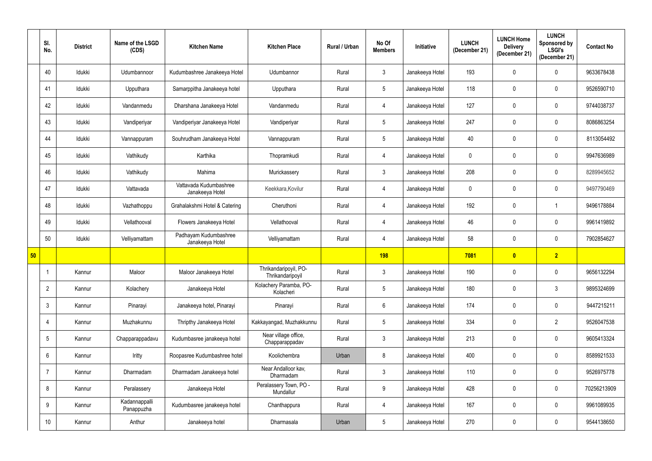|    | SI.<br>No.      | <b>District</b> | Name of the LSGD<br>(CDS)   | <b>Kitchen Name</b>                       | <b>Kitchen Place</b>                      | Rural / Urban | No Of<br><b>Members</b> | Initiative      | <b>LUNCH</b><br>(December 21) | <b>LUNCH Home</b><br><b>Delivery</b><br>(December 21) | <b>LUNCH</b><br>Sponsored by<br><b>LSGI's</b><br>(December 21) | <b>Contact No</b> |
|----|-----------------|-----------------|-----------------------------|-------------------------------------------|-------------------------------------------|---------------|-------------------------|-----------------|-------------------------------|-------------------------------------------------------|----------------------------------------------------------------|-------------------|
|    | 40              | Idukki          | Udumbannoor                 | Kudumbashree Janakeeya Hotel              | Udumbannor                                | Rural         | $\mathbf{3}$            | Janakeeya Hotel | 193                           | 0                                                     | $\mathbf 0$                                                    | 9633678438        |
|    | 41              | Idukki          | Upputhara                   | Samarppitha Janakeeya hotel               | Upputhara                                 | Rural         | $5\phantom{.0}$         | Janakeeya Hotel | 118                           | 0                                                     | $\mathbf 0$                                                    | 9526590710        |
|    | 42              | Idukki          | Vandanmedu                  | Dharshana Janakeeya Hotel                 | Vandanmedu                                | Rural         | $\overline{4}$          | Janakeeya Hotel | 127                           | 0                                                     | $\mathbf 0$                                                    | 9744038737        |
|    | 43              | Idukki          | Vandiperiyar                | Vandiperiyar Janakeeya Hotel              | Vandiperiyar                              | Rural         | $5\phantom{.0}$         | Janakeeya Hotel | 247                           | 0                                                     | $\pmb{0}$                                                      | 8086863254        |
|    | 44              | Idukki          | Vannappuram                 | Souhrudham Janakeeya Hotel                | Vannappuram                               | Rural         | $5\phantom{.0}$         | Janakeeya Hotel | 40                            | 0                                                     | $\mathbf 0$                                                    | 8113054492        |
|    | 45              | Idukki          | Vathikudy                   | Karthika                                  | Thopramkudi                               | Rural         | $\overline{4}$          | Janakeeya Hotel | 0                             | 0                                                     | $\mathbf 0$                                                    | 9947636989        |
|    | 46              | Idukki          | Vathikudy                   | Mahima                                    | Murickassery                              | Rural         | $\mathfrak{Z}$          | Janakeeya Hotel | 208                           | $\mathbf 0$                                           | $\mathbf 0$                                                    | 8289945652        |
|    | 47              | Idukki          | Vattavada                   | Vattavada Kudumbashree<br>Janakeeya Hotel | Keekkara, Kovilur                         | Rural         | $\overline{4}$          | Janakeeya Hotel | 0                             | 0                                                     | $\mathbf 0$                                                    | 9497790469        |
|    | 48              | Idukki          | Vazhathoppu                 | Grahalakshmi Hotel & Catering             | Cheruthoni                                | Rural         | $\overline{4}$          | Janakeeya Hotel | 192                           | 0                                                     |                                                                | 9496178884        |
|    | 49              | Idukki          | Vellathooval                | Flowers Janakeeya Hotel                   | Vellathooval                              | Rural         | $\overline{4}$          | Janakeeya Hotel | 46                            | $\mathbf 0$                                           | $\mathbf 0$                                                    | 9961419892        |
|    | 50              | Idukki          | Velliyamattam               | Padhayam Kudumbashree<br>Janakeeya Hotel  | Velliyamattam                             | Rural         | $\overline{4}$          | Janakeeya Hotel | 58                            | 0                                                     | $\mathbf 0$                                                    | 7902854627        |
| 50 |                 |                 |                             |                                           |                                           |               | <b>198</b>              |                 | 7081                          | $\mathbf{0}$                                          | 2 <sub>2</sub>                                                 |                   |
|    |                 | Kannur          | Maloor                      | Maloor Janakeeya Hotel                    | Thrikandaripoyil, PO-<br>Thrikandaripoyil | Rural         | 3                       | Janakeeya Hotel | 190                           | 0                                                     | $\mathbf 0$                                                    | 9656132294        |
|    | $\overline{2}$  | Kannur          | Kolachery                   | Janakeeya Hotel                           | Kolachery Paramba, PO-<br>Kolacheri       | Rural         | $5\phantom{.0}$         | Janakeeya Hotel | 180                           | $\mathbf 0$                                           | $\mathfrak{Z}$                                                 | 9895324699        |
|    | $\mathbf{3}$    | Kannur          | Pinarayi                    | Janakeeya hotel, Pinarayi                 | Pinarayi                                  | Rural         | $6\phantom{.}6$         | Janakeeya Hotel | 174                           | 0                                                     | $\mathbf 0$                                                    | 9447215211        |
|    | 4               | Kannur          | Muzhakunnu                  | Thripthy Janakeeya Hotel                  | Kakkayangad, Muzhakkunnu                  | Rural         | $\sqrt{5}$              | Janakeeya Hotel | 334                           | 0                                                     | $\overline{2}$                                                 | 9526047538        |
|    | $5\overline{)}$ | Kannur          | Chapparappadavu             | Kudumbasree janakeeya hotel               | Near village office,<br>Chapparappadav    | Rural         | $\mathfrak{Z}$          | Janakeeya Hotel | 213                           | $\mathbf 0$                                           | $\mathbf 0$                                                    | 9605413324        |
|    | 6               | Kannur          | Iritty                      | Roopasree Kudumbashree hotel              | Koolichembra                              | Urban         | 8                       | Janakeeya Hotel | 400                           | $\mathbf 0$                                           | $\mathbf 0$                                                    | 8589921533        |
|    | 7               | Kannur          | Dharmadam                   | Dharmadam Janakeeya hotel                 | Near Andalloor kav,<br>Dharmadam          | Rural         | $\mathbf{3}$            | Janakeeya Hotel | 110                           | 0                                                     | $\mathbf 0$                                                    | 9526975778        |
|    | 8               | Kannur          | Peralassery                 | Janakeeya Hotel                           | Peralassery Town, PO -<br>Mundallur       | Rural         | 9                       | Janakeeya Hotel | 428                           | $\mathbf 0$                                           | $\mathbf 0$                                                    | 70256213909       |
|    | 9               | Kannur          | Kadannappalli<br>Panappuzha | Kudumbasree janakeeya hotel               | Chanthappura                              | Rural         | $\overline{4}$          | Janakeeya Hotel | 167                           | $\pmb{0}$                                             | $\pmb{0}$                                                      | 9961089935        |
|    | 10              | Kannur          | Anthur                      | Janakeeya hotel                           | Dharmasala                                | Urban         | $5\phantom{.0}$         | Janakeeya Hotel | 270                           | 0                                                     | $\mathbf 0$                                                    | 9544138650        |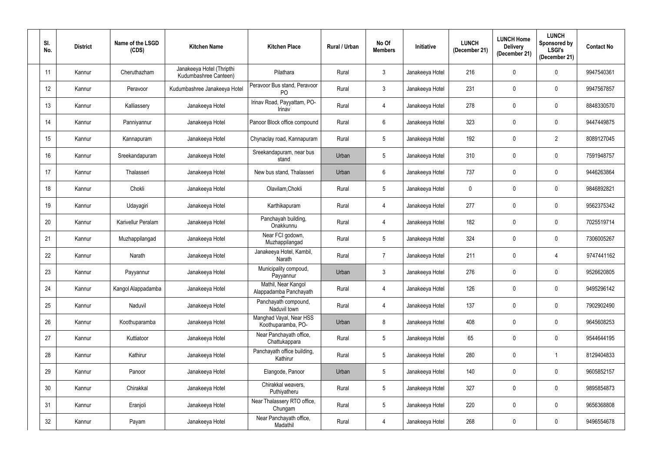| SI.<br>No. | <b>District</b> | Name of the LSGD<br>(CDS) | <b>Kitchen Name</b>                                | <b>Kitchen Place</b>                          | Rural / Urban | No Of<br><b>Members</b> | <b>Initiative</b> | <b>LUNCH</b><br>(December 21) | <b>LUNCH Home</b><br><b>Delivery</b><br>(December 21) | <b>LUNCH</b><br>Sponsored by<br><b>LSGI's</b><br>(December 21) | <b>Contact No</b> |
|------------|-----------------|---------------------------|----------------------------------------------------|-----------------------------------------------|---------------|-------------------------|-------------------|-------------------------------|-------------------------------------------------------|----------------------------------------------------------------|-------------------|
| 11         | Kannur          | Cheruthazham              | Janakeeya Hotel (Thripthi<br>Kudumbashree Canteen) | Pilathara                                     | Rural         | $\mathfrak{Z}$          | Janakeeya Hotel   | 216                           | 0                                                     | $\mathbf 0$                                                    | 9947540361        |
| 12         | Kannur          | Peravoor                  | Kudumbashree Janakeeya Hotel                       | Peravoor Bus stand, Peravoor<br><b>PO</b>     | Rural         | $\mathfrak{Z}$          | Janakeeya Hotel   | 231                           | 0                                                     | $\mathbf 0$                                                    | 9947567857        |
| 13         | Kannur          | Kalliassery               | Janakeeya Hotel                                    | Irinav Road, Payyattam, PO-<br>Irinav         | Rural         | $\overline{4}$          | Janakeeya Hotel   | 278                           | 0                                                     | $\mathbf 0$                                                    | 8848330570        |
| 14         | Kannur          | Panniyannur               | Janakeeya Hotel                                    | Panoor Block office compound                  | Rural         | $6\phantom{.}6$         | Janakeeya Hotel   | 323                           | 0                                                     | $\mathbf 0$                                                    | 9447449875        |
| 15         | Kannur          | Kannapuram                | Janakeeya Hotel                                    | Chynaclay road, Kannapuram                    | Rural         | $\overline{5}$          | Janakeeya Hotel   | 192                           | 0                                                     | $\overline{2}$                                                 | 8089127045        |
| 16         | Kannur          | Sreekandapuram            | Janakeeya Hotel                                    | Sreekandapuram, near bus<br>stand             | Urban         | $\overline{5}$          | Janakeeya Hotel   | 310                           | 0                                                     | $\mathbf 0$                                                    | 7591948757        |
| 17         | Kannur          | Thalasseri                | Janakeeya Hotel                                    | New bus stand, Thalasseri                     | Urban         | $6\phantom{.}$          | Janakeeya Hotel   | 737                           | 0                                                     | $\mathbf 0$                                                    | 9446263864        |
| 18         | Kannur          | Chokli                    | Janakeeya Hotel                                    | Olavilam, Chokli                              | Rural         | $5\phantom{.0}$         | Janakeeya Hotel   | $\mathbf 0$                   | 0                                                     | $\mathbf 0$                                                    | 9846892821        |
| 19         | Kannur          | Udayagiri                 | Janakeeya Hotel                                    | Karthikapuram                                 | Rural         | 4                       | Janakeeya Hotel   | 277                           | 0                                                     | $\mathbf 0$                                                    | 9562375342        |
| 20         | Kannur          | Karivellur Peralam        | Janakeeya Hotel                                    | Panchayah building,<br>Onakkunnu              | Rural         | 4                       | Janakeeya Hotel   | 182                           | 0                                                     | $\mathbf 0$                                                    | 7025519714        |
| 21         | Kannur          | Muzhappilangad            | Janakeeya Hotel                                    | Near FCI godown,<br>Muzhappilangad            | Rural         | $\overline{5}$          | Janakeeya Hotel   | 324                           | 0                                                     | $\mathbf 0$                                                    | 7306005267        |
| 22         | Kannur          | Narath                    | Janakeeya Hotel                                    | Janakeeya Hotel, Kambil,<br>Narath            | Rural         | $\overline{7}$          | Janakeeya Hotel   | 211                           | 0                                                     | $\overline{4}$                                                 | 9747441162        |
| 23         | Kannur          | Payyannur                 | Janakeeya Hotel                                    | Municipality compoud,<br>Payyannur            | Urban         | 3                       | Janakeeya Hotel   | 276                           |                                                       | $\mathbf 0$                                                    | 9526620805        |
| 24         | Kannur          | Kangol Alappadamba        | Janakeeya Hotel                                    | Mathil, Near Kangol<br>Alappadamba Panchayath | Rural         | $\overline{4}$          | Janakeeya Hotel   | 126                           | 0                                                     | $\mathbf 0$                                                    | 9495296142        |
| 25         | Kannur          | Naduvil                   | Janakeeya Hotel                                    | Panchayath compound,<br>Naduvil town          | Rural         | 4                       | Janakeeya Hotel   | 137                           | 0                                                     | $\pmb{0}$                                                      | 7902902490        |
| 26         | Kannur          | Koothuparamba             | Janakeeya Hotel                                    | Manghad Vayal, Near HSS<br>Koothuparamba, PO- | Urban         | 8                       | Janakeeya Hotel   | 408                           | 0                                                     | $\mathbf 0$                                                    | 9645608253        |
| 27         | Kannur          | Kuttiatoor                | Janakeeya Hotel                                    | Near Panchayath office,<br>Chattukappara      | Rural         | $\sqrt{5}$              | Janakeeya Hotel   | 65                            | 0                                                     | $\mathbf 0$                                                    | 9544644195        |
| 28         | Kannur          | Kathirur                  | Janakeeya Hotel                                    | Panchayath office building,<br>Kathirur       | Rural         | $5\,$                   | Janakeeya Hotel   | 280                           | 0                                                     |                                                                | 8129404833        |
| 29         | Kannur          | Panoor                    | Janakeeya Hotel                                    | Elangode, Panoor                              | Urban         | $5\,$                   | Janakeeya Hotel   | 140                           | 0                                                     | $\mathbf 0$                                                    | 9605852157        |
| 30         | Kannur          | Chirakkal                 | Janakeeya Hotel                                    | Chirakkal weavers,<br>Puthiyatheru            | Rural         | $\overline{5}$          | Janakeeya Hotel   | 327                           | $\mathbf 0$                                           | $\mathbf 0$                                                    | 9895854873        |
| 31         | Kannur          | Eranjoli                  | Janakeeya Hotel                                    | Near Thalassery RTO office,<br>Chungam        | Rural         | $\sqrt{5}$              | Janakeeya Hotel   | 220                           | 0                                                     | $\mathbf 0$                                                    | 9656368808        |
| 32         | Kannur          | Payam                     | Janakeeya Hotel                                    | Near Panchayath office,<br>Madathil           | Rural         | 4                       | Janakeeya Hotel   | 268                           | 0                                                     | $\mathbf 0$                                                    | 9496554678        |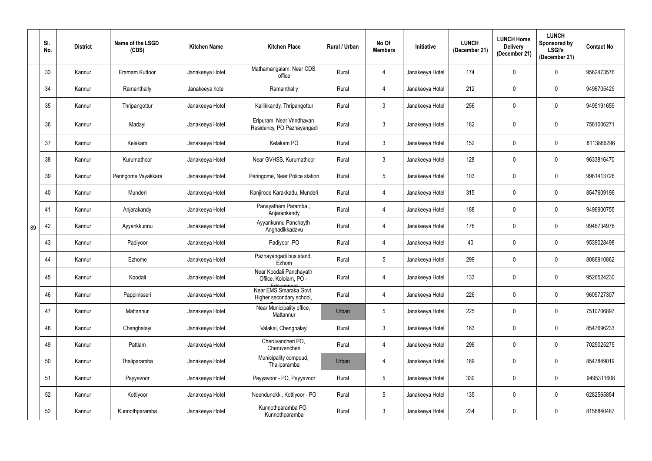|    | SI.<br>No. | <b>District</b> | Name of the LSGD<br>(CDS) | <b>Kitchen Name</b> | <b>Kitchen Place</b>                                             | Rural / Urban | No Of<br><b>Members</b> | Initiative      | <b>LUNCH</b><br>(December 21) | <b>LUNCH Home</b><br><b>Delivery</b><br>(December 21) | <b>LUNCH</b><br>Sponsored by<br><b>LSGI's</b><br>(December 21) | <b>Contact No</b> |
|----|------------|-----------------|---------------------------|---------------------|------------------------------------------------------------------|---------------|-------------------------|-----------------|-------------------------------|-------------------------------------------------------|----------------------------------------------------------------|-------------------|
|    | 33         | Kannur          | Eramam Kuttoor            | Janakeeya Hotel     | Mathamangalam, Near CDS<br>office                                | Rural         | $\overline{4}$          | Janakeeya Hotel | 174                           | 0                                                     | 0                                                              | 9562473576        |
|    | 34         | Kannur          | Ramanthally               | Janakeeya hotel     | Ramanthally                                                      | Rural         | 4                       | Janakeeya Hotel | 212                           | 0                                                     | 0                                                              | 9496705429        |
|    | 35         | Kannur          | Thripangottur             | Janakeeya Hotel     | Kallikkandy, Thripangottur                                       | Rural         | $\mathfrak{Z}$          | Janakeeya Hotel | 256                           | 0                                                     | 0                                                              | 9495191659        |
|    | 36         | Kannur          | Madayi                    | Janakeeya Hotel     | Eripuram, Near Vrindhavan<br>Residency, PO Pazhayangadi          | Rural         | $\mathbf{3}$            | Janakeeya Hotel | 182                           | 0                                                     | $\mathbf 0$                                                    | 7561006271        |
|    | 37         | Kannur          | Kelakam                   | Janakeeya Hotel     | Kelakam PO                                                       | Rural         | $\mathbf{3}$            | Janakeeya Hotel | 152                           | 0                                                     | 0                                                              | 8113866296        |
|    | 38         | Kannur          | Kurumathoor               | Janakeeya Hotel     | Near GVHSS, Kurumathoor                                          | Rural         | $\mathbf{3}$            | Janakeeya Hotel | 128                           | 0                                                     | 0                                                              | 9633816470        |
|    | 39         | Kannur          | Peringome Vayakkara       | Janakeeya Hotel     | Peringome, Near Police station                                   | Rural         | $5\phantom{.0}$         | Janakeeya Hotel | 103                           | 0                                                     | 0                                                              | 9961413726        |
|    | 40         | Kannur          | Munderi                   | Janakeeya Hotel     | Kanjirode Karakkadu, Munderi                                     | Rural         | $\overline{4}$          | Janakeeya Hotel | 315                           | 0                                                     | 0                                                              | 8547609196        |
|    | 41         | Kannur          | Anjarakandy               | Janakeeya Hotel     | Panayatham Paramba,<br>Anjarankandy                              | Rural         | $\overline{4}$          | Janakeeya Hotel | 188                           | 0                                                     | $\mathbf 0$                                                    | 9496900755        |
| 89 | 42         | Kannur          | Ayyankkunnu               | Janakeeya Hotel     | Ayyankunnu Panchayth<br>Anghadikkadavu                           | Rural         | $\overline{4}$          | Janakeeya Hotel | 176                           | 0                                                     | $\mathbf 0$                                                    | 9946734976        |
|    | 43         | Kannur          | Padiyoor                  | Janakeeya Hotel     | Padiyoor PO                                                      | Rural         | 4                       | Janakeeya Hotel | 40                            | 0                                                     | $\mathbf 0$                                                    | 9539028498        |
|    | 44         | Kannur          | Ezhome                    | Janakeeya Hotel     | Pazhayangadi bus stand,<br>Ezhom                                 | Rural         | $5\phantom{.0}$         | Janakeeya Hotel | 299                           | 0                                                     | 0                                                              | 8086910862        |
|    | 45         | Kannur          | Koodali                   | Janakeeya Hotel     | Near Koodali Panchayath<br>Office, Kololam, PO -                 | Rural         | 4                       | Janakeeya Hotel | 133                           | 0                                                     | $\overline{0}$                                                 | 9526524230        |
|    | 46         | Kannur          | Pappinisseri              | Janakeeya Hotel     | Edayanpoor<br>Near EMS Smaraka Govt.<br>Higher secondary school, | Rural         | $\overline{4}$          | Janakeeya Hotel | 226                           | 0                                                     | $\mathbf 0$                                                    | 9605727307        |
|    | 47         | Kannur          | Mattannur                 | Janakeeya Hotel     | Near Municipality office,<br>Mattannur                           | Urban         | $5\phantom{.0}$         | Janakeeya Hotel | 225                           | 0                                                     | $\mathbf 0$                                                    | 7510706897        |
|    | 48         | Kannur          | Chenghalayi               | Janakeeya Hotel     | Valakai, Chenghalayi                                             | Rural         | $\mathfrak{Z}$          | Janakeeya Hotel | 163                           | 0                                                     | $\mathbf 0$                                                    | 8547696233        |
|    | 49         | Kannur          | Pattiam                   | Janakeeya Hotel     | Cheruvancheri PO,<br>Cheruvancheri                               | Rural         | $\overline{4}$          | Janakeeya Hotel | 296                           | 0                                                     | $\mathbf 0$                                                    | 7025025275        |
|    | 50         | Kannur          | Thaliparamba              | Janakeeya Hotel     | Municipality compoud,<br>Thaliparamba                            | Urban         | $\overline{4}$          | Janakeeya Hotel | 169                           | 0                                                     | $\mathbf 0$                                                    | 8547849019        |
|    | 51         | Kannur          | Payyavoor                 | Janakeeya Hotel     | Payyavoor - PO, Payyavoor                                        | Rural         | $\sqrt{5}$              | Janakeeya Hotel | 330                           | 0                                                     | $\mathbf 0$                                                    | 9495311608        |
|    | 52         | Kannur          | Kottiyoor                 | Janakeeya Hotel     | Neendunokki, Kottiyoor - PO                                      | Rural         | $\sqrt{5}$              | Janakeeya Hotel | 135                           | 0                                                     | $\mathbf 0$                                                    | 6282565854        |
|    | 53         | Kannur          | Kunnothparamba            | Janakeeya Hotel     | Kunnothparamba PO,<br>Kunnothparamba                             | Rural         | $\mathfrak{Z}$          | Janakeeya Hotel | 234                           | 0                                                     | 0                                                              | 8156840487        |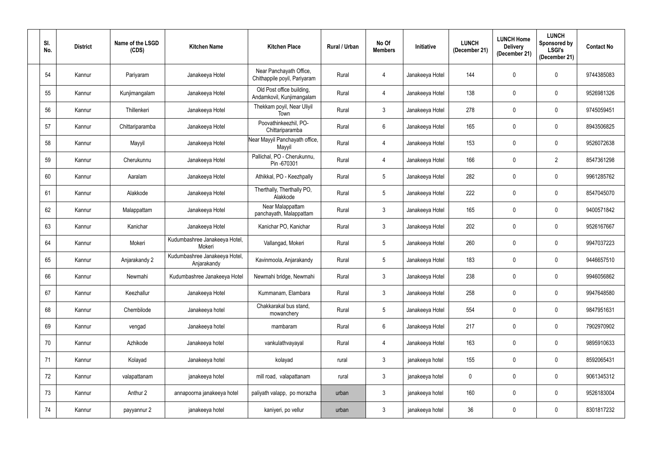| SI.<br>No. | <b>District</b> | Name of the LSGD<br>(CDS) | <b>Kitchen Name</b>                          | <b>Kitchen Place</b>                                    | Rural / Urban | No Of<br><b>Members</b> | <b>Initiative</b> | <b>LUNCH</b><br>(December 21) | <b>LUNCH Home</b><br><b>Delivery</b><br>(December 21) | <b>LUNCH</b><br>Sponsored by<br><b>LSGI's</b><br>(December 21) | <b>Contact No</b> |
|------------|-----------------|---------------------------|----------------------------------------------|---------------------------------------------------------|---------------|-------------------------|-------------------|-------------------------------|-------------------------------------------------------|----------------------------------------------------------------|-------------------|
| 54         | Kannur          | Pariyaram                 | Janakeeya Hotel                              | Near Panchayath Office,<br>Chithappile poyil, Pariyaram | Rural         | $\overline{4}$          | Janakeeya Hotel   | 144                           | 0                                                     | $\mathbf 0$                                                    | 9744385083        |
| 55         | Kannur          | Kunjimangalam             | Janakeeya Hotel                              | Old Post office building,<br>Andamkovil, Kunjimangalam  | Rural         | $\overline{4}$          | Janakeeya Hotel   | 138                           | 0                                                     | $\mathbf 0$                                                    | 9526981326        |
| 56         | Kannur          | Thillenkeri               | Janakeeya Hotel                              | Thekkam poyil, Near Uliyil<br>Town                      | Rural         | $\mathbf{3}$            | Janakeeya Hotel   | 278                           | 0                                                     | $\mathbf 0$                                                    | 9745059451        |
| 57         | Kannur          | Chittariparamba           | Janakeeya Hotel                              | Poovathinkeezhil, PO-<br>Chittariparamba                | Rural         | $6\phantom{.}6$         | Janakeeya Hotel   | 165                           | 0                                                     | $\mathbf 0$                                                    | 8943506825        |
| 58         | Kannur          | Mayyil                    | Janakeeya Hotel                              | Near Mayyil Panchayath office,<br>Mayyil                | Rural         | $\overline{4}$          | Janakeeya Hotel   | 153                           | 0                                                     | 0                                                              | 9526072638        |
| 59         | Kannur          | Cherukunnu                | Janakeeya Hotel                              | Pallichal, PO - Cherukunnu,<br>Pin -670301              | Rural         | $\overline{4}$          | Janakeeya Hotel   | 166                           | 0                                                     | $\overline{2}$                                                 | 8547361298        |
| 60         | Kannur          | Aaralam                   | Janakeeya Hotel                              | Athikkal, PO - Keezhpally                               | Rural         | $5\phantom{.0}$         | Janakeeya Hotel   | 282                           | 0                                                     | $\mathbf 0$                                                    | 9961285762        |
| 61         | Kannur          | Alakkode                  | Janakeeya Hotel                              | Therthally, Therthally PO,<br>Alakkode                  | Rural         | $5\phantom{.0}$         | Janakeeya Hotel   | 222                           | 0                                                     | $\mathbf 0$                                                    | 8547045070        |
| 62         | Kannur          | Malappattam               | Janakeeya Hotel                              | Near Malappattam<br>panchayath, Malappattam             | Rural         | $\mathbf{3}$            | Janakeeya Hotel   | 165                           | 0                                                     | $\mathbf 0$                                                    | 9400571842        |
| 63         | Kannur          | Kanichar                  | Janakeeya Hotel                              | Kanichar PO, Kanichar                                   | Rural         | $\mathbf{3}$            | Janakeeya Hotel   | 202                           | 0                                                     | $\pmb{0}$                                                      | 9526167667        |
| 64         | Kannur          | Mokeri                    | Kudumbashree Janakeeya Hotel,<br>Mokeri      | Vallangad, Mokeri                                       | Rural         | $5\phantom{.0}$         | Janakeeya Hotel   | 260                           | 0                                                     | $\mathbf 0$                                                    | 9947037223        |
| 65         | Kannur          | Anjarakandy 2             | Kudumbashree Janakeeya Hotel,<br>Anjarakandy | Kavinmoola, Anjarakandy                                 | Rural         | $5\phantom{.0}$         | Janakeeya Hotel   | 183                           | 0                                                     | $\mathbf 0$                                                    | 9446657510        |
| 66         | Kannur          | Newmahi                   | Kudumbashree Janakeeya Hotel                 | Newmahi bridge, Newmahi                                 | Rural         | $\mathbf{3}$            | Janakeeya Hotel   | 238                           | 0                                                     | $\mathbf 0$                                                    | 9946056862        |
| 67         | Kannur          | Keezhallur                | Janakeeya Hotel                              | Kummanam, Elambara                                      | Rural         | 3 <sup>2</sup>          | Janakeeya Hotel   | 258                           | 0                                                     | $\mathbf 0$                                                    | 9947648580        |
| 68         | Kannur          | Chembilode                | Janakeeya hotel                              | Chakkarakal bus stand,<br>mowanchery                    | Rural         | $5\phantom{.0}$         | Janakeeya Hotel   | 554                           | $\mathbf 0$                                           | $\mathbf 0$                                                    | 9847951631        |
| 69         | Kannur          | vengad                    | Janakeeya hotel                              | mambaram                                                | Rural         | $6\phantom{.}6$         | Janakeeya Hotel   | 217                           | $\mathbf 0$                                           | $\mathbf 0$                                                    | 7902970902        |
| 70         | Kannur          | Azhikode                  | Janakeeya hotel                              | vankulathvayayal                                        | Rural         | $\overline{4}$          | Janakeeya Hotel   | 163                           | 0                                                     | $\mathbf 0$                                                    | 9895910633        |
| 71         | Kannur          | Kolayad                   | Janakeeya hotel                              | kolayad                                                 | rural         | $\mathbf{3}$            | janakeeya hotel   | 155                           | $\mathbf 0$                                           | $\mathbf 0$                                                    | 8592065431        |
| 72         | Kannur          | valapattanam              | janakeeya hotel                              | mill road, valapattanam                                 | rural         | $\mathbf{3}$            | janakeeya hotel   | $\pmb{0}$                     | 0                                                     | $\mathbf 0$                                                    | 9061345312        |
| 73         | Kannur          | Anthur 2                  | annapoorna janakeeya hotel                   | paliyath valapp, po morazha                             | urban         | $\mathfrak{Z}$          | janakeeya hotel   | 160                           | $\mathbf 0$                                           | $\mathbf 0$                                                    | 9526183004        |
| 74         | Kannur          | payyannur 2               | janakeeya hotel                              | kaniyeri, po vellur                                     | urban         | $\mathbf{3}$            | janakeeya hotel   | $36\,$                        | 0                                                     | $\pmb{0}$                                                      | 8301817232        |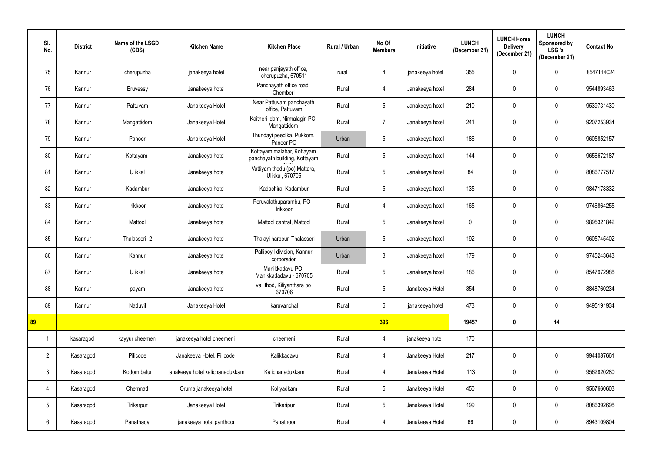|    | SI.<br>No.      | <b>District</b> | Name of the LSGD<br>(CDS) | <b>Kitchen Name</b>             | <b>Kitchen Place</b>                                        | Rural / Urban | No Of<br><b>Members</b> | Initiative      | <b>LUNCH</b><br>(December 21) | <b>LUNCH Home</b><br><b>Delivery</b><br>(December 21) | <b>LUNCH</b><br><b>Sponsored by</b><br><b>LSGI's</b><br>(December 21) | <b>Contact No</b> |
|----|-----------------|-----------------|---------------------------|---------------------------------|-------------------------------------------------------------|---------------|-------------------------|-----------------|-------------------------------|-------------------------------------------------------|-----------------------------------------------------------------------|-------------------|
|    | 75              | Kannur          | cherupuzha                | janakeeya hotel                 | near panjayath office,<br>cherupuzha, 670511                | rural         | $\overline{4}$          | janakeeya hotel | 355                           | $\mathbf 0$                                           | $\mathbf 0$                                                           | 8547114024        |
|    | 76              | Kannur          | Eruvessy                  | Janakeeya hotel                 | Panchayath office road,<br>Chemberi                         | Rural         | $\overline{4}$          | Janakeeya hotel | 284                           | 0                                                     | $\mathbf 0$                                                           | 9544893463        |
|    | 77              | Kannur          | Pattuvam                  | Janakeeya Hotel                 | Near Pattuvam panchayath<br>office, Pattuvam                | Rural         | $5\phantom{.0}$         | Janakeeya hotel | 210                           | $\mathbf 0$                                           | $\mathbf 0$                                                           | 9539731430        |
|    | 78              | Kannur          | Mangattidom               | Janakeeya Hotel                 | Kaitheri idam, Nirmalagiri PO,<br>Mangattidom               | Rural         | $\overline{7}$          | Janakeeya hotel | 241                           | 0                                                     | $\mathbf 0$                                                           | 9207253934        |
|    | 79              | Kannur          | Panoor                    | Janakeeya Hotel                 | Thundayi peedika, Pukkom,<br>Panoor PO                      | Urban         | $5\phantom{.0}$         | Janakeeya hotel | 186                           | 0                                                     | $\mathbf 0$                                                           | 9605852157        |
|    | 80              | Kannur          | Kottayam                  | Janakeeya hotel                 | Kottayam malabar, Kottayam<br>panchayath building, Kottayam | Rural         | $5\phantom{.0}$         | Janakeeya hotel | 144                           | 0                                                     | $\mathbf 0$                                                           | 9656672187        |
|    | 81              | Kannur          | Ulikkal                   | Janakeeya hotel                 | Vattiyam thodu (po) Mattara,<br><b>Ulikkal, 670705</b>      | Rural         | $5\phantom{.0}$         | Janakeeya hotel | 84                            | $\mathbf 0$                                           | $\mathbf 0$                                                           | 8086777517        |
|    | 82              | Kannur          | Kadambur                  | Janakeeya hotel                 | Kadachira, Kadambur                                         | Rural         | $5\phantom{.0}$         | Janakeeya hotel | 135                           | 0                                                     | $\mathbf 0$                                                           | 9847178332        |
|    | 83              | Kannur          | Irikkoor                  | Janakeeya hotel                 | Peruvalathuparambu, PO -<br>Irikkoor                        | Rural         | $\overline{4}$          | Janakeeya hotel | 165                           | $\mathbf 0$                                           | $\mathbf 0$                                                           | 9746864255        |
|    | 84              | Kannur          | Mattool                   | Janakeeya hotel                 | Mattool central, Mattool                                    | Rural         | $5\phantom{.0}$         | Janakeeya hotel | $\mathbf 0$                   | $\mathbf 0$                                           | $\mathbf 0$                                                           | 9895321842        |
|    | 85              | Kannur          | Thalasseri -2             | Janakeeya hotel                 | Thalayi harbour, Thalasseri                                 | Urban         | $5\phantom{.0}$         | Janakeeya hotel | 192                           | 0                                                     | $\mathbf 0$                                                           | 9605745402        |
|    | 86              | Kannur          | Kannur                    | Janakeeya hotel                 | Pallipoyil division, Kannur<br>corporation                  | Urban         | $\mathbf{3}$            | Janakeeya hotel | 179                           | 0                                                     | $\mathbf 0$                                                           | 9745243643        |
|    | 87              | Kannur          | Ulikkal                   | Janakeeya hotel                 | Manikkadavu PO,<br>Manikkadadavu - 670705                   | Rural         | 5                       | Janakeeya hotel | 186                           | 0                                                     | $\mathbf 0$                                                           | 8547972988        |
|    | 88              | Kannur          | payam                     | Janakeeya hotel                 | vallithod, Kiliyanthara po<br>670706                        | Rural         | $5\phantom{.0}$         | Janakeeya Hotel | 354                           | $\mathbf 0$                                           | $\mathbf 0$                                                           | 8848760234        |
|    | 89              | Kannur          | Naduvil                   | Janakeeya Hotel                 | karuvanchal                                                 | Rural         | $6\overline{6}$         | janakeeya hotel | 473                           | $\mathbf 0$                                           | $\mathbf 0$                                                           | 9495191934        |
| 89 |                 |                 |                           |                                 |                                                             |               | 396                     |                 | 19457                         | $\mathbf 0$                                           | 14                                                                    |                   |
|    |                 | kasaragod       | kayyur cheemeni           | janakeeya hotel cheemeni        | cheemeni                                                    | Rural         | $\overline{4}$          | janakeeya hotel | 170                           |                                                       |                                                                       |                   |
|    | $\overline{2}$  | Kasaragod       | Pilicode                  | Janakeeya Hotel, Pilicode       | Kalikkadavu                                                 | Rural         | $\overline{4}$          | Janakeeya Hotel | 217                           | $\mathbf 0$                                           | $\mathbf 0$                                                           | 9944087661        |
|    | $\mathbf{3}$    | Kasaragod       | Kodom belur               | janakeeya hotel kalichanadukkam | Kalichanadukkam                                             | Rural         | $\overline{4}$          | Janakeeya Hotel | 113                           | $\mathbf 0$                                           | $\mathbf 0$                                                           | 9562820280        |
|    | 4               | Kasaragod       | Chemnad                   | Oruma janakeeya hotel           | Koliyadkam                                                  | Rural         | $5\overline{)}$         | Janakeeya Hotel | 450                           | $\mathbf 0$                                           | $\mathbf 0$                                                           | 9567660603        |
|    | $5\phantom{.0}$ | Kasaragod       | Trikarpur                 | Janakeeya Hotel                 | Trikaripur                                                  | Rural         | 5 <sub>5</sub>          | Janakeeya Hotel | 199                           | $\mathbf 0$                                           | $\mathbf 0$                                                           | 8086392698        |
|    | 6               | Kasaragod       | Panathady                 | janakeeya hotel panthoor        | Panathoor                                                   | Rural         | $\overline{4}$          | Janakeeya Hotel | 66                            | $\pmb{0}$                                             | $\mathbf 0$                                                           | 8943109804        |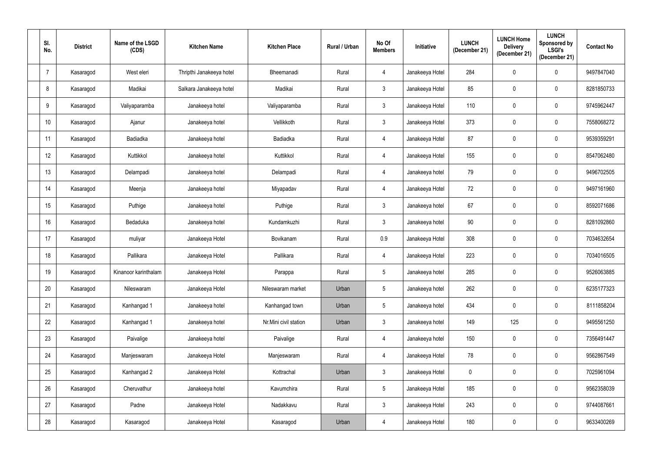| SI.<br>No.      | <b>District</b> | Name of the LSGD<br>(CDS) | <b>Kitchen Name</b>      | <b>Kitchen Place</b>  | Rural / Urban | No Of<br><b>Members</b> | Initiative      | <b>LUNCH</b><br>(December 21) | <b>LUNCH Home</b><br><b>Delivery</b><br>(December 21) | <b>LUNCH</b><br><b>Sponsored by</b><br><b>LSGI's</b><br>(December 21) | <b>Contact No</b> |
|-----------------|-----------------|---------------------------|--------------------------|-----------------------|---------------|-------------------------|-----------------|-------------------------------|-------------------------------------------------------|-----------------------------------------------------------------------|-------------------|
|                 | Kasaragod       | West eleri                | Thripthi Janakeeya hotel | Bheemanadi            | Rural         | $\overline{4}$          | Janakeeya Hotel | 284                           | $\mathbf 0$                                           | $\mathbf 0$                                                           | 9497847040        |
| 8               | Kasaragod       | Madikai                   | Salkara Janakeeya hotel  | Madikai               | Rural         | $\mathbf{3}$            | Janakeeya Hotel | 85                            | $\mathbf 0$                                           | $\mathbf 0$                                                           | 8281850733        |
| 9               | Kasaragod       | Valiyaparamba             | Janakeeya hotel          | Valiyaparamba         | Rural         | $\mathbf{3}$            | Janakeeya Hotel | 110                           | $\boldsymbol{0}$                                      | $\mathbf 0$                                                           | 9745962447        |
| 10 <sup>°</sup> | Kasaragod       | Ajanur                    | Janakeeya hotel          | Vellikkoth            | Rural         | $\mathbf{3}$            | Janakeeya Hotel | 373                           | $\mathbf 0$                                           | $\mathbf 0$                                                           | 7558068272        |
| 11              | Kasaragod       | <b>Badiadka</b>           | Janakeeya hotel          | Badiadka              | Rural         | $\overline{4}$          | Janakeeya Hotel | 87                            | $\mathbf 0$                                           | $\mathbf 0$                                                           | 9539359291        |
| 12              | Kasaragod       | Kuttikkol                 | Janakeeya hotel          | Kuttikkol             | Rural         | $\overline{4}$          | Janakeeya Hotel | 155                           | 0                                                     | $\mathbf 0$                                                           | 8547062480        |
| 13              | Kasaragod       | Delampadi                 | Janakeeya hotel          | Delampadi             | Rural         | $\overline{4}$          | Janakeeya hotel | 79                            | $\boldsymbol{0}$                                      | $\mathbf 0$                                                           | 9496702505        |
| 14              | Kasaragod       | Meenja                    | Janakeeya hotel          | Miyapadav             | Rural         | $\overline{4}$          | Janakeeya Hotel | 72                            | $\mathbf 0$                                           | $\mathbf 0$                                                           | 9497161960        |
| 15              | Kasaragod       | Puthige                   | Janakeeya hotel          | Puthige               | Rural         | $\mathbf{3}$            | Janakeeya hotel | 67                            | $\pmb{0}$                                             | $\mathbf 0$                                                           | 8592071686        |
| 16              | Kasaragod       | Bedaduka                  | Janakeeya hotel          | Kundamkuzhi           | Rural         | $\mathbf{3}$            | Janakeeya hotel | 90                            | $\mathbf 0$                                           | $\mathbf 0$                                                           | 8281092860        |
| 17              | Kasaragod       | muliyar                   | Janakeeya Hotel          | Bovikanam             | Rural         | 0.9                     | Janakeeya Hotel | 308                           | $\mathbf 0$                                           | $\mathbf 0$                                                           | 7034632654        |
| 18              | Kasaragod       | Pallikara                 | Janakeeya Hotel          | Pallikara             | Rural         | $\overline{4}$          | Janakeeya Hotel | 223                           | $\boldsymbol{0}$                                      | $\mathbf 0$                                                           | 7034016505        |
| 19              | Kasaragod       | Kinanoor karinthalam      | Janakeeya Hotel          | Parappa               | Rural         | 5                       | Janakeeya hotel | 285                           | 0                                                     | 0                                                                     | 9526063885        |
| 20              | Kasaragod       | Nileswaram                | Janakeeya Hotel          | Nileswaram market     | Urban         | $5\phantom{.0}$         | Janakeeya hotel | 262                           | $\mathbf 0$                                           | $\mathbf 0$                                                           | 6235177323        |
| 21              | Kasaragod       | Kanhangad 1               | Janakeeya hotel          | Kanhangad town        | Urban         | $5\phantom{.0}$         | Janakeeya hotel | 434                           | $\pmb{0}$                                             | $\mathbf 0$                                                           | 8111858204        |
| 22              | Kasaragod       | Kanhangad 1               | Janakeeya hotel          | Nr.Mini civil station | Urban         | $\mathbf{3}$            | Janakeeya hotel | 149                           | 125                                                   | $\mathbf 0$                                                           | 9495561250        |
| 23              | Kasaragod       | Paivalige                 | Janakeeya hotel          | Paivalige             | Rural         | $\overline{4}$          | Janakeeya hotel | 150                           | $\mathbf 0$                                           | $\mathbf 0$                                                           | 7356491447        |
| 24              | Kasaragod       | Manjeswaram               | Janakeeya Hotel          | Manjeswaram           | Rural         | $\overline{4}$          | Janakeeya Hotel | 78                            | $\mathbf 0$                                           | $\mathbf 0$                                                           | 9562867549        |
| 25              | Kasaragod       | Kanhangad 2               | Janakeeya Hotel          | Kottrachal            | Urban         | $\mathbf{3}$            | Janakeeya Hotel | $\pmb{0}$                     | $\mathbf 0$                                           | $\pmb{0}$                                                             | 7025961094        |
| 26              | Kasaragod       | Cheruvathur               | Janakeeya hotel          | Kavumchira            | Rural         | $5\overline{)}$         | Janakeeya Hotel | 185                           | $\mathbf 0$                                           | $\mathbf 0$                                                           | 9562358039        |
| 27              | Kasaragod       | Padne                     | Janakeeya Hotel          | Nadakkavu             | Rural         | $3\overline{3}$         | Janakeeya Hotel | 243                           | $\mathbf 0$                                           | $\mathbf 0$                                                           | 9744087661        |
| 28              | Kasaragod       | Kasaragod                 | Janakeeya Hotel          | Kasaragod             | Urban         | $\overline{4}$          | Janakeeya Hotel | 180                           | $\pmb{0}$                                             | $\mathbf 0$                                                           | 9633400269        |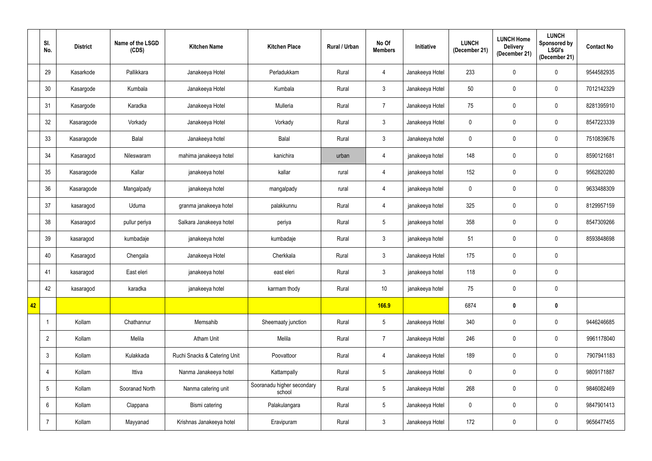|    | SI.<br>No.     | <b>District</b> | Name of the LSGD<br>(CDS) | <b>Kitchen Name</b>          | <b>Kitchen Place</b>                 | Rural / Urban | No Of<br><b>Members</b> | Initiative      | <b>LUNCH</b><br>(December 21) | <b>LUNCH Home</b><br><b>Delivery</b><br>(December 21) | <b>LUNCH</b><br><b>Sponsored by</b><br><b>LSGI's</b><br>(December 21) | <b>Contact No</b> |
|----|----------------|-----------------|---------------------------|------------------------------|--------------------------------------|---------------|-------------------------|-----------------|-------------------------------|-------------------------------------------------------|-----------------------------------------------------------------------|-------------------|
|    | 29             | Kasarkode       | Pallikkara                | Janakeeya Hotel              | Perladukkam                          | Rural         | $\overline{4}$          | Janakeeya Hotel | 233                           | 0                                                     | $\mathbf 0$                                                           | 9544582935        |
|    | 30             | Kasargode       | Kumbala                   | Janakeeya Hotel              | Kumbala                              | Rural         | $\mathbf{3}$            | Janakeeya Hotel | 50                            | 0                                                     | $\mathbf 0$                                                           | 7012142329        |
|    | 31             | Kasargode       | Karadka                   | Janakeeya Hotel              | Mulleria                             | Rural         | $\overline{7}$          | Janakeeya Hotel | 75                            | $\mathbf 0$                                           | $\mathbf 0$                                                           | 8281395910        |
|    | 32             | Kasaragode      | Vorkady                   | Janakeeya Hotel              | Vorkady                              | Rural         | $\mathbf{3}$            | Janakeeya Hotel | 0                             | 0                                                     | $\mathbf 0$                                                           | 8547223339        |
|    | 33             | Kasaragode      | Balal                     | Janakeeya hotel              | Balal                                | Rural         | $\mathbf{3}$            | Janakeeya hotel | 0                             | 0                                                     | $\mathbf 0$                                                           | 7510839676        |
|    | 34             | Kasaragod       | Nileswaram                | mahima janakeeya hotel       | kanichira                            | urban         | $\overline{4}$          | janakeeya hotel | 148                           | 0                                                     | $\mathbf 0$                                                           | 8590121681        |
|    | 35             | Kasaragode      | Kallar                    | janakeeya hotel              | kallar                               | rural         | $\overline{4}$          | janakeeya hotel | 152                           | 0                                                     | $\mathbf 0$                                                           | 9562820280        |
|    | 36             | Kasaragode      | Mangalpady                | janakeeya hotel              | mangalpady                           | rural         | $\overline{4}$          | janakeeya hotel | 0                             | 0                                                     | $\mathbf 0$                                                           | 9633488309        |
|    | 37             | kasaragod       | Uduma                     | granma janakeeya hotel       | palakkunnu                           | Rural         | $\overline{4}$          | janakeeya hotel | 325                           | $\mathbf 0$                                           | $\mathbf 0$                                                           | 8129957159        |
|    | 38             | Kasaragod       | pullur periya             | Salkara Janakeeya hotel      | periya                               | Rural         | $5\phantom{.0}$         | janakeeya hotel | 358                           | $\mathbf 0$                                           | $\mathbf 0$                                                           | 8547309266        |
|    | 39             | kasaragod       | kumbadaje                 | janakeeya hotel              | kumbadaje                            | Rural         | $\mathbf{3}$            | janakeeya hotel | 51                            | 0                                                     | $\mathbf 0$                                                           | 8593848698        |
|    | 40             | Kasaragod       | Chengala                  | Janakeeya Hotel              | Cherkkala                            | Rural         | $\mathbf{3}$            | Janakeeya Hotel | 175                           | $\mathbf 0$                                           | $\mathbf 0$                                                           |                   |
|    | 41             | kasaragod       | East eleri                | janakeeya hotel              | east eleri                           | Rural         | 3                       | janakeeya hotel | 118                           | 0                                                     | $\mathbf 0$                                                           |                   |
|    | 42             | kasaragod       | karadka                   | janakeeya hotel              | karmam thody                         | Rural         | 10 <sup>°</sup>         | janakeeya hotel | 75                            | $\mathbf 0$                                           | $\mathbf 0$                                                           |                   |
| 42 |                |                 |                           |                              |                                      |               | <b>166.9</b>            |                 | 6874                          | $\boldsymbol{0}$                                      | $\mathbf 0$                                                           |                   |
|    | $\overline{1}$ | Kollam          | Chathannur                | Memsahib                     | Sheemaaty junction                   | Rural         | $5\phantom{.0}$         | Janakeeya Hotel | 340                           | $\mathbf 0$                                           | $\mathbf 0$                                                           | 9446246685        |
|    | $\overline{2}$ | Kollam          | Melila                    | Atham Unit                   | Melila                               | Rural         | $\overline{7}$          | Janakeeya Hotel | 246                           | $\mathbf 0$                                           | $\mathbf 0$                                                           | 9961178040        |
|    | $\mathbf{3}$   | Kollam          | Kulakkada                 | Ruchi Snacks & Catering Unit | Poovattoor                           | Rural         | $\overline{4}$          | Janakeeya Hotel | 189                           | $\mathbf 0$                                           | $\mathbf 0$                                                           | 7907941183        |
|    | $\overline{4}$ | Kollam          | Ittiva                    | Nanma Janakeeya hotel        | Kattampally                          | Rural         | $5\phantom{.0}$         | Janakeeya Hotel | 0                             | 0                                                     | $\mathbf 0$                                                           | 9809171887        |
|    | $\overline{5}$ | Kollam          | Sooranad North            | Nanma catering unit          | Sooranadu higher secondary<br>school | Rural         | $5\overline{)}$         | Janakeeya Hotel | 268                           | $\mathbf 0$                                           | $\mathbf 0$                                                           | 9846082469        |
|    | $6\phantom{.}$ | Kollam          | Clappana                  | Bismi catering               | Palakulangara                        | Rural         | $5\phantom{.0}$         | Janakeeya Hotel | $\pmb{0}$                     | $\mathbf 0$                                           | $\mathbf 0$                                                           | 9847901413        |
|    | $\overline{7}$ | Kollam          | Mayyanad                  | Krishnas Janakeeya hotel     | Eravipuram                           | Rural         | $\mathbf{3}$            | Janakeeya Hotel | 172                           | 0                                                     | $\pmb{0}$                                                             | 9656477455        |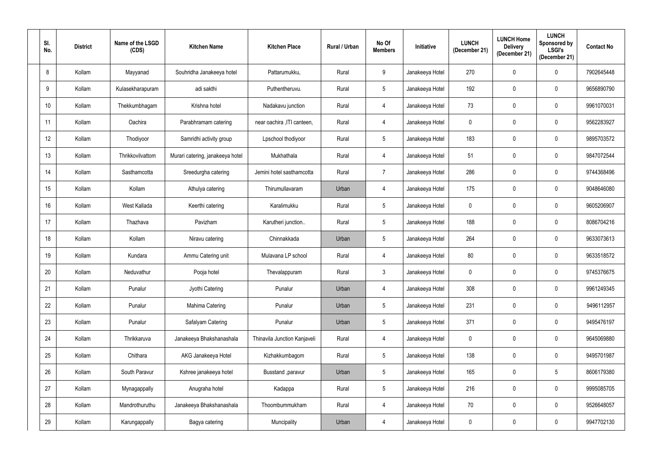| SI.<br>No. | <b>District</b> | Name of the LSGD<br>(CDS) | <b>Kitchen Name</b>              | <b>Kitchen Place</b>         | Rural / Urban | No Of<br><b>Members</b> | <b>Initiative</b> | <b>LUNCH</b><br>(December 21) | <b>LUNCH Home</b><br><b>Delivery</b><br>(December 21) | <b>LUNCH</b><br>Sponsored by<br><b>LSGI's</b><br>(December 21) | <b>Contact No</b> |
|------------|-----------------|---------------------------|----------------------------------|------------------------------|---------------|-------------------------|-------------------|-------------------------------|-------------------------------------------------------|----------------------------------------------------------------|-------------------|
| 8          | Kollam          | Mayyanad                  | Souhridha Janakeeya hotel        | Pattarumukku,                | Rural         | 9                       | Janakeeya Hotel   | 270                           | 0                                                     | 0                                                              | 7902645448        |
| 9          | Kollam          | Kulasekharapuram          | adi sakthi                       | Puthentheruvu.               | Rural         | $5\phantom{.0}$         | Janakeeya Hotel   | 192                           | 0                                                     | $\mathbf 0$                                                    | 9656890790        |
| 10         | Kollam          | Thekkumbhagam             | Krishna hotel                    | Nadakavu junction            | Rural         | 4                       | Janakeeya Hotel   | 73                            | 0                                                     | 0                                                              | 9961070031        |
| 11         | Kollam          | Oachira                   | Parabhramam catering             | near oachira , ITI canteen,  | Rural         | 4                       | Janakeeya Hotel   | $\mathbf 0$                   | 0                                                     | $\mathbf 0$                                                    | 9562283927        |
| 12         | Kollam          | Thodiyoor                 | Samridhi activity group          | Lpschool thodiyoor           | Rural         | $5\,$                   | Janakeeya Hotel   | 183                           | 0                                                     | $\mathbf 0$                                                    | 9895703572        |
| 13         | Kollam          | Thrikkovilvattom          | Murari catering, janakeeya hotel | Mukhathala                   | Rural         | 4                       | Janakeeya Hotel   | 51                            | 0                                                     | $\mathbf 0$                                                    | 9847072544        |
| 14         | Kollam          | Sasthamcotta              | Sreedurgha catering              | Jemini hotel sasthamcotta    | Rural         | $\overline{7}$          | Janakeeya Hotel   | 286                           | 0                                                     | $\mathbf 0$                                                    | 9744368496        |
| 15         | Kollam          | Kollam                    | Athulya catering                 | Thirumullavaram              | Urban         | 4                       | Janakeeya Hotel   | 175                           | 0                                                     | $\mathbf 0$                                                    | 9048646080        |
| 16         | Kollam          | West Kallada              | Keerthi catering                 | Karalimukku                  | Rural         | $\overline{5}$          | Janakeeya Hotel   | $\mathbf 0$                   | 0                                                     | $\mathbf 0$                                                    | 9605206907        |
| 17         | Kollam          | Thazhava                  | Pavizham                         | Karutheri junction           | Rural         | $5\phantom{.0}$         | Janakeeya Hotel   | 188                           | 0                                                     | $\mathbf 0$                                                    | 8086704216        |
| 18         | Kollam          | Kollam                    | Niravu catering                  | Chinnakkada                  | Urban         | $\overline{5}$          | Janakeeya Hotel   | 264                           | 0                                                     | $\mathbf 0$                                                    | 9633073613        |
| 19         | Kollam          | Kundara                   | Ammu Catering unit               | Mulavana LP school           | Rural         | 4                       | Janakeeya Hotel   | 80                            | 0                                                     | $\mathbf 0$                                                    | 9633518572        |
| 20         | Kollam          | Neduvathur                | Pooja hotel                      | Thevalappuram                | Rural         | 3                       | Janakeeya Hotel   | $\mathbf 0$                   |                                                       | $\mathbf 0$                                                    | 9745376675        |
| 21         | Kollam          | Punalur                   | Jyothi Catering                  | Punalur                      | Urban         | $\overline{4}$          | Janakeeya Hotel   | 308                           | 0                                                     | $\mathbf 0$                                                    | 9961249345        |
| 22         | Kollam          | Punalur                   | Mahima Catering                  | Punalur                      | Urban         | $\sqrt{5}$              | Janakeeya Hotel   | 231                           | 0                                                     | $\mathbf 0$                                                    | 9496112957        |
| 23         | Kollam          | Punalur                   | Safalyam Catering                | Punalur                      | Urban         | $5\,$                   | Janakeeya Hotel   | 371                           | 0                                                     | $\mathbf 0$                                                    | 9495476197        |
| 24         | Kollam          | Thrikkaruva               | Janakeeya Bhakshanashala         | Thinavila Junction Kanjaveli | Rural         | $\overline{4}$          | Janakeeya Hotel   | $\mathbf 0$                   | 0                                                     | $\mathbf 0$                                                    | 9645069880        |
| 25         | Kollam          | Chithara                  | AKG Janakeeya Hotel              | Kizhakkumbagom               | Rural         | $5\,$                   | Janakeeya Hotel   | 138                           | 0                                                     | $\mathbf 0$                                                    | 9495701987        |
| 26         | Kollam          | South Paravur             | Kshree janakeeya hotel           | Busstand , paravur           | Urban         | $5\,$                   | Janakeeya Hotel   | 165                           | 0                                                     | $5\phantom{.0}$                                                | 8606179380        |
| 27         | Kollam          | Mynagappally              | Anugraha hotel                   | Kadappa                      | Rural         | $\sqrt{5}$              | Janakeeya Hotel   | 216                           | 0                                                     | $\mathbf 0$                                                    | 9995085705        |
| 28         | Kollam          | Mandrothuruthu            | Janakeeya Bhakshanashala         | Thoombummukham               | Rural         | $\overline{4}$          | Janakeeya Hotel   | 70                            | 0                                                     | $\mathbf 0$                                                    | 9526648057        |
| 29         | Kollam          | Karungappally             | Bagya catering                   | Muncipality                  | Urban         | $\overline{4}$          | Janakeeya Hotel   | $\mathbf 0$                   | 0                                                     | $\overline{0}$                                                 | 9947702130        |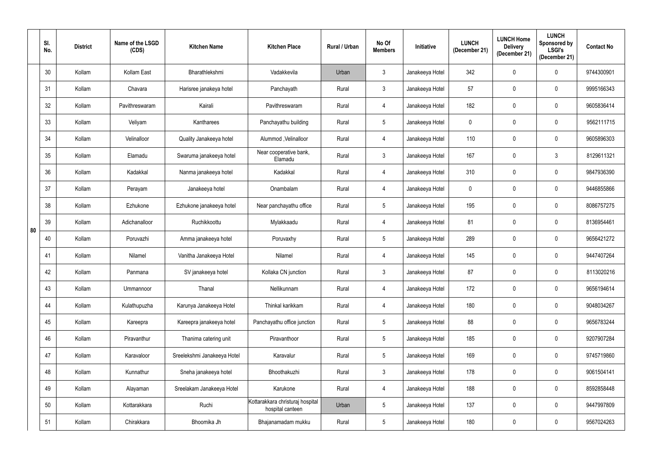|    | SI.<br>No. | <b>District</b> | Name of the LSGD<br>(CDS) | <b>Kitchen Name</b>         | <b>Kitchen Place</b>                                 | Rural / Urban | No Of<br><b>Members</b> | <b>Initiative</b> | <b>LUNCH</b><br>(December 21) | <b>LUNCH Home</b><br><b>Delivery</b><br>(December 21) | <b>LUNCH</b><br>Sponsored by<br><b>LSGI's</b><br>(December 21) | <b>Contact No</b> |
|----|------------|-----------------|---------------------------|-----------------------------|------------------------------------------------------|---------------|-------------------------|-------------------|-------------------------------|-------------------------------------------------------|----------------------------------------------------------------|-------------------|
|    | 30         | Kollam          | Kollam East               | Bharathlekshmi              | Vadakkevila                                          | Urban         | $\mathfrak{Z}$          | Janakeeya Hotel   | 342                           | 0                                                     | $\mathbf 0$                                                    | 9744300901        |
|    | 31         | Kollam          | Chavara                   | Harisree janakeya hotel     | Panchayath                                           | Rural         | $\mathfrak{Z}$          | Janakeeya Hotel   | 57                            | 0                                                     | 0                                                              | 9995166343        |
|    | 32         | Kollam          | Pavithreswaram            | Kairali                     | Pavithreswaram                                       | Rural         | 4                       | Janakeeya Hotel   | 182                           | 0                                                     | $\mathbf 0$                                                    | 9605836414        |
|    | 33         | Kollam          | Veliyam                   | Kantharees                  | Panchayathu building                                 | Rural         | $5\phantom{.0}$         | Janakeeya Hotel   | $\mathbf 0$                   | 0                                                     | $\mathbf 0$                                                    | 9562111715        |
|    | 34         | Kollam          | Velinalloor               | Quality Janakeeya hotel     | Alummod, Velinalloor                                 | Rural         | $\overline{4}$          | Janakeeya Hotel   | 110                           | 0                                                     | $\mathbf 0$                                                    | 9605896303        |
|    | 35         | Kollam          | Elamadu                   | Swaruma janakeeya hotel     | Near cooperative bank,<br>Elamadu                    | Rural         | $\mathfrak{Z}$          | Janakeeya Hotel   | 167                           | 0                                                     | $\mathfrak{Z}$                                                 | 8129611321        |
|    | 36         | Kollam          | Kadakkal                  | Nanma janakeeya hotel       | Kadakkal                                             | Rural         | 4                       | Janakeeya Hotel   | 310                           | 0                                                     | $\mathbf 0$                                                    | 9847936390        |
|    | 37         | Kollam          | Perayam                   | Janakeeya hotel             | Onambalam                                            | Rural         | 4                       | Janakeeya Hotel   | $\mathbf 0$                   | 0                                                     | $\mathbf 0$                                                    | 9446855866        |
|    | 38         | Kollam          | Ezhukone                  | Ezhukone janakeeya hotel    | Near panchayathu office                              | Rural         | $\overline{5}$          | Janakeeya Hotel   | 195                           | 0                                                     | $\mathbf 0$                                                    | 8086757275        |
| 80 | 39         | Kollam          | Adichanalloor             | Ruchikkoottu                | Mylakkaadu                                           | Rural         | 4                       | Janakeeya Hotel   | 81                            | 0                                                     | $\mathbf 0$                                                    | 8136954461        |
|    | 40         | Kollam          | Poruvazhi                 | Amma janakeeya hotel        | Poruvaxhy                                            | Rural         | $\overline{5}$          | Janakeeya Hotel   | 289                           | 0                                                     | $\mathbf 0$                                                    | 9656421272        |
|    | 41         | Kollam          | Nilamel                   | Vanitha Janakeeya Hotel     | Nilamel                                              | Rural         | 4                       | Janakeeya Hotel   | 145                           | 0                                                     | $\mathbf 0$                                                    | 9447407264        |
|    | 42         | Kollam          | Panmana                   | SV janakeeya hotel          | Kollaka CN junction                                  | Rural         | 3                       | Janakeeya Hotel   | 87                            |                                                       | $\mathbf 0$                                                    | 8113020216        |
|    | 43         | Kollam          | Ummannoor                 | Thanal                      | Nellikunnam                                          | Rural         | $\overline{4}$          | Janakeeya Hotel   | 172                           | 0                                                     | $\mathbf 0$                                                    | 9656194614        |
|    | 44         | Kollam          | Kulathupuzha              | Karunya Janakeeya Hotel     | Thinkal karikkam                                     | Rural         | 4                       | Janakeeya Hotel   | 180                           | 0                                                     | $\mathbf 0$                                                    | 9048034267        |
|    | 45         | Kollam          | Kareepra                  | Kareepra janakeeya hotel    | Panchayathu office junction                          | Rural         | $\sqrt{5}$              | Janakeeya Hotel   | 88                            | 0                                                     | $\mathbf 0$                                                    | 9656783244        |
|    | 46         | Kollam          | Piravanthur               | Thanima catering unit       | Piravanthoor                                         | Rural         | $\sqrt{5}$              | Janakeeya Hotel   | 185                           | 0                                                     | $\mathbf 0$                                                    | 9207907284        |
|    | 47         | Kollam          | Karavaloor                | Sreelekshmi Janakeeya Hotel | Karavalur                                            | Rural         | $\overline{5}$          | Janakeeya Hotel   | 169                           | 0                                                     | $\mathbf 0$                                                    | 9745719860        |
|    | 48         | Kollam          | Kunnathur                 | Sneha janakeeya hotel       | Bhoothakuzhi                                         | Rural         | $\mathfrak{Z}$          | Janakeeya Hotel   | 178                           | 0                                                     | $\mathbf 0$                                                    | 9061504141        |
|    | 49         | Kollam          | Alayaman                  | Sreelakam Janakeeya Hotel   | Karukone                                             | Rural         | 4                       | Janakeeya Hotel   | 188                           | 0                                                     | $\mathbf 0$                                                    | 8592858448        |
|    | 50         | Kollam          | Kottarakkara              | Ruchi                       | Kottarakkara christuraj hospital<br>hospital canteen | Urban         | $\sqrt{5}$              | Janakeeya Hotel   | 137                           | 0                                                     | $\mathbf 0$                                                    | 9447997809        |
|    | 51         | Kollam          | Chirakkara                | Bhoomika Jh                 | Bhajanamadam mukku                                   | Rural         | $5\,$                   | Janakeeya Hotel   | 180                           | 0                                                     | $\mathbf 0$                                                    | 9567024263        |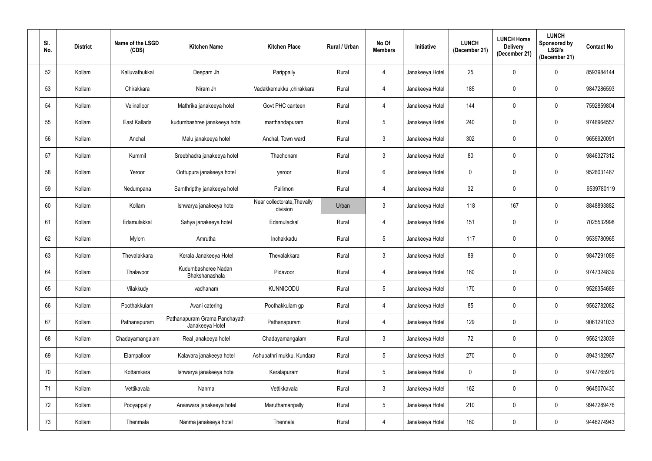| SI.<br>No. | <b>District</b> | Name of the LSGD<br>(CDS) | <b>Kitchen Name</b>                              | <b>Kitchen Place</b>                    | Rural / Urban | No Of<br><b>Members</b> | Initiative      | <b>LUNCH</b><br>(December 21) | <b>LUNCH Home</b><br><b>Delivery</b><br>(December 21) | <b>LUNCH</b><br>Sponsored by<br><b>LSGI's</b><br>(December 21) | <b>Contact No</b> |
|------------|-----------------|---------------------------|--------------------------------------------------|-----------------------------------------|---------------|-------------------------|-----------------|-------------------------------|-------------------------------------------------------|----------------------------------------------------------------|-------------------|
| 52         | Kollam          | Kalluvathukkal            | Deepam Jh                                        | Parippally                              | Rural         | $\overline{4}$          | Janakeeya Hotel | 25                            | $\mathbf 0$                                           | $\mathbf 0$                                                    | 8593984144        |
| 53         | Kollam          | Chirakkara                | Niram Jh                                         | Vadakkemukku ,chirakkara                | Rural         | 4                       | Janakeeya Hotel | 185                           | 0                                                     | 0                                                              | 9847286593        |
| 54         | Kollam          | Velinalloor               | Mathrika janakeeya hotel                         | Govt PHC canteen                        | Rural         | 4                       | Janakeeya Hotel | 144                           | 0                                                     | $\mathbf 0$                                                    | 7592859804        |
| 55         | Kollam          | East Kallada              | kudumbashree janakeeya hotel                     | marthandapuram                          | Rural         | $5\phantom{.0}$         | Janakeeya Hotel | 240                           | 0                                                     | 0                                                              | 9746964557        |
| 56         | Kollam          | Anchal                    | Malu janakeeya hotel                             | Anchal, Town ward                       | Rural         | 3                       | Janakeeya Hotel | 302                           | 0                                                     | $\mathbf 0$                                                    | 9656920091        |
| 57         | Kollam          | Kummil                    | Sreebhadra janakeeya hotel                       | Thachonam                               | Rural         | $\mathfrak{Z}$          | Janakeeya Hotel | 80                            | 0                                                     | $\mathbf 0$                                                    | 9846327312        |
| 58         | Kollam          | Yeroor                    | Oottupura janakeeya hotel                        | yeroor                                  | Rural         | $6\phantom{.}6$         | Janakeeya Hotel | $\mathbf 0$                   | 0                                                     | $\mathbf 0$                                                    | 9526031467        |
| 59         | Kollam          | Nedumpana                 | Samthripthy janakeeya hotel                      | Pallimon                                | Rural         | 4                       | Janakeeya Hotel | 32                            | 0                                                     | $\mathbf 0$                                                    | 9539780119        |
| 60         | Kollam          | Kollam                    | Ishwarya janakeeya hotel                         | Near collectorate, Thevally<br>division | Urban         | $\mathfrak{Z}$          | Janakeeya Hotel | 118                           | 167                                                   | $\mathbf 0$                                                    | 8848893882        |
| 61         | Kollam          | Edamulakkal               | Sahya janakeeya hotel                            | Edamulackal                             | Rural         | 4                       | Janakeeya Hotel | 151                           | 0                                                     | 0                                                              | 7025532998        |
| 62         | Kollam          | Mylom                     | Amrutha                                          | Inchakkadu                              | Rural         | $\overline{5}$          | Janakeeya Hotel | 117                           | 0                                                     | $\mathbf 0$                                                    | 9539780965        |
| 63         | Kollam          | Thevalakkara              | Kerala Janakeeya Hotel                           | Thevalakkara                            | Rural         | $\mathfrak{Z}$          | Janakeeya Hotel | 89                            | 0                                                     | $\mathbf 0$                                                    | 9847291089        |
| 64         | Kollam          | Thalavoor                 | Kudumbasheree Nadan<br>Bhakshanashala            | Pidavoor                                | Rural         |                         | Janakeeya Hotel | 160                           |                                                       | $\mathbf 0$                                                    | 9747324839        |
| 65         | Kollam          | Vilakkudy                 | vadhanam                                         | <b>KUNNICODU</b>                        | Rural         | $\sqrt{5}$              | Janakeeya Hotel | 170                           | 0                                                     | $\mathbf 0$                                                    | 9526354689        |
| 66         | Kollam          | Poothakkulam              | Avani catering                                   | Poothakkulam gp                         | Rural         | $\overline{4}$          | Janakeeya Hotel | 85                            | 0                                                     | $\mathbf 0$                                                    | 9562782082        |
| 67         | Kollam          | Pathanapuram              | Pathanapuram Grama Panchayath<br>Janakeeya Hotel | Pathanapuram                            | Rural         | $\overline{4}$          | Janakeeya Hotel | 129                           | 0                                                     | $\mathbf 0$                                                    | 9061291033        |
| 68         | Kollam          | Chadayamangalam           | Real janakeeya hotel                             | Chadayamangalam                         | Rural         | $\mathfrak{Z}$          | Janakeeya Hotel | $72\,$                        | 0                                                     | $\mathbf 0$                                                    | 9562123039        |
| 69         | Kollam          | Elampalloor               | Kalavara janakeeya hotel                         | Ashupathri mukku, Kundara               | Rural         | $5\,$                   | Janakeeya Hotel | 270                           | 0                                                     | $\mathbf 0$                                                    | 8943182967        |
| 70         | Kollam          | Kottamkara                | Ishwarya janakeeya hotel                         | Keralapuram                             | Rural         | $5\,$                   | Janakeeya Hotel | $\mathbf 0$                   | 0                                                     | $\pmb{0}$                                                      | 9747765979        |
| 71         | Kollam          | Vettikavala               | Nanma                                            | Vettikkavala                            | Rural         | $\mathbf{3}$            | Janakeeya Hotel | 162                           | $\mathbf 0$                                           | $\mathbf 0$                                                    | 9645070430        |
| 72         | Kollam          | Pooyappally               | Anaswara janakeeya hotel                         | Maruthamanpally                         | Rural         | $5\phantom{.0}$         | Janakeeya Hotel | 210                           | 0                                                     | $\pmb{0}$                                                      | 9947289476        |
| 73         | Kollam          | Thenmala                  | Nanma janakeeya hotel                            | Thennala                                | Rural         | $\overline{4}$          | Janakeeya Hotel | 160                           | 0                                                     | $\mathbf 0$                                                    | 9446274943        |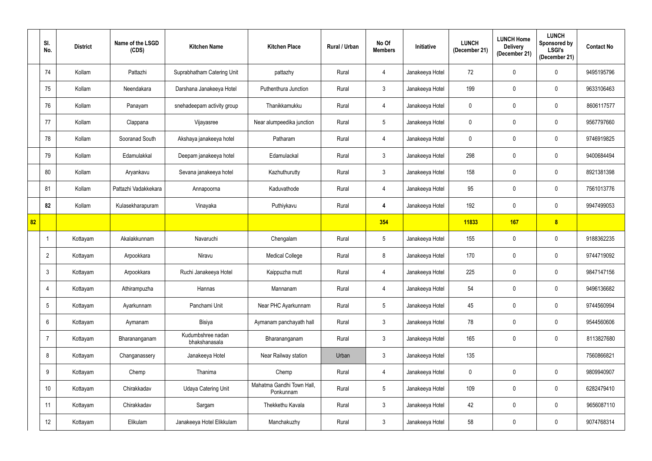|    | SI.<br>No.      | <b>District</b> | Name of the LSGD<br>(CDS) | <b>Kitchen Name</b>                | <b>Kitchen Place</b>                   | Rural / Urban | No Of<br><b>Members</b> | Initiative      | <b>LUNCH</b><br>(December 21) | <b>LUNCH Home</b><br><b>Delivery</b><br>(December 21) | <b>LUNCH</b><br>Sponsored by<br><b>LSGI's</b><br>(December 21) | <b>Contact No</b> |
|----|-----------------|-----------------|---------------------------|------------------------------------|----------------------------------------|---------------|-------------------------|-----------------|-------------------------------|-------------------------------------------------------|----------------------------------------------------------------|-------------------|
|    | 74              | Kollam          | Pattazhi                  | Suprabhatham Catering Unit         | pattazhy                               | Rural         | $\overline{4}$          | Janakeeya Hotel | 72                            | 0                                                     | 0                                                              | 9495195796        |
|    | 75              | Kollam          | Neendakara                | Darshana Janakeeya Hotel           | Puthenthura Junction                   | Rural         | $\mathfrak{Z}$          | Janakeeya Hotel | 199                           | 0                                                     | 0                                                              | 9633106463        |
|    | 76              | Kollam          | Panayam                   | snehadeepam activity group         | Thanikkamukku                          | Rural         | $\overline{4}$          | Janakeeya Hotel | 0                             | 0                                                     | 0                                                              | 8606117577        |
|    | 77              | Kollam          | Clappana                  | Vijayasree                         | Near alumpeedika junction              | Rural         | $\sqrt{5}$              | Janakeeya Hotel | 0                             | 0                                                     | $\mathbf 0$                                                    | 9567797660        |
|    | 78              | Kollam          | Sooranad South            | Akshaya janakeeya hotel            | Patharam                               | Rural         | $\overline{4}$          | Janakeeya Hotel | 0                             | 0                                                     | $\mathbf 0$                                                    | 9746919825        |
|    | 79              | Kollam          | Edamulakkal               | Deepam janakeeya hotel             | Edamulackal                            | Rural         | $\mathfrak{Z}$          | Janakeeya Hotel | 298                           | 0                                                     | $\mathbf 0$                                                    | 9400684494        |
|    | 80              | Kollam          | Aryankavu                 | Sevana janakeeya hotel             | Kazhuthurutty                          | Rural         | $\mathfrak{Z}$          | Janakeeya Hotel | 158                           | 0                                                     | $\mathbf 0$                                                    | 8921381398        |
|    | 81              | Kollam          | Pattazhi Vadakkekara      | Annapoorna                         | Kaduvathode                            | Rural         | $\overline{4}$          | Janakeeya Hotel | 95                            | 0                                                     | $\mathbf 0$                                                    | 7561013776        |
|    | 82              | Kollam          | Kulasekharapuram          | Vinayaka                           | Puthiykavu                             | Rural         | $\boldsymbol{4}$        | Janakeeya Hotel | 192                           | 0                                                     | $\mathbf 0$                                                    | 9947499053        |
| 82 |                 |                 |                           |                                    |                                        |               | 354                     |                 | 11833                         | <b>167</b>                                            | 8                                                              |                   |
|    | -1              | Kottayam        | Akalakkunnam              | Navaruchi                          | Chengalam                              | Rural         | $\sqrt{5}$              | Janakeeya Hotel | 155                           | 0                                                     | $\mathbf 0$                                                    | 9188362235        |
|    | $\overline{2}$  | Kottayam        | Arpookkara                | Niravu                             | <b>Medical College</b>                 | Rural         | 8                       | Janakeeya Hotel | 170                           | 0                                                     | $\mathbf 0$                                                    | 9744719092        |
|    | 3               | Kottayam        | Arpookkara                | Ruchi Janakeeya Hotel              | Kaippuzha mutt                         | Rural         | 4                       | Janakeeya Hotel | 225                           | 0                                                     | $\mathbf 0$                                                    | 9847147156        |
|    | $\overline{4}$  | Kottayam        | Athirampuzha              | Hannas                             | Mannanam                               | Rural         | $\overline{4}$          | Janakeeya Hotel | 54                            | 0                                                     | $\mathbf 0$                                                    | 9496136682        |
|    | $5\phantom{.0}$ | Kottayam        | Ayarkunnam                | Panchami Unit                      | Near PHC Ayarkunnam                    | Rural         | $\sqrt{5}$              | Janakeeya Hotel | 45                            | 0                                                     | $\mathbf 0$                                                    | 9744560994        |
|    | 6               | Kottayam        | Aymanam                   | Bisiya                             | Aymanam panchayath hall                | Rural         | $\mathfrak{Z}$          | Janakeeya Hotel | 78                            | 0                                                     | $\mathbf 0$                                                    | 9544560606        |
|    | $\overline{7}$  | Kottayam        | Bharananganam             | Kudumbshree nadan<br>bhakshanasala | Bharananganam                          | Rural         | $\mathbf{3}$            | Janakeeya Hotel | 165                           | $\mathbf 0$                                           | $\mathbf 0$                                                    | 8113827680        |
|    | 8               | Kottayam        | Changanassery             | Janakeeya Hotel                    | Near Railway station                   | Urban         | $\mathbf{3}$            | Janakeeya Hotel | 135                           |                                                       |                                                                | 7560866821        |
|    | 9               | Kottayam        | Chemp                     | Thanima                            | Chemp                                  | Rural         | $\overline{4}$          | Janakeeya Hotel | $\mathbf 0$                   | $\mathbf 0$                                           | $\mathbf 0$                                                    | 9809940907        |
|    | 10              | Kottayam        | Chirakkadav               | <b>Udaya Catering Unit</b>         | Mahatma Gandhi Town Hall,<br>Ponkunnam | Rural         | $5\,$                   | Janakeeya Hotel | 109                           | 0                                                     | $\mathbf 0$                                                    | 6282479410        |
|    | 11              | Kottayam        | Chirakkadav               | Sargam                             | Thekkethu Kavala                       | Rural         | $\mathfrak{Z}$          | Janakeeya Hotel | 42                            | $\pmb{0}$                                             | $\pmb{0}$                                                      | 9656087110        |
|    | 12              | Kottayam        | Elikulam                  | Janakeeya Hotel Elikkulam          | Manchakuzhy                            | Rural         | $\mathfrak{Z}$          | Janakeeya Hotel | 58                            | 0                                                     | $\mathbf 0$                                                    | 9074768314        |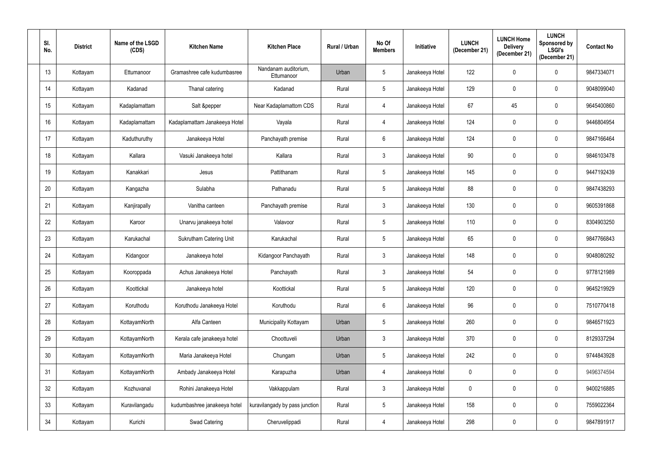| SI.<br>No.       | <b>District</b> | Name of the LSGD<br>(CDS) | <b>Kitchen Name</b>            | <b>Kitchen Place</b>               | Rural / Urban | No Of<br><b>Members</b> | Initiative      | <b>LUNCH</b><br>(December 21) | <b>LUNCH Home</b><br><b>Delivery</b><br>(December 21) | <b>LUNCH</b><br>Sponsored by<br><b>LSGI's</b><br>(December 21) | <b>Contact No</b> |
|------------------|-----------------|---------------------------|--------------------------------|------------------------------------|---------------|-------------------------|-----------------|-------------------------------|-------------------------------------------------------|----------------------------------------------------------------|-------------------|
| 13               | Kottayam        | Ettumanoor                | Gramashree cafe kudumbasree    | Nandanam auditorium,<br>Ettumanoor | Urban         | $\sqrt{5}$              | Janakeeya Hotel | 122                           | 0                                                     | $\mathbf 0$                                                    | 9847334071        |
| 14               | Kottayam        | Kadanad                   | Thanal catering                | Kadanad                            | Rural         | $5\phantom{.0}$         | Janakeeya Hotel | 129                           | 0                                                     | 0                                                              | 9048099040        |
| 15 <sub>15</sub> | Kottayam        | Kadaplamattam             | Salt &pepper                   | Near Kadaplamattom CDS             | Rural         | 4                       | Janakeeya Hotel | 67                            | 45                                                    | 0                                                              | 9645400860        |
| 16               | Kottayam        | Kadaplamattam             | Kadaplamattam Janakeeya Hotel  | Vayala                             | Rural         | 4                       | Janakeeya Hotel | 124                           | 0                                                     | 0                                                              | 9446804954        |
| 17               | Kottayam        | Kaduthuruthy              | Janakeeya Hotel                | Panchayath premise                 | Rural         | $6\phantom{.}6$         | Janakeeya Hotel | 124                           | 0                                                     | $\mathbf 0$                                                    | 9847166464        |
| 18               | Kottayam        | Kallara                   | Vasuki Janakeeya hotel         | Kallara                            | Rural         | $\mathbf{3}$            | Janakeeya Hotel | 90                            | 0                                                     | $\mathbf 0$                                                    | 9846103478        |
| 19               | Kottayam        | Kanakkari                 | Jesus                          | Pattithanam                        | Rural         | $5\phantom{.0}$         | Janakeeya Hotel | 145                           | 0                                                     | $\mathbf 0$                                                    | 9447192439        |
| 20               | Kottayam        | Kangazha                  | Sulabha                        | Pathanadu                          | Rural         | $5\phantom{.0}$         | Janakeeya Hotel | 88                            | 0                                                     | 0                                                              | 9847438293        |
| 21               | Kottayam        | Kanjirapally              | Vanitha canteen                | Panchayath premise                 | Rural         | $\mathfrak{Z}$          | Janakeeya Hotel | 130                           | 0                                                     | $\mathbf 0$                                                    | 9605391868        |
| 22               | Kottayam        | Karoor                    | Unarvu janakeeya hotel         | Valavoor                           | Rural         | $5\phantom{.0}$         | Janakeeya Hotel | 110                           | 0                                                     | 0                                                              | 8304903250        |
| 23               | Kottayam        | Karukachal                | <b>Sukrutham Catering Unit</b> | Karukachal                         | Rural         | $5\phantom{.0}$         | Janakeeya Hotel | 65                            | 0                                                     | $\mathbf 0$                                                    | 9847766843        |
| 24               | Kottayam        | Kidangoor                 | Janakeeya hotel                | Kidangoor Panchayath               | Rural         | $\mathbf{3}$            | Janakeeya Hotel | 148                           | 0                                                     | $\mathbf 0$                                                    | 9048080292        |
| 25               | Kottayam        | Kooroppada                | Achus Janakeeya Hotel          | Panchayath                         | Rural         | 3                       | Janakeeya Hotel | 54                            |                                                       | $\mathbf 0$                                                    | 9778121989        |
| 26               | Kottayam        | Koottickal                | Janakeeya hotel                | Koottickal                         | Rural         | $5\,$                   | Janakeeya Hotel | 120                           | 0                                                     | $\mathbf 0$                                                    | 9645219929        |
| 27               | Kottayam        | Koruthodu                 | Koruthodu Janakeeya Hotel      | Koruthodu                          | Rural         | $6\,$                   | Janakeeya Hotel | 96                            | 0                                                     | $\mathbf 0$                                                    | 7510770418        |
| 28               | Kottayam        | KottayamNorth             | Alfa Canteen                   | Municipality Kottayam              | Urban         | $5\,$                   | Janakeeya Hotel | 260                           | 0                                                     | $\mathbf 0$                                                    | 9846571923        |
| 29               | Kottayam        | KottayamNorth             | Kerala cafe janakeeya hotel    | Choottuveli                        | Urban         | $\mathfrak{Z}$          | Janakeeya Hotel | 370                           | 0                                                     | $\pmb{0}$                                                      | 8129337294        |
| 30 <sup>°</sup>  | Kottayam        | KottayamNorth             | Maria Janakeeya Hotel          | Chungam                            | Urban         | $\sqrt{5}$              | Janakeeya Hotel | 242                           | 0                                                     | $\mathbf 0$                                                    | 9744843928        |
| 31               | Kottayam        | KottayamNorth             | Ambady Janakeeya Hotel         | Karapuzha                          | Urban         | 4                       | Janakeeya Hotel | $\mathbf 0$                   | 0                                                     | $\pmb{0}$                                                      | 9496374594        |
| 32               | Kottayam        | Kozhuvanal                | Rohini Janakeeya Hotel         | Vakkappulam                        | Rural         | $\mathbf{3}$            | Janakeeya Hotel | $\mathbf 0$                   | 0                                                     | $\mathbf 0$                                                    | 9400216885        |
| 33               | Kottayam        | Kuravilangadu             | kudumbashree janakeeya hotel   | kuravilangady by pass junction     | Rural         | $5\phantom{.0}$         | Janakeeya Hotel | 158                           | 0                                                     | $\pmb{0}$                                                      | 7559022364        |
| 34               | Kottayam        | Kurichi                   | Swad Catering                  | Cheruvelippadi                     | Rural         | $\overline{4}$          | Janakeeya Hotel | 298                           | 0                                                     | $\mathbf 0$                                                    | 9847891917        |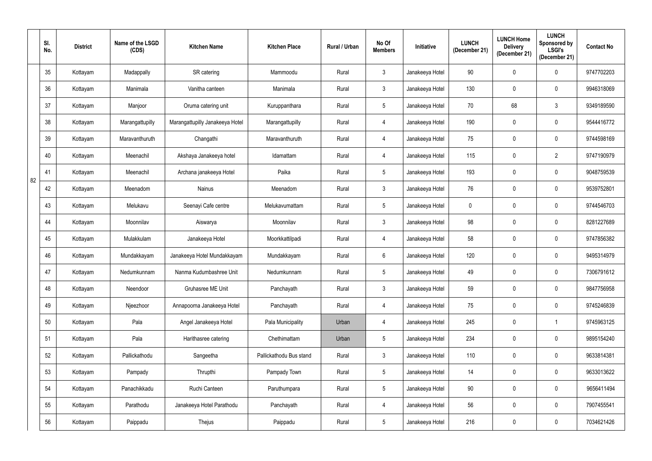|    | SI.<br>No.      | <b>District</b> | Name of the LSGD<br>(CDS) | <b>Kitchen Name</b>             | <b>Kitchen Place</b>    | Rural / Urban | No Of<br><b>Members</b> | Initiative      | <b>LUNCH</b><br>(December 21) | <b>LUNCH Home</b><br><b>Delivery</b><br>(December 21) | <b>LUNCH</b><br>Sponsored by<br><b>LSGI's</b><br>(December 21) | <b>Contact No</b> |
|----|-----------------|-----------------|---------------------------|---------------------------------|-------------------------|---------------|-------------------------|-----------------|-------------------------------|-------------------------------------------------------|----------------------------------------------------------------|-------------------|
|    | 35 <sub>5</sub> | Kottayam        | Madappally                | SR catering                     | Mammoodu                | Rural         | $\mathfrak{Z}$          | Janakeeya Hotel | 90                            | 0                                                     | 0                                                              | 9747702203        |
|    | 36              | Kottayam        | Manimala                  | Vanitha canteen                 | Manimala                | Rural         | 3                       | Janakeeya Hotel | 130                           | 0                                                     | $\mathbf 0$                                                    | 9946318069        |
|    | 37              | Kottayam        | Manjoor                   | Oruma catering unit             | Kuruppanthara           | Rural         | $\sqrt{5}$              | Janakeeya Hotel | 70                            | 68                                                    | $\mathfrak{Z}$                                                 | 9349189590        |
|    | 38              | Kottayam        | Marangattupilly           | Marangattupilly Janakeeya Hotel | Marangattupilly         | Rural         | 4                       | Janakeeya Hotel | 190                           | $\mathbf 0$                                           | $\mathbf 0$                                                    | 9544416772        |
|    | 39              | Kottayam        | Maravanthuruth            | Changathi                       | Maravanthuruth          | Rural         | 4                       | Janakeeya Hotel | 75                            | 0                                                     | $\mathbf 0$                                                    | 9744598169        |
|    | 40              | Kottayam        | Meenachil                 | Akshaya Janakeeya hotel         | Idamattam               | Rural         | $\overline{4}$          | Janakeeya Hotel | 115                           | 0                                                     | $\overline{2}$                                                 | 9747190979        |
|    | 41              | Kottayam        | Meenachil                 | Archana janakeeya Hotel         | Paika                   | Rural         | $5\,$                   | Janakeeya Hotel | 193                           | $\mathbf 0$                                           | $\mathbf 0$                                                    | 9048759539        |
| 82 | 42              | Kottayam        | Meenadom                  | Nainus                          | Meenadom                | Rural         | $\mathfrak{Z}$          | Janakeeya Hotel | 76                            | 0                                                     | 0                                                              | 9539752801        |
|    | 43              | Kottayam        | Melukavu                  | Seenayi Cafe centre             | Melukavumattam          | Rural         | $5\,$                   | Janakeeya Hotel | $\mathbf 0$                   | 0                                                     | $\mathbf 0$                                                    | 9744546703        |
|    | 44              | Kottayam        | Moonnilav                 | Aiswarya                        | Moonnilav               | Rural         | $\mathfrak{Z}$          | Janakeeya Hotel | 98                            | 0                                                     | $\mathbf 0$                                                    | 8281227689        |
|    | 45              | Kottayam        | Mulakkulam                | Janakeeya Hotel                 | Moorkkattilpadi         | Rural         | $\overline{4}$          | Janakeeya Hotel | 58                            | 0                                                     | $\mathbf 0$                                                    | 9747856382        |
|    | 46              | Kottayam        | Mundakkayam               | Janakeeya Hotel Mundakkayam     | Mundakkayam             | Rural         | $6\,$                   | Janakeeya Hotel | 120                           | 0                                                     | $\mathbf 0$                                                    | 9495314979        |
|    | 47              | Kottayam        | Nedumkunnam               | Nanma Kudumbashree Unit         | Nedumkunnam             | Rural         |                         | Janakeeya Hotel | 49                            |                                                       | $\mathbf 0$                                                    | 7306791612        |
|    | 48              | Kottayam        | Neendoor                  | Gruhasree ME Unit               | Panchayath              | Rural         | $\mathbf{3}$            | Janakeeya Hotel | 59                            | 0                                                     | $\mathbf 0$                                                    | 9847756958        |
|    | 49              | Kottayam        | Njeezhoor                 | Annapoorna Janakeeya Hotel      | Panchayath              | Rural         | $\overline{4}$          | Janakeeya Hotel | 75                            | 0                                                     | $\pmb{0}$                                                      | 9745246839        |
|    | 50 <sub>0</sub> | Kottayam        | Pala                      | Angel Janakeeya Hotel           | Pala Municipality       | Urban         | $\overline{4}$          | Janakeeya Hotel | 245                           | 0                                                     | $\overline{1}$                                                 | 9745963125        |
|    | 51              | Kottayam        | Pala                      | Harithasree catering            | Chethimattam            | Urban         | $5\,$                   | Janakeeya Hotel | 234                           | 0                                                     | $\mathbf 0$                                                    | 9895154240        |
|    | 52              | Kottayam        | Pallickathodu             | Sangeetha                       | Pallickathodu Bus stand | Rural         | $\mathfrak{Z}$          | Janakeeya Hotel | 110                           | $\mathbf 0$                                           | $\mathbf 0$                                                    | 9633814381        |
|    | 53              | Kottayam        | Pampady                   | Thrupthi                        | Pampady Town            | Rural         | $5\phantom{.0}$         | Janakeeya Hotel | 14                            | 0                                                     | $\mathbf 0$                                                    | 9633013622        |
|    | 54              | Kottayam        | Panachikkadu              | Ruchi Canteen                   | Paruthumpara            | Rural         | $\sqrt{5}$              | Janakeeya Hotel | $90\,$                        | 0                                                     | $\mathbf 0$                                                    | 9656411494        |
|    | 55              | Kottayam        | Parathodu                 | Janakeeya Hotel Parathodu       | Panchayath              | Rural         | $\overline{4}$          | Janakeeya Hotel | 56                            | 0                                                     | $\mathbf 0$                                                    | 7907455541        |
|    | 56              | Kottayam        | Paippadu                  | Thejus                          | Paippadu                | Rural         | $5\,$                   | Janakeeya Hotel | 216                           | 0                                                     | $\mathbf 0$                                                    | 7034621426        |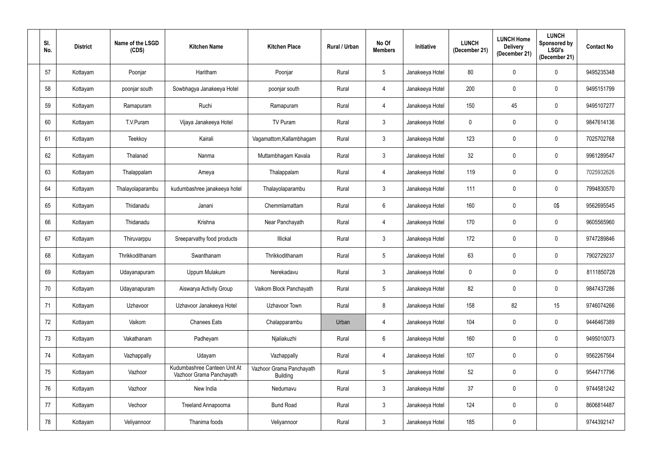| SI.<br>No. | <b>District</b> | Name of the LSGD<br>(CDS) | <b>Kitchen Name</b>                                      | <b>Kitchen Place</b>                        | Rural / Urban | No Of<br><b>Members</b> | Initiative      | <b>LUNCH</b><br>(December 21) | <b>LUNCH Home</b><br><b>Delivery</b><br>(December 21) | <b>LUNCH</b><br>Sponsored by<br><b>LSGI's</b><br>(December 21) | <b>Contact No</b> |
|------------|-----------------|---------------------------|----------------------------------------------------------|---------------------------------------------|---------------|-------------------------|-----------------|-------------------------------|-------------------------------------------------------|----------------------------------------------------------------|-------------------|
| 57         | Kottayam        | Poonjar                   | Haritham                                                 | Poonjar                                     | Rural         | $5\phantom{.0}$         | Janakeeya Hotel | 80                            | 0                                                     | $\mathbf 0$                                                    | 9495235348        |
| 58         | Kottayam        | poonjar south             | Sowbhagya Janakeeya Hotel                                | poonjar south                               | Rural         | 4                       | Janakeeya Hotel | 200                           | 0                                                     | $\mathbf 0$                                                    | 9495151799        |
| 59         | Kottayam        | Ramapuram                 | Ruchi                                                    | Ramapuram                                   | Rural         | 4                       | Janakeeya Hotel | 150                           | 45                                                    | $\mathbf 0$                                                    | 9495107277        |
| 60         | Kottayam        | T.V.Puram                 | Vijaya Janakeeya Hotel                                   | TV Puram                                    | Rural         | $\mathbf{3}$            | Janakeeya Hotel | $\mathbf 0$                   | 0                                                     | $\mathbf 0$                                                    | 9847614136        |
| 61         | Kottayam        | Teekkoy                   | Kairali                                                  | Vagamattom, Kallambhagam                    | Rural         | $\mathfrak{Z}$          | Janakeeya Hotel | 123                           | 0                                                     | $\mathbf 0$                                                    | 7025702768        |
| 62         | Kottayam        | Thalanad                  | Nanma                                                    | Muttambhagam Kavala                         | Rural         | $\mathfrak{Z}$          | Janakeeya Hotel | 32                            | 0                                                     | $\mathbf 0$                                                    | 9961289547        |
| 63         | Kottayam        | Thalappalam               | Ameya                                                    | Thalappalam                                 | Rural         | 4                       | Janakeeya Hotel | 119                           | 0                                                     | $\mathbf 0$                                                    | 7025932626        |
| 64         | Kottayam        | Thalayolaparambu          | kudumbashree janakeeya hotel                             | Thalayolaparambu                            | Rural         | $\mathfrak{Z}$          | Janakeeya Hotel | 111                           | 0                                                     | $\mathbf 0$                                                    | 7994830570        |
| 65         | Kottayam        | Thidanadu                 | Janani                                                   | Chemmlamattam                               | Rural         | $6\phantom{.}$          | Janakeeya Hotel | 160                           | 0                                                     | 0\$                                                            | 9562695545        |
| 66         | Kottayam        | Thidanadu                 | Krishna                                                  | Near Panchayath                             | Rural         | 4                       | Janakeeya Hotel | 170                           | 0                                                     | $\mathbf 0$                                                    | 9605565960        |
| 67         | Kottayam        | Thiruvarppu               | Sreeparvathy food products                               | Illickal                                    | Rural         | $\mathbf{3}$            | Janakeeya Hotel | 172                           | 0                                                     | $\mathbf 0$                                                    | 9747289846        |
| 68         | Kottayam        | Thrikkodithanam           | Swanthanam                                               | Thrikkodithanam                             | Rural         | $\sqrt{5}$              | Janakeeya Hotel | 63                            | 0                                                     | $\mathbf 0$                                                    | 7902729237        |
| 69         | Kottayam        | Udayanapuram              | Uppum Mulakum                                            | Nerekadavu                                  | Rural         | 3                       | Janakeeya Hotel | 0                             |                                                       | $\mathbf 0$                                                    | 8111850728        |
| 70         | Kottayam        | Udayanapuram              | Aiswarya Activity Group                                  | Vaikom Block Panchayath                     | Rural         | $5\,$                   | Janakeeya Hotel | 82                            | 0                                                     | $\mathbf 0$                                                    | 9847437286        |
| 71         | Kottayam        | Uzhavoor                  | Uzhavoor Janakeeya Hotel                                 | Uzhavoor Town                               | Rural         | $\bf 8$                 | Janakeeya Hotel | 158                           | 82                                                    | 15                                                             | 9746074266        |
| 72         | Kottayam        | Vaikom                    | <b>Chanees Eats</b>                                      | Chalapparambu                               | Urban         | 4                       | Janakeeya Hotel | 104                           | 0                                                     | $\mathbf 0$                                                    | 9446467389        |
| 73         | Kottayam        | Vakathanam                | Padheyam                                                 | Njaliakuzhi                                 | Rural         | $6\phantom{.}$          | Janakeeya Hotel | 160                           | 0                                                     | $\mathbf 0$                                                    | 9495010073        |
| 74         | Kottayam        | Vazhappally               | Udayam                                                   | Vazhappally                                 | Rural         | $\overline{4}$          | Janakeeya Hotel | 107                           | 0                                                     | $\mathbf 0$                                                    | 9562267564        |
| 75         | Kottayam        | Vazhoor                   | Kudumbashree Canteen Unit At<br>Vazhoor Grama Panchayath | Vazhoor Grama Panchayath<br><b>Building</b> | Rural         | $5\phantom{.0}$         | Janakeeya Hotel | 52                            | 0                                                     | $\mathbf 0$                                                    | 9544717796        |
| 76         | Kottayam        | Vazhoor                   | New India                                                | Nedumavu                                    | Rural         | $\mathbf{3}$            | Janakeeya Hotel | 37                            | 0                                                     | $\mathbf 0$                                                    | 9744581242        |
| 77         | Kottayam        | Vechoor                   | Treeland Annapoorna                                      | <b>Bund Road</b>                            | Rural         | $\mathbf{3}$            | Janakeeya Hotel | 124                           | 0                                                     | $\mathbf 0$                                                    | 8606814487        |
| 78         | Kottayam        | Veliyannoor               | Thanima foods                                            | Veliyannoor                                 | Rural         | $\mathfrak{Z}$          | Janakeeya Hotel | 185                           | 0                                                     |                                                                | 9744392147        |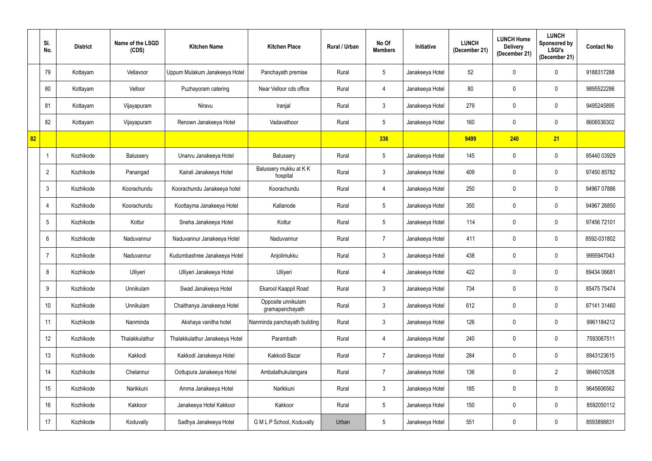|    | SI.<br>No.       | <b>District</b> | Name of the LSGD<br>(CDS) | <b>Kitchen Name</b>            | <b>Kitchen Place</b>                  | Rural / Urban | No Of<br><b>Members</b> | <b>Initiative</b> | <b>LUNCH</b><br>(December 21) | <b>LUNCH Home</b><br><b>Delivery</b><br>(December 21) | <b>LUNCH</b><br>Sponsored by<br><b>LSGI's</b><br>(December 21) | <b>Contact No</b> |
|----|------------------|-----------------|---------------------------|--------------------------------|---------------------------------------|---------------|-------------------------|-------------------|-------------------------------|-------------------------------------------------------|----------------------------------------------------------------|-------------------|
|    | 79               | Kottayam        | Vellavoor                 | Uppum Mulakum Janakeeya Hotel  | Panchayath premise                    | Rural         | $5\phantom{.0}$         | Janakeeya Hotel   | 52                            | 0                                                     | $\mathbf 0$                                                    | 9188317288        |
|    | 80               | Kottayam        | Velloor                   | Puzhayoram catering            | Near Velloor cds office               | Rural         | 4                       | Janakeeya Hotel   | 80                            | 0                                                     | $\mathbf 0$                                                    | 9895522286        |
|    | 81               | Kottayam        | Vijayapuram               | Niravu                         | Iranjal                               | Rural         | $\mathfrak{Z}$          | Janakeeya Hotel   | 279                           | 0                                                     | 0                                                              | 9495245895        |
|    | 82               | Kottayam        | Vijayapuram               | Renown Janakeeya Hotel         | Vadavathoor                           | Rural         | $5\phantom{.0}$         | Janakeeya Hotel   | 160                           | 0                                                     | $\mathbf 0$                                                    | 8606536302        |
| 82 |                  |                 |                           |                                |                                       |               | 336                     |                   | 9499                          | 240                                                   | 21                                                             |                   |
|    |                  | Kozhikode       | Balussery                 | Unarvu Janakeeya Hotel         | Balussery                             | Rural         | $\overline{5}$          | Janakeeya Hotel   | 145                           | 0                                                     | $\mathbf 0$                                                    | 95440 03929       |
|    | $\overline{2}$   | Kozhikode       | Panangad                  | Kairali Janakeeya Hotel        | Balussery mukku at KK<br>hospital     | Rural         | $\mathfrak{Z}$          | Janakeeya Hotel   | 409                           | $\mathbf 0$                                           | $\mathbf 0$                                                    | 97450 85782       |
|    | $\mathbf{3}$     | Kozhikode       | Koorachundu               | Koorachundu Janakeeya hotel    | Koorachundu                           | Rural         | 4                       | Janakeeya Hotel   | 250                           | 0                                                     | $\mathbf 0$                                                    | 94967 07886       |
|    | 4                | Kozhikode       | Koorachundu               | Koottayma Janakeeya Hotel      | Kallanode                             | Rural         | $\overline{5}$          | Janakeeya Hotel   | 350                           | 0                                                     | $\mathbf 0$                                                    | 94967 26850       |
|    | $5\overline{)}$  | Kozhikode       | Kottur                    | Sneha Janakeeya Hotel          | Kottur                                | Rural         | $5\phantom{.0}$         | Janakeeya Hotel   | 114                           | 0                                                     | $\mathbf 0$                                                    | 97456 72101       |
|    | 6                | Kozhikode       | Naduvannur                | Naduvannur Janakeeya Hotel     | Naduvannur                            | Rural         | $\overline{7}$          | Janakeeya Hotel   | 411                           | 0                                                     | $\mathbf 0$                                                    | 8592-031802       |
|    | -7               | Kozhikode       | Naduvannur                | Kudumbashree Janakeeya Hotel   | Anjolimukku                           | Rural         | $\mathfrak{Z}$          | Janakeeya Hotel   | 438                           | 0                                                     | $\mathbf 0$                                                    | 9995947043        |
|    | 8                | Kozhikode       | Ulliyeri                  | Ulliyeri Janakeeya Hotel       | Ulliyeri                              | Rural         | 4                       | Janakeeya Hotel   | 422                           |                                                       | $\mathbf 0$                                                    | 89434 06681       |
|    | 9                | Kozhikode       | Unnikulam                 | Swad Janakeeya Hotel           | Ekarool Kaappil Road                  | Rural         | $\mathfrak{Z}$          | Janakeeya Hotel   | 734                           | 0                                                     | $\mathbf 0$                                                    | 85475 75474       |
|    | 10               | Kozhikode       | Unnikulam                 | Chaithanya Janakeeya Hotel     | Opposite unnikulam<br>gramapanchayath | Rural         | $\mathfrak{Z}$          | Janakeeya Hotel   | 612                           | 0                                                     | $\mathbf 0$                                                    | 87141 31460       |
|    | 11               | Kozhikode       | Nanminda                  | Akshaya vanitha hotel          | Nanminda panchayath building          | Rural         | $\mathfrak{Z}$          | Janakeeya Hotel   | 126                           | 0                                                     | $\mathbf 0$                                                    | 9961184212        |
|    | 12               | Kozhikode       | Thalakkulathur            | Thalakkulathur Janakeeya Hotel | Parambath                             | Rural         | 4                       | Janakeeya Hotel   | 240                           | 0                                                     | $\mathbf 0$                                                    | 7593067511        |
|    | 13               | Kozhikode       | Kakkodi                   | Kakkodi Janakeeya Hotel        | Kakkodi Bazar                         | Rural         | $\overline{7}$          | Janakeeya Hotel   | 284                           | 0                                                     | $\mathbf 0$                                                    | 8943123615        |
|    | 14               | Kozhikode       | Chelannur                 | Oottupura Janakeeya Hotel      | Ambalathukulangara                    | Rural         | $\overline{7}$          | Janakeeya Hotel   | 136                           | 0                                                     | $\overline{2}$                                                 | 9846010528        |
|    | 15 <sub>15</sub> | Kozhikode       | Narikkuni                 | Amma Janakeeya Hotel           | Narikkuni                             | Rural         | $\mathfrak{Z}$          | Janakeeya Hotel   | 185                           | 0                                                     | $\mathbf 0$                                                    | 9645606562        |
|    | $16 \,$          | Kozhikode       | Kakkoor                   | Janakeeya Hotel Kakkoor        | Kakkoor                               | Rural         | $\sqrt{5}$              | Janakeeya Hotel   | 150                           | 0                                                     | $\mathbf 0$                                                    | 8592050112        |
|    | 17               | Kozhikode       | Koduvally                 | Sadhya Janakeeya Hotel         | G M L P School, Koduvally             | Urban         | $5\,$                   | Janakeeya Hotel   | 551                           | 0                                                     | $\mathbf 0$                                                    | 8593898831        |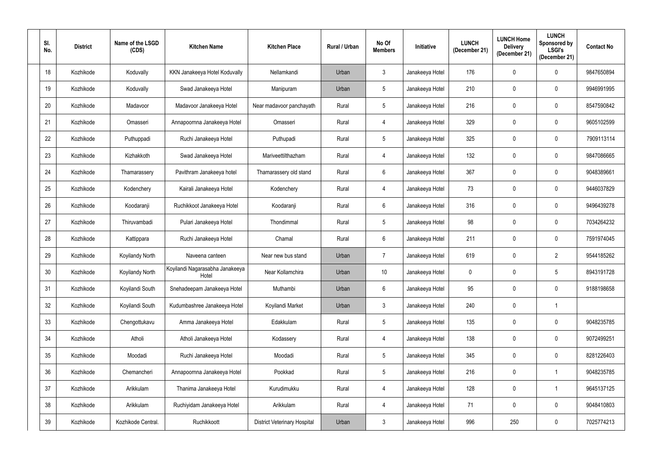| SI.<br>No. | <b>District</b> | Name of the LSGD<br>(CDS) | <b>Kitchen Name</b>                      | <b>Kitchen Place</b>                | <b>Rural / Urban</b> | No Of<br><b>Members</b> | Initiative      | <b>LUNCH</b><br>(December 21) | <b>LUNCH Home</b><br><b>Delivery</b><br>(December 21) | <b>LUNCH</b><br>Sponsored by<br><b>LSGI's</b><br>(December 21) | <b>Contact No</b> |
|------------|-----------------|---------------------------|------------------------------------------|-------------------------------------|----------------------|-------------------------|-----------------|-------------------------------|-------------------------------------------------------|----------------------------------------------------------------|-------------------|
| 18         | Kozhikode       | Koduvally                 | KKN Janakeeya Hotel Koduvally            | Nellamkandi                         | Urban                | $\mathfrak{Z}$          | Janakeeya Hotel | 176                           | 0                                                     | $\mathbf 0$                                                    | 9847650894        |
| 19         | Kozhikode       | Koduvally                 | Swad Janakeeya Hotel                     | Manipuram                           | Urban                | $5\phantom{.0}$         | Janakeeya Hotel | 210                           | 0                                                     | $\mathbf 0$                                                    | 9946991995        |
| 20         | Kozhikode       | Madavoor                  | Madavoor Janakeeya Hotel                 | Near madavoor panchayath            | Rural                | $5\phantom{.0}$         | Janakeeya Hotel | 216                           | 0                                                     | 0                                                              | 8547590842        |
| 21         | Kozhikode       | Omasseri                  | Annapoornna Janakeeya Hotel              | Omasseri                            | Rural                | 4                       | Janakeeya Hotel | 329                           | 0                                                     | $\mathbf 0$                                                    | 9605102599        |
| 22         | Kozhikode       | Puthuppadi                | Ruchi Janakeeya Hotel                    | Puthupadi                           | Rural                | $\overline{5}$          | Janakeeya Hotel | 325                           | 0                                                     | 0                                                              | 7909113114        |
| 23         | Kozhikode       | Kizhakkoth                | Swad Janakeeya Hotel                     | Mariveettilthazham                  | Rural                | 4                       | Janakeeya Hotel | 132                           | 0                                                     | $\mathbf 0$                                                    | 9847086665        |
| 24         | Kozhikode       | Thamarassery              | Pavithram Janakeeya hotel                | Thamarassery old stand              | Rural                | 6                       | Janakeeya Hotel | 367                           | 0                                                     | $\mathbf 0$                                                    | 9048389661        |
| 25         | Kozhikode       | Kodenchery                | Kairali Janakeeya Hotel                  | Kodenchery                          | Rural                | 4                       | Janakeeya Hotel | 73                            | 0                                                     | $\mathbf 0$                                                    | 9446037829        |
| 26         | Kozhikode       | Koodaranji                | Ruchikkoot Janakeeya Hotel               | Koodaranji                          | Rural                | $6\phantom{.}6$         | Janakeeya Hotel | 316                           | 0                                                     | $\mathbf 0$                                                    | 9496439278        |
| 27         | Kozhikode       | Thiruvambadi              | Pulari Janakeeya Hotel                   | Thondimmal                          | Rural                | $5\phantom{.0}$         | Janakeeya Hotel | 98                            | 0                                                     | $\mathbf 0$                                                    | 7034264232        |
| 28         | Kozhikode       | Kattippara                | Ruchi Janakeeya Hotel                    | Chamal                              | Rural                | $6\phantom{.}6$         | Janakeeya Hotel | 211                           | 0                                                     | $\mathbf 0$                                                    | 7591974045        |
| 29         | Kozhikode       | Koyilandy North           | Naveena canteen                          | Near new bus stand                  | Urban                | $\overline{7}$          | Janakeeya Hotel | 619                           | 0                                                     | $\overline{2}$                                                 | 9544185262        |
| 30         | Kozhikode       | Koyilandy North           | Koyilandi Nagarasabha Janakeeya<br>Hotel | Near Kollamchira                    | Urban                | 10 <sup>°</sup>         | Janakeeya Hotel | 0                             |                                                       | 5                                                              | 8943191728        |
| 31         | Kozhikode       | Koyilandi South           | Snehadeepam Janakeeya Hotel              | Muthambi                            | Urban                | $6\,$                   | Janakeeya Hotel | 95                            | $\mathbf 0$                                           | $\mathbf 0$                                                    | 9188198658        |
| 32         | Kozhikode       | Koyilandi South           | Kudumbashree Janakeeya Hotel             | Koyilandi Market                    | Urban                | $\mathfrak{Z}$          | Janakeeya Hotel | 240                           | 0                                                     |                                                                |                   |
| 33         | Kozhikode       | Chengottukavu             | Amma Janakeeya Hotel                     | Edakkulam                           | Rural                | $\sqrt{5}$              | Janakeeya Hotel | 135                           | 0                                                     | $\mathbf 0$                                                    | 9048235785        |
| 34         | Kozhikode       | Atholi                    | Atholi Janakeeya Hotel                   | Kodassery                           | Rural                | 4                       | Janakeeya Hotel | 138                           | 0                                                     | $\mathbf 0$                                                    | 9072499251        |
| 35         | Kozhikode       | Moodadi                   | Ruchi Janakeeya Hotel                    | Moodadi                             | Rural                | $\sqrt{5}$              | Janakeeya Hotel | 345                           | 0                                                     | $\mathbf 0$                                                    | 8281226403        |
| 36         | Kozhikode       | Chemancheri               | Annapoornna Janakeeya Hotel              | Pookkad                             | Rural                | $\sqrt{5}$              | Janakeeya Hotel | 216                           | $\mathbf 0$                                           | $\mathbf 1$                                                    | 9048235785        |
| 37         | Kozhikode       | Arikkulam                 | Thanima Janakeeya Hotel                  | Kurudimukku                         | Rural                | 4                       | Janakeeya Hotel | 128                           | 0                                                     | $\mathbf 1$                                                    | 9645137125        |
| 38         | Kozhikode       | Arikkulam                 | Ruchiyidam Janakeeya Hotel               | Arikkulam                           | Rural                | $\overline{4}$          | Janakeeya Hotel | 71                            | $\mathbf 0$                                           | $\mathbf 0$                                                    | 9048410803        |
| 39         | Kozhikode       | Kozhikode Central.        | Ruchikkoott                              | <b>District Veterinary Hospital</b> | Urban                | $\mathfrak{Z}$          | Janakeeya Hotel | 996                           | 250                                                   | $\mathbf 0$                                                    | 7025774213        |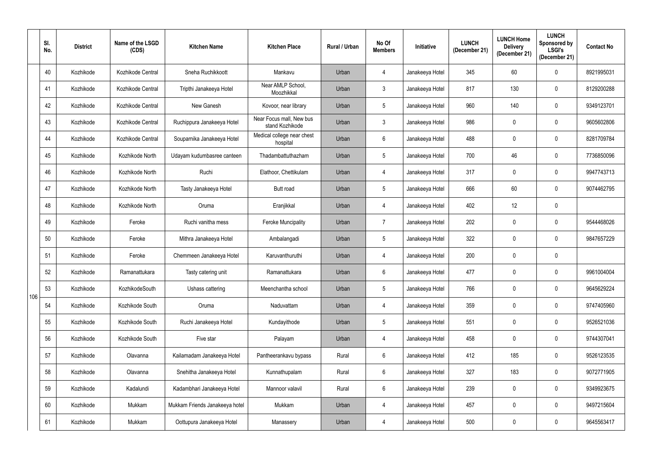|     | SI.<br>No. | <b>District</b> | Name of the LSGD<br>(CDS) | <b>Kitchen Name</b>            | <b>Kitchen Place</b>                        | Rural / Urban | No Of<br><b>Members</b> | Initiative      | <b>LUNCH</b><br>(December 21) | <b>LUNCH Home</b><br><b>Delivery</b><br>(December 21) | <b>LUNCH</b><br>Sponsored by<br><b>LSGI's</b><br>(December 21) | <b>Contact No</b> |
|-----|------------|-----------------|---------------------------|--------------------------------|---------------------------------------------|---------------|-------------------------|-----------------|-------------------------------|-------------------------------------------------------|----------------------------------------------------------------|-------------------|
|     | 40         | Kozhikode       | Kozhikode Central         | Sneha Ruchikkoott              | Mankavu                                     | Urban         | $\overline{4}$          | Janakeeya Hotel | 345                           | 60                                                    | $\mathbf 0$                                                    | 8921995031        |
|     | 41         | Kozhikode       | Kozhikode Central         | Tripthi Janakeeya Hotel        | Near AMLP School,<br>Moozhikkal             | Urban         | $\mathfrak{Z}$          | Janakeeya Hotel | 817                           | 130                                                   | 0                                                              | 8129200288        |
|     | 42         | Kozhikode       | Kozhikode Central         | New Ganesh                     | Kovoor, near library                        | Urban         | $\sqrt{5}$              | Janakeeya Hotel | 960                           | 140                                                   | 0                                                              | 9349123701        |
|     | 43         | Kozhikode       | Kozhikode Central         | Ruchippura Janakeeya Hotel     | Near Focus mall, New bus<br>stand Kozhikode | Urban         | $\mathfrak{Z}$          | Janakeeya Hotel | 986                           | 0                                                     | 0                                                              | 9605602806        |
|     | 44         | Kozhikode       | Kozhikode Central         | Souparnika Janakeeya Hotel     | Medical college near chest<br>hospital      | Urban         | $6\,$                   | Janakeeya Hotel | 488                           | 0                                                     | 0                                                              | 8281709784        |
|     | 45         | Kozhikode       | Kozhikode North           | Udayam kudumbasree canteen     | Thadambattuthazham                          | Urban         | $\overline{5}$          | Janakeeya Hotel | 700                           | 46                                                    | $\mathbf 0$                                                    | 7736850096        |
|     | 46         | Kozhikode       | Kozhikode North           | Ruchi                          | Elathoor, Chettikulam                       | Urban         | 4                       | Janakeeya Hotel | 317                           | 0                                                     | $\mathbf 0$                                                    | 9947743713        |
|     | 47         | Kozhikode       | Kozhikode North           | Tasty Janakeeya Hotel          | Butt road                                   | Urban         | $\sqrt{5}$              | Janakeeya Hotel | 666                           | 60                                                    | $\mathbf 0$                                                    | 9074462795        |
|     | 48         | Kozhikode       | Kozhikode North           | Oruma                          | Eranjikkal                                  | Urban         | $\overline{4}$          | Janakeeya Hotel | 402                           | 12                                                    | 0                                                              |                   |
|     | 49         | Kozhikode       | Feroke                    | Ruchi vanitha mess             | <b>Feroke Muncipality</b>                   | Urban         | $\overline{7}$          | Janakeeya Hotel | 202                           | 0                                                     | 0                                                              | 9544468026        |
|     | 50         | Kozhikode       | Feroke                    | Mithra Janakeeya Hotel         | Ambalangadi                                 | Urban         | $\sqrt{5}$              | Janakeeya Hotel | 322                           | 0                                                     | $\mathbf 0$                                                    | 9847657229        |
|     | 51         | Kozhikode       | Feroke                    | Chemmeen Janakeeya Hotel       | Karuvanthuruthi                             | Urban         | $\overline{4}$          | Janakeeya Hotel | 200                           | 0                                                     | 0                                                              |                   |
|     | 52         | Kozhikode       | Ramanattukara             | Tasty catering unit            | Ramanattukara                               | Urban         | $6\phantom{1}6$         | Janakeeya Hotel | 477                           |                                                       | 0                                                              | 9961004004        |
|     | 53         | Kozhikode       | KozhikodeSouth            | Ushass cattering               | Meenchantha school                          | Urban         | $5\,$                   | Janakeeya Hotel | 766                           | 0                                                     | $\mathbf 0$                                                    | 9645629224        |
| 106 | 54         | Kozhikode       | Kozhikode South           | Oruma                          | Naduvattam                                  | Urban         | $\overline{4}$          | Janakeeya Hotel | 359                           | 0                                                     | $\mathbf 0$                                                    | 9747405960        |
|     | 55         | Kozhikode       | Kozhikode South           | Ruchi Janakeeya Hotel          | Kundayithode                                | Urban         | $\sqrt{5}$              | Janakeeya Hotel | 551                           | 0                                                     | $\mathbf 0$                                                    | 9526521036        |
|     | 56         | Kozhikode       | Kozhikode South           | Five star                      | Palayam                                     | Urban         | $\overline{4}$          | Janakeeya Hotel | 458                           | 0                                                     | $\mathbf 0$                                                    | 9744307041        |
|     | 57         | Kozhikode       | Olavanna                  | Kailamadam Janakeeya Hotel     | Pantheerankavu bypass                       | Rural         | $\,6\,$                 | Janakeeya Hotel | 412                           | 185                                                   | $\mathbf 0$                                                    | 9526123535        |
|     | 58         | Kozhikode       | Olavanna                  | Snehitha Janakeeya Hotel       | Kunnathupalam                               | Rural         | $6\phantom{.}$          | Janakeeya Hotel | 327                           | 183                                                   | $\mathbf 0$                                                    | 9072771905        |
|     | 59         | Kozhikode       | Kadalundi                 | Kadambhari Janakeeya Hotel     | Mannoor valavil                             | Rural         | $6\,$                   | Janakeeya Hotel | 239                           | 0                                                     | $\mathbf 0$                                                    | 9349923675        |
|     | 60         | Kozhikode       | Mukkam                    | Mukkam Friends Janakeeya hotel | Mukkam                                      | Urban         | $\overline{4}$          | Janakeeya Hotel | 457                           | 0                                                     | $\mathbf 0$                                                    | 9497215604        |
|     | 61         | Kozhikode       | Mukkam                    | Oottupura Janakeeya Hotel      | Manassery                                   | Urban         | $\overline{4}$          | Janakeeya Hotel | 500                           | 0                                                     | $\mathbf 0$                                                    | 9645563417        |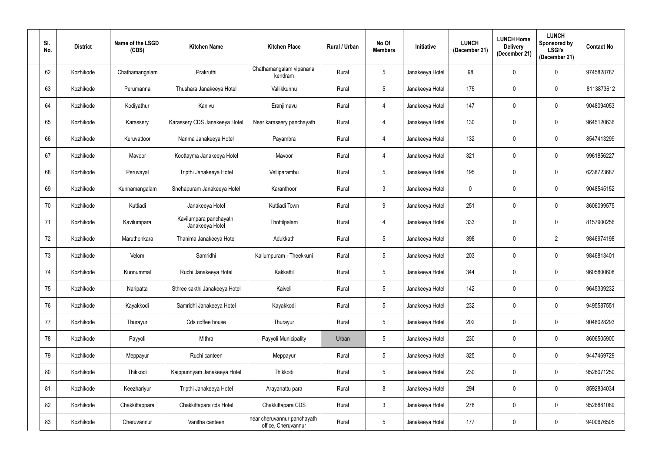| SI.<br>No. | <b>District</b> | Name of the LSGD<br>(CDS) | <b>Kitchen Name</b>                       | <b>Kitchen Place</b>                               | <b>Rural / Urban</b> | No Of<br><b>Members</b> | Initiative      | <b>LUNCH</b><br>(December 21) | <b>LUNCH Home</b><br><b>Delivery</b><br>(December 21) | <b>LUNCH</b><br>Sponsored by<br><b>LSGI's</b><br>(December 21) | <b>Contact No</b> |
|------------|-----------------|---------------------------|-------------------------------------------|----------------------------------------------------|----------------------|-------------------------|-----------------|-------------------------------|-------------------------------------------------------|----------------------------------------------------------------|-------------------|
| 62         | Kozhikode       | Chathamangalam            | Prakruthi                                 | Chathamangalam vipanana<br>kendram                 | Rural                | $5\phantom{.0}$         | Janakeeya Hotel | 98                            | 0                                                     | $\mathbf 0$                                                    | 9745828787        |
| 63         | Kozhikode       | Perumanna                 | Thushara Janakeeya Hotel                  | Vallikkunnu                                        | Rural                | $5\phantom{.0}$         | Janakeeya Hotel | 175                           | 0                                                     | 0                                                              | 8113873612        |
| 64         | Kozhikode       | Kodiyathur                | Kanivu                                    | Eranjimavu                                         | Rural                | 4                       | Janakeeya Hotel | 147                           | 0                                                     | 0                                                              | 9048094053        |
| 65         | Kozhikode       | Karassery                 | Karassery CDS Janakeeya Hotel             | Near karassery panchayath                          | Rural                | $\overline{4}$          | Janakeeya Hotel | 130                           | 0                                                     | $\mathbf 0$                                                    | 9645120636        |
| 66         | Kozhikode       | Kuruvattoor               | Nanma Janakeeya Hotel                     | Payambra                                           | Rural                | 4                       | Janakeeya Hotel | 132                           | 0                                                     | $\mathbf 0$                                                    | 8547413299        |
| 67         | Kozhikode       | Mavoor                    | Koottayma Janakeeya Hotel                 | Mavoor                                             | Rural                | 4                       | Janakeeya Hotel | 321                           | 0                                                     | $\mathbf 0$                                                    | 9961856227        |
| 68         | Kozhikode       | Peruvayal                 | Tripthi Janakeeya Hotel                   | Velliparambu                                       | Rural                | $\overline{5}$          | Janakeeya Hotel | 195                           | 0                                                     | $\mathbf 0$                                                    | 6238723687        |
| 69         | Kozhikode       | Kunnamangalam             | Snehapuram Janakeeya Hotel                | Karanthoor                                         | Rural                | $\mathfrak{Z}$          | Janakeeya Hotel | $\mathbf 0$                   | 0                                                     | $\mathbf 0$                                                    | 9048545152        |
| 70         | Kozhikode       | Kuttiadi                  | Janakeeya Hotel                           | Kuttiadi Town                                      | Rural                | 9                       | Janakeeya Hotel | 251                           | 0                                                     | $\mathbf 0$                                                    | 8606099575        |
| 71         | Kozhikode       | Kavilumpara               | Kavilumpara panchayath<br>Janakeeya Hotel | Thottilpalam                                       | Rural                | 4                       | Janakeeya Hotel | 333                           | 0                                                     | $\mathbf 0$                                                    | 8157900256        |
| 72         | Kozhikode       | Maruthonkara              | Thanima Janakeeya Hotel                   | Adukkath                                           | Rural                | $5\phantom{.0}$         | Janakeeya Hotel | 398                           | 0                                                     | $\overline{2}$                                                 | 9846974198        |
| 73         | Kozhikode       | Velom                     | Samridhi                                  | Kallumpuram - Theekkuni                            | Rural                | $5\phantom{.0}$         | Janakeeya Hotel | 203                           | 0                                                     | $\mathbf 0$                                                    | 9846813401        |
| 74         | Kozhikode       | Kunnummal                 | Ruchi Janakeeya Hotel                     | Kakkattil                                          | Rural                |                         | Janakeeya Hotel | 344                           |                                                       | $\mathbf 0$                                                    | 9605800608        |
| 75         | Kozhikode       | Naripatta                 | Sthree sakthi Janakeeya Hotel             | Kaiveli                                            | Rural                | $5\,$                   | Janakeeya Hotel | 142                           | 0                                                     | $\mathbf 0$                                                    | 9645339232        |
| 76         | Kozhikode       | Kayakkodi                 | Samridhi Janakeeya Hotel                  | Kayakkodi                                          | Rural                | $5\,$                   | Janakeeya Hotel | 232                           | 0                                                     | $\pmb{0}$                                                      | 9495587551        |
| 77         | Kozhikode       | Thurayur                  | Cds coffee house                          | Thurayur                                           | Rural                | $\sqrt{5}$              | Janakeeya Hotel | 202                           | 0                                                     | $\mathbf 0$                                                    | 9048028293        |
| 78         | Kozhikode       | Payyoli                   | Mithra                                    | Payyoli Municipality                               | Urban                | $\overline{5}$          | Janakeeya Hotel | 230                           | 0                                                     | $\mathbf 0$                                                    | 8606505900        |
| 79         | Kozhikode       | Meppayur                  | Ruchi canteen                             | Meppayur                                           | Rural                | $\sqrt{5}$              | Janakeeya Hotel | 325                           | 0                                                     | $\mathbf 0$                                                    | 9447469729        |
| 80         | Kozhikode       | Thikkodi                  | Kaippunnyam Janakeeya Hotel               | Thikkodi                                           | Rural                | $5\phantom{.0}$         | Janakeeya Hotel | 230                           | 0                                                     | $\mathbf 0$                                                    | 9526071250        |
| 81         | Kozhikode       | Keezhariyur               | Tripthi Janakeeya Hotel                   | Arayanattu para                                    | Rural                | $8\,$                   | Janakeeya Hotel | 294                           | 0                                                     | $\mathbf 0$                                                    | 8592834034        |
| 82         | Kozhikode       | Chakkittappara            | Chakkittapara cds Hotel                   | Chakkittapara CDS                                  | Rural                | $\mathbf{3}$            | Janakeeya Hotel | 278                           | 0                                                     | $\mathbf 0$                                                    | 9526881089        |
| 83         | Kozhikode       | Cheruvannur               | Vanitha canteen                           | near cheruvannur panchayath<br>office, Cheruvannur | Rural                | $5\,$                   | Janakeeya Hotel | 177                           | 0                                                     | $\mathbf 0$                                                    | 9400676505        |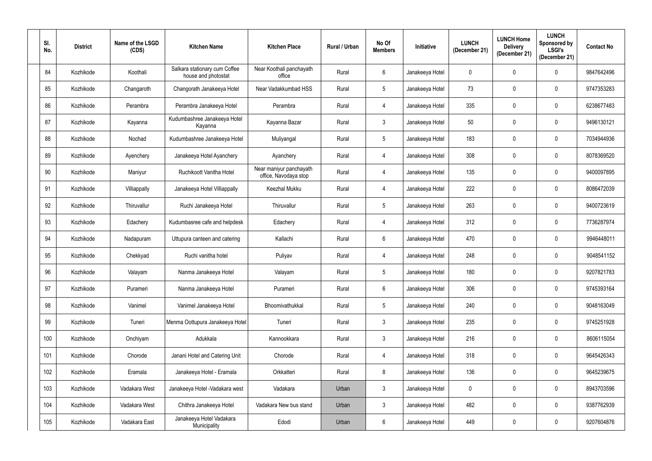| SI.<br>No. | <b>District</b> | Name of the LSGD<br>(CDS) | <b>Kitchen Name</b>                                  | <b>Kitchen Place</b>                             | <b>Rural / Urban</b> | No Of<br><b>Members</b> | <b>Initiative</b> | <b>LUNCH</b><br>(December 21) | <b>LUNCH Home</b><br><b>Delivery</b><br>(December 21) | <b>LUNCH</b><br>Sponsored by<br><b>LSGI's</b><br>(December 21) | <b>Contact No</b> |
|------------|-----------------|---------------------------|------------------------------------------------------|--------------------------------------------------|----------------------|-------------------------|-------------------|-------------------------------|-------------------------------------------------------|----------------------------------------------------------------|-------------------|
| 84         | Kozhikode       | Koothali                  | Salkara stationary cum Coffee<br>house and photostat | Near Koothali panchayath<br>office               | Rural                | $6\phantom{.}6$         | Janakeeya Hotel   | $\pmb{0}$                     | 0                                                     | $\mathbf 0$                                                    | 9847642496        |
| 85         | Kozhikode       | Changaroth                | Changorath Janakeeya Hotel                           | Near Vadakkumbad HSS                             | Rural                | $5\phantom{.0}$         | Janakeeya Hotel   | 73                            | 0                                                     | 0                                                              | 9747353283        |
| 86         | Kozhikode       | Perambra                  | Perambra Janakeeya Hotel                             | Perambra                                         | Rural                | 4                       | Janakeeya Hotel   | 335                           | 0                                                     | 0                                                              | 6238677483        |
| 87         | Kozhikode       | Kayanna                   | Kudumbashree Janakeeya Hotel<br>Kayanna              | Kayanna Bazar                                    | Rural                | $\mathbf{3}$            | Janakeeya Hotel   | 50                            | 0                                                     | $\mathbf 0$                                                    | 9496130121        |
| 88         | Kozhikode       | Nochad                    | Kudumbashree Janakeeya Hotel                         | Muliyangal                                       | Rural                | $\sqrt{5}$              | Janakeeya Hotel   | 183                           | 0                                                     | $\mathbf 0$                                                    | 7034944936        |
| 89         | Kozhikode       | Ayenchery                 | Janakeeya Hotel Ayanchery                            | Ayanchery                                        | Rural                | 4                       | Janakeeya Hotel   | 308                           | 0                                                     | $\mathbf 0$                                                    | 8078369520        |
| 90         | Kozhikode       | Maniyur                   | Ruchikoott Vanitha Hotel                             | Near maniyur panchayath<br>office, Navodaya stop | Rural                | 4                       | Janakeeya Hotel   | 135                           | 0                                                     | $\mathbf 0$                                                    | 9400097895        |
| 91         | Kozhikode       | Villiappally              | Janakeeya Hotel Villiappally                         | Keezhal Mukku                                    | Rural                | 4                       | Janakeeya Hotel   | 222                           | 0                                                     | $\mathbf 0$                                                    | 8086472039        |
| 92         | Kozhikode       | Thiruvallur               | Ruchi Janakeeya Hotel                                | Thiruvallur                                      | Rural                | $5\phantom{.0}$         | Janakeeya Hotel   | 263                           | 0                                                     | $\mathbf 0$                                                    | 9400723619        |
| 93         | Kozhikode       | Edachery                  | Kudumbasree cafe and helpdesk                        | Edachery                                         | Rural                | 4                       | Janakeeya Hotel   | 312                           | 0                                                     | $\mathbf 0$                                                    | 7736287974        |
| 94         | Kozhikode       | Nadapuram                 | Uttupura canteen and catering                        | Kallachi                                         | Rural                | $6\phantom{.}6$         | Janakeeya Hotel   | 470                           | 0                                                     | $\mathbf 0$                                                    | 9946448011        |
| 95         | Kozhikode       | Chekkyad                  | Ruchi vanitha hotel                                  | Puliyav                                          | Rural                | 4                       | Janakeeya Hotel   | 248                           | 0                                                     | $\mathbf 0$                                                    | 9048541152        |
| 96         | Kozhikode       | Valayam                   | Nanma Janakeeya Hotel                                | Valayam                                          | Rural                |                         | Janakeeya Hotel   | 180                           |                                                       | $\mathbf 0$                                                    | 9207821783        |
| 97         | Kozhikode       | Purameri                  | Nanma Janakeeya Hotel                                | Purameri                                         | Rural                | $6\,$                   | Janakeeya Hotel   | 306                           | 0                                                     | $\mathbf 0$                                                    | 9745393164        |
| 98         | Kozhikode       | Vanimel                   | Vanimel Janakeeya Hotel                              | Bhoomivathukkal                                  | Rural                | $5\,$                   | Janakeeya Hotel   | 240                           | 0                                                     | $\pmb{0}$                                                      | 9048163049        |
| 99         | Kozhikode       | Tuneri                    | Menma Oottupura Janakeeya Hotel                      | Tuneri                                           | Rural                | $\mathfrak{Z}$          | Janakeeya Hotel   | 235                           | 0                                                     | $\mathbf 0$                                                    | 9745251928        |
| 100        | Kozhikode       | Onchiyam                  | Adukkala                                             | Kannookkara                                      | Rural                | $\mathfrak{Z}$          | Janakeeya Hotel   | 216                           | 0                                                     | $\mathbf 0$                                                    | 8606115054        |
| 101        | Kozhikode       | Chorode                   | Janani Hotel and Catering Unit                       | Chorode                                          | Rural                | 4                       | Janakeeya Hotel   | 318                           | 0                                                     | $\mathbf 0$                                                    | 9645426343        |
| 102        | Kozhikode       | Eramala                   | Janakeeya Hotel - Eramala                            | Orkkatteri                                       | Rural                | $8\,$                   | Janakeeya Hotel   | 136                           | 0                                                     | $\mathbf 0$                                                    | 9645239675        |
| 103        | Kozhikode       | Vadakara West             | Janakeeya Hotel - Vadakara west                      | Vadakara                                         | Urban                | $\mathbf{3}$            | Janakeeya Hotel   | $\mathbf 0$                   | 0                                                     | $\mathbf 0$                                                    | 8943703596        |
| 104        | Kozhikode       | Vadakara West             | Chithra Janakeeya Hotel                              | Vadakara New bus stand                           | Urban                | $\mathbf{3}$            | Janakeeya Hotel   | 482                           | 0                                                     | $\mathbf 0$                                                    | 9387762939        |
| 105        | Kozhikode       | Vadakara East             | Janakeeya Hotel Vadakara<br>Municipality             | Edodi                                            | Urban                | $6\,$                   | Janakeeya Hotel   | 449                           | 0                                                     | $\mathbf 0$                                                    | 9207604876        |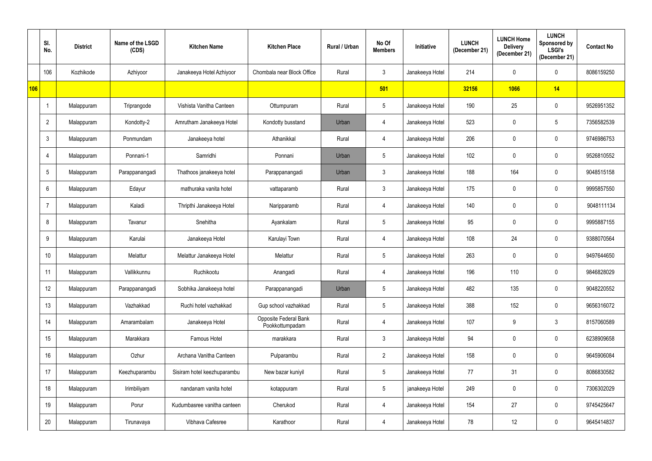|     | SI.<br>No.      | <b>District</b> | Name of the LSGD<br>(CDS) | <b>Kitchen Name</b>         | <b>Kitchen Place</b>                     | Rural / Urban | No Of<br><b>Members</b> | <b>Initiative</b> | <b>LUNCH</b><br>(December 21) | <b>LUNCH Home</b><br><b>Delivery</b><br>(December 21) | <b>LUNCH</b><br>Sponsored by<br><b>LSGI's</b><br>(December 21) | <b>Contact No</b> |
|-----|-----------------|-----------------|---------------------------|-----------------------------|------------------------------------------|---------------|-------------------------|-------------------|-------------------------------|-------------------------------------------------------|----------------------------------------------------------------|-------------------|
|     | 106             | Kozhikode       | Azhiyoor                  | Janakeeya Hotel Azhiyoor    | Chombala near Block Office               | Rural         | $\mathfrak{Z}$          | Janakeeya Hotel   | 214                           | 0                                                     | 0                                                              | 8086159250        |
| 106 |                 |                 |                           |                             |                                          |               | 501                     |                   | 32156                         | 1066                                                  | 14                                                             |                   |
|     | -1              | Malappuram      | Triprangode               | Vishista Vanitha Canteen    | Ottumpuram                               | Rural         | $\sqrt{5}$              | Janakeeya Hotel   | 190                           | 25                                                    | $\mathbf 0$                                                    | 9526951352        |
|     | $\overline{2}$  | Malappuram      | Kondotty-2                | Amrutham Janakeeya Hotel    | Kondotty busstand                        | Urban         | 4                       | Janakeeya Hotel   | 523                           | 0                                                     | 5 <sup>5</sup>                                                 | 7356582539        |
|     | $\mathbf{3}$    | Malappuram      | Ponmundam                 | Janakeeya hotel             | Athanikkal                               | Rural         | $\overline{4}$          | Janakeeya Hotel   | 206                           | 0                                                     | $\mathbf 0$                                                    | 9746986753        |
|     | $\overline{4}$  | Malappuram      | Ponnani-1                 | Samridhi                    | Ponnani                                  | Urban         | $\sqrt{5}$              | Janakeeya Hotel   | 102                           | 0                                                     | $\mathbf 0$                                                    | 9526810552        |
|     | $5\phantom{.0}$ | Malappuram      | Parappanangadi            | Thathoos janakeeya hotel    | Parappanangadi                           | Urban         | $\mathfrak{Z}$          | Janakeeya Hotel   | 188                           | 164                                                   | $\mathbf 0$                                                    | 9048515158        |
|     | 6               | Malappuram      | Edayur                    | mathuraka vanita hotel      | vattaparamb                              | Rural         | $\mathfrak{Z}$          | Janakeeya Hotel   | 175                           | 0                                                     | $\mathbf 0$                                                    | 9995857550        |
|     | $\overline{7}$  | Malappuram      | Kaladi                    | Thripthi Janakeeya Hotel    | Naripparamb                              | Rural         | $\overline{4}$          | Janakeeya Hotel   | 140                           | 0                                                     | $\mathbf 0$                                                    | 9048111134        |
|     | 8               | Malappuram      | Tavanur                   | Snehitha                    | Ayankalam                                | Rural         | $\sqrt{5}$              | Janakeeya Hotel   | 95                            | 0                                                     | $\mathbf 0$                                                    | 9995887155        |
|     | 9               | Malappuram      | Karulai                   | Janakeeya Hotel             | Karulayi Town                            | Rural         | $\overline{4}$          | Janakeeya Hotel   | 108                           | 24                                                    | $\mathbf 0$                                                    | 9388070564        |
|     | 10              | Malappuram      | Melattur                  | Melattur Janakeeya Hotel    | Melattur                                 | Rural         | $\sqrt{5}$              | Janakeeya Hotel   | 263                           | 0                                                     | $\mathbf 0$                                                    | 9497644650        |
|     | 11              | Malappuram      | Vallikkunnu               | Ruchikootu                  | Anangadi                                 | Rural         | 4                       | Janakeeya Hotel   | 196                           | 110                                                   | $\mathbf 0$                                                    | 9846828029        |
|     | 12              | Malappuram      | Parappanangadi            | Sobhika Janakeeya hotel     | Parappanangadi                           | Urban         | $\sqrt{5}$              | Janakeeya Hotel   | 482                           | 135                                                   | $\mathbf 0$                                                    | 9048220552        |
|     | 13              | Malappuram      | Vazhakkad                 | Ruchi hotel vazhakkad       | Gup school vazhakkad                     | Rural         | $\sqrt{5}$              | Janakeeya Hotel   | 388                           | 152                                                   | $\mathbf 0$                                                    | 9656316072        |
|     | 14              | Malappuram      | Amarambalam               | Janakeeya Hotel             | Opposite Federal Bank<br>Pookkottumpadam | Rural         | $\overline{4}$          | Janakeeya Hotel   | 107                           | 9                                                     | 3 <sup>1</sup>                                                 | 8157060589        |
|     | 15              | Malappuram      | Marakkara                 | Famous Hotel                | marakkara                                | Rural         | $\mathfrak{Z}$          | Janakeeya Hotel   | 94                            | 0                                                     | $\mathbf 0$                                                    | 6238909658        |
|     | 16              | Malappuram      | Ozhur                     | Archana Vanitha Canteen     | Pulparambu                               | Rural         | $\overline{2}$          | Janakeeya Hotel   | 158                           | 0                                                     | $\mathbf 0$                                                    | 9645906084        |
|     | 17              | Malappuram      | Keezhuparambu             | Sisiram hotel keezhuparambu | New bazar kuniyil                        | Rural         | $5\,$                   | Janakeeya Hotel   | 77                            | 31                                                    | $\mathbf 0$                                                    | 8086830582        |
|     | 18              | Malappuram      | Irimbiliyam               | nandanam vanita hotel       | kotappuram                               | Rural         | $5\,$                   | janakeeya Hotel   | 249                           | 0                                                     | $\mathbf 0$                                                    | 7306302029        |
|     | 19              | Malappuram      | Porur                     | Kudumbasree vanitha canteen | Cherukod                                 | Rural         | $\overline{4}$          | Janakeeya Hotel   | 154                           | 27                                                    | $\mathbf 0$                                                    | 9745425647        |
|     | 20              | Malappuram      | Tirunavaya                | Vibhava Cafesree            | Karathoor                                | Rural         | $\overline{4}$          | Janakeeya Hotel   | 78                            | 12                                                    | $\mathbf 0$                                                    | 9645414837        |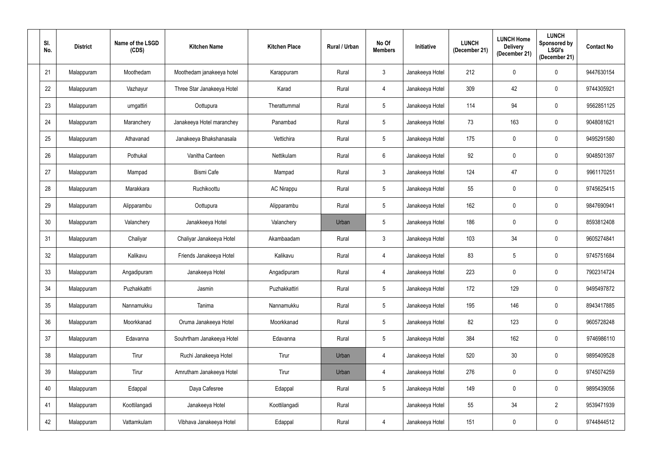| SI.<br>No. | <b>District</b> | Name of the LSGD<br>(CDS) | <b>Kitchen Name</b>        | <b>Kitchen Place</b> | Rural / Urban | No Of<br><b>Members</b> | Initiative      | <b>LUNCH</b><br>(December 21) | <b>LUNCH Home</b><br><b>Delivery</b><br>(December 21) | <b>LUNCH</b><br>Sponsored by<br><b>LSGI's</b><br>(December 21) | <b>Contact No</b> |
|------------|-----------------|---------------------------|----------------------------|----------------------|---------------|-------------------------|-----------------|-------------------------------|-------------------------------------------------------|----------------------------------------------------------------|-------------------|
| 21         | Malappuram      | Moothedam                 | Moothedam janakeeya hotel  | Karappuram           | Rural         | $\mathfrak{Z}$          | Janakeeya Hotel | 212                           | 0                                                     | 0                                                              | 9447630154        |
| 22         | Malappuram      | Vazhayur                  | Three Star Janakeeya Hotel | Karad                | Rural         | 4                       | Janakeeya Hotel | 309                           | 42                                                    | $\mathbf 0$                                                    | 9744305921        |
| 23         | Malappuram      | urngattiri                | Oottupura                  | Therattummal         | Rural         | $\sqrt{5}$              | Janakeeya Hotel | 114                           | 94                                                    | $\mathbf 0$                                                    | 9562851125        |
| 24         | Malappuram      | Maranchery                | Janakeeya Hotel maranchey  | Panambad             | Rural         | $5\phantom{.0}$         | Janakeeya Hotel | 73                            | 163                                                   | $\mathbf 0$                                                    | 9048081621        |
| 25         | Malappuram      | Athavanad                 | Janakeeya Bhakshanasala    | Vettichira           | Rural         | $\sqrt{5}$              | Janakeeya Hotel | 175                           | 0                                                     | $\mathbf 0$                                                    | 9495291580        |
| 26         | Malappuram      | Pothukal                  | Vanitha Canteen            | Nettikulam           | Rural         | $6\phantom{.}6$         | Janakeeya Hotel | 92                            | 0                                                     | $\mathbf 0$                                                    | 9048501397        |
| 27         | Malappuram      | Mampad                    | <b>Bismi Cafe</b>          | Mampad               | Rural         | $\mathbf{3}$            | Janakeeya Hotel | 124                           | 47                                                    | $\mathbf 0$                                                    | 9961170251        |
| 28         | Malappuram      | Marakkara                 | Ruchikoottu                | <b>AC Nirappu</b>    | Rural         | $5\phantom{.0}$         | Janakeeya Hotel | 55                            | 0                                                     | $\mathbf 0$                                                    | 9745625415        |
| 29         | Malappuram      | Alipparambu               | Oottupura                  | Alipparambu          | Rural         | $\sqrt{5}$              | Janakeeya Hotel | 162                           | 0                                                     | $\mathbf 0$                                                    | 9847690941        |
| 30         | Malappuram      | Valanchery                | Janakkeeya Hotel           | Valanchery           | Urban         | $5\phantom{.0}$         | Janakeeya Hotel | 186                           | 0                                                     | $\mathbf 0$                                                    | 8593812408        |
| 31         | Malappuram      | Chaliyar                  | Chaliyar Janakeeya Hotel   | Akambaadam           | Rural         | $\mathbf{3}$            | Janakeeya Hotel | 103                           | 34                                                    | $\mathbf 0$                                                    | 9605274841        |
| 32         | Malappuram      | Kalikavu                  | Friends Janakeeya Hotel    | Kalikavu             | Rural         | 4                       | Janakeeya Hotel | 83                            | 5                                                     | $\mathbf 0$                                                    | 9745751684        |
| 33         | Malappuram      | Angadipuram               | Janakeeya Hotel            | Angadipuram          | Rural         | 4                       | Janakeeya Hotel | 223                           |                                                       | $\mathbf 0$                                                    | 7902314724        |
| 34         | Malappuram      | Puzhakkattri              | Jasmin                     | Puzhakkattiri        | Rural         | $5\,$                   | Janakeeya Hotel | 172                           | 129                                                   | $\mathbf 0$                                                    | 9495497872        |
| 35         | Malappuram      | Nannamukku                | Tanima                     | Nannamukku           | Rural         | $5\,$                   | Janakeeya Hotel | 195                           | 146                                                   | $\pmb{0}$                                                      | 8943417885        |
| 36         | Malappuram      | Moorkkanad                | Oruma Janakeeya Hotel      | Moorkkanad           | Rural         | $\sqrt{5}$              | Janakeeya Hotel | 82                            | 123                                                   | $\mathbf 0$                                                    | 9605728248        |
| 37         | Malappuram      | Edavanna                  | Souhrtham Janakeeya Hotel  | Edavanna             | Rural         | $\sqrt{5}$              | Janakeeya Hotel | 384                           | 162                                                   | $\mathbf 0$                                                    | 9746986110        |
| 38         | Malappuram      | Tirur                     | Ruchi Janakeeya Hotel      | Tirur                | Urban         | $\overline{4}$          | Janakeeya Hotel | 520                           | 30                                                    | $\mathbf 0$                                                    | 9895409528        |
| 39         | Malappuram      | Tirur                     | Amrutham Janakeeya Hotel   | Tirur                | Urban         | 4                       | Janakeeya Hotel | 276                           | $\mathbf 0$                                           | $\mathbf 0$                                                    | 9745074259        |
| 40         | Malappuram      | Edappal                   | Daya Cafesree              | Edappal              | Rural         | $5\phantom{.0}$         | Janakeeya Hotel | 149                           | 0                                                     | $\mathbf 0$                                                    | 9895439056        |
| 41         | Malappuram      | Koottilangadi             | Janakeeya Hotel            | Koottilangadi        | Rural         |                         | Janakeeya Hotel | 55                            | 34                                                    | $\overline{2}$                                                 | 9539471939        |
| 42         | Malappuram      | Vattamkulam               | Vibhava Janakeeya Hotel    | Edappal              | Rural         | $\overline{4}$          | Janakeeya Hotel | 151                           | 0                                                     | $\mathbf 0$                                                    | 9744844512        |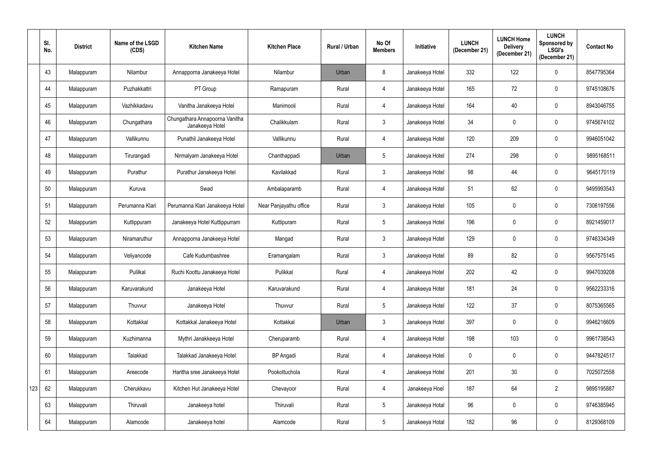|     | SI.<br>No. | <b>District</b> | Name of the LSGD<br>(CDS) | <b>Kitchen Name</b>                               | <b>Kitchen Place</b>   | Rural / Urban | No Of<br><b>Members</b> | Initiative      | <b>LUNCH</b><br>(December 21) | <b>LUNCH Home</b><br><b>Delivery</b><br>(December 21) | <b>LUNCH</b><br>Sponsored by<br><b>LSGI's</b><br>(December 21) | <b>Contact No</b> |
|-----|------------|-----------------|---------------------------|---------------------------------------------------|------------------------|---------------|-------------------------|-----------------|-------------------------------|-------------------------------------------------------|----------------------------------------------------------------|-------------------|
|     | 43         | Malappuram      | Nilambur                  | Annapporna Janakeeya Hotel                        | Nilambur               | Urban         | $\boldsymbol{8}$        | Janakeeya Hotel | 332                           | 122                                                   | 0                                                              | 8547795364        |
|     | 44         | Malappuram      | Puzhakkattri              | PT Group                                          | Ramapuram              | Rural         | 4                       | Janakeeya Hotel | 165                           | 72                                                    | 0                                                              | 9745108676        |
|     | 45         | Malappuram      | Vazhikkadavu              | Vanitha Janakeeya Hotel                           | Manimooli              | Rural         | $\overline{4}$          | Janakeeya Hotel | 164                           | 40                                                    | 0                                                              | 8943046755        |
|     | 46         | Malappuram      | Chungathara               | Chungathara Annapoorna Vanitha<br>Janakeeya Hotel | Chalikkulam            | Rural         | $\mathbf{3}$            | Janakeeya Hotel | 34                            | 0                                                     | 0                                                              | 9745674102        |
|     | 47         | Malappuram      | Vallikunnu                | Punathil Janakeeya Hotel                          | Vallikunnu             | Rural         | $\overline{4}$          | Janakeeya Hotel | 120                           | 209                                                   | $\mathbf 0$                                                    | 9946051042        |
|     | 48         | Malappuram      | Tirurangadi               | Nirmalyam Janakeeya Hotel                         | Chanthappadi           | Urban         | $5\phantom{.0}$         | Janakeeya Hotel | 274                           | 298                                                   | $\mathbf 0$                                                    | 9895168511        |
|     | 49         | Malappuram      | Purathur                  | Purathur Janakeeya Hotel                          | Kavilakkad             | Rural         | $\mathfrak{Z}$          | Janakeeya Hotel | 98                            | 44                                                    | $\mathbf 0$                                                    | 9645170119        |
|     | 50         | Malappuram      | Kuruva                    | Swad                                              | Ambalaparamb           | Rural         | $\overline{4}$          | Janakeeya Hotel | 51                            | 62                                                    | $\mathbf 0$                                                    | 9495993543        |
|     | 51         | Malappuram      | Perumanna Klari           | Perumanna Klari Janakeeya Hotel                   | Near Panjayathu office | Rural         | $\mathbf{3}$            | Janakeeya Hotel | 105                           | 0                                                     | $\mathbf 0$                                                    | 7306197556        |
|     | 52         | Malappuram      | Kuttippuram               | Janakeeya Hotel Kuttippurram                      | Kuttipuram             | Rural         | $5\phantom{.0}$         | Janakeeya Hotel | 196                           | 0                                                     | $\mathbf 0$                                                    | 8921459017        |
|     | 53         | Malappuram      | Niramaruthur              | Annapporna Janakeeya Hotel                        | Mangad                 | Rural         | $\mathbf{3}$            | Janakeeya Hotel | 129                           | 0                                                     | $\mathbf 0$                                                    | 9746334349        |
|     | 54         | Malappuram      | Veliyancode               | Cafe Kudumbashree                                 | Eramangalam            | Rural         | $\mathbf{3}$            | Janakeeya Hotel | 89                            | 82                                                    | $\mathbf 0$                                                    | 9567575145        |
|     | 55         | Malappuram      | Pulilkal                  | Ruchi Koottu Janakeeya Hotel                      | Pulikkal               | Rural         | 4                       | Janakeeya Hotel | 202                           | 42                                                    | 0                                                              | 9947039208        |
|     | 56         | Malappuram      | Karuvarakund              | Janakeeya Hotel                                   | Karuvarakund           | Rural         | $\overline{4}$          | Janakeeya Hotel | 181                           | 24                                                    | $\mathbf 0$                                                    | 9562233316        |
|     | 57         | Malappuram      | Thuvvur                   | Janakeeya Hotel                                   | Thuvvur                | Rural         | $5\,$                   | Janakeeya Hotel | 122                           | 37                                                    | $\mathbf 0$                                                    | 8075365565        |
|     | 58         | Malappuram      | Kottakkal                 | Kottakkal Janakeeya Hotel                         | Kottakkal              | Urban         | $\mathfrak{Z}$          | Janakeeya Hotel | 397                           | 0                                                     | $\mathbf 0$                                                    | 9946216609        |
|     | 59         | Malappuram      | Kuzhimanna                | Mythri Janakkeeya Hotel                           | Cheruparamb            | Rural         | 4                       | Janakeeya Hotel | 198                           | 103                                                   | $\mathbf 0$                                                    | 9961738543        |
|     | 60         | Malappuram      | Talakkad                  | Talakkad Janakeeya Hotel                          | <b>BP</b> Angadi       | Rural         | 4                       | Janakeeya Hotel | 0                             | 0                                                     | $\mathbf 0$                                                    | 9447824517        |
|     | 61         | Malappuram      | Areecode                  | Haritha sree Janakeeya Hotel                      | Pookottuchola          | Rural         | $\overline{4}$          | Janakeeya Hotel | 201                           | 30 <sub>o</sub>                                       | $\mathbf 0$                                                    | 7025072558        |
| 123 | 62         | Malappuram      | Cherukkavu                | Kitchen Hut Janakeeya Hotel                       | Chevayoor              | Rural         | $\overline{4}$          | Janakeeya Hoel  | 187                           | 64                                                    | $2^{\circ}$                                                    | 9895195887        |
|     | 63         | Malappuram      | Thiruvali                 | Janakeeya hotel                                   | Thiruvali              | Rural         | $5\,$                   | Janakeeya Hotal | 96                            | $\mathbf 0$                                           | $\pmb{0}$                                                      | 9746385945        |
|     | 64         | Malappuram      | Alamcode                  | Janakeeya hotel                                   | Alamcode               | Rural         | $5\,$                   | Janakeeya Hotal | 182                           | 96                                                    | $\mathbf 0$                                                    | 8129368109        |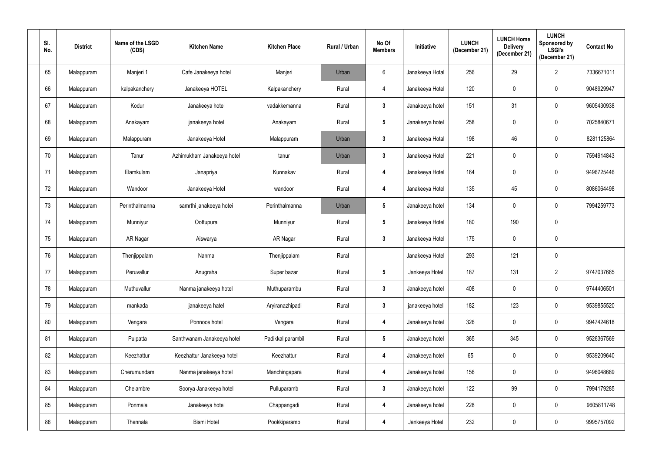| SI.<br>No. | <b>District</b> | Name of the LSGD<br>(CDS) | <b>Kitchen Name</b>        | <b>Kitchen Place</b> | Rural / Urban | No Of<br><b>Members</b> | Initiative      | <b>LUNCH</b><br>(December 21) | <b>LUNCH Home</b><br><b>Delivery</b><br>(December 21) | <b>LUNCH</b><br>Sponsored by<br><b>LSGI's</b><br>(December 21) | <b>Contact No</b> |
|------------|-----------------|---------------------------|----------------------------|----------------------|---------------|-------------------------|-----------------|-------------------------------|-------------------------------------------------------|----------------------------------------------------------------|-------------------|
| 65         | Malappuram      | Manjeri 1                 | Cafe Janakeeya hotel       | Manjeri              | Urban         | 6                       | Janakeeya Hotal | 256                           | 29                                                    | $\overline{2}$                                                 | 7336671011        |
| 66         | Malappuram      | kalpakanchery             | Janakeeya HOTEL            | Kalpakanchery        | Rural         | 4                       | Janakeeya Hotel | 120                           | 0                                                     | 0                                                              | 9048929947        |
| 67         | Malappuram      | Kodur                     | Janakeeya hotel            | vadakkemanna         | Rural         | $\mathbf{3}$            | Janakeeya hotel | 151                           | 31                                                    | $\mathbf 0$                                                    | 9605430938        |
| 68         | Malappuram      | Anakayam                  | janakeeya hotel            | Anakayam             | Rural         | $5\phantom{.0}$         | Janakeeya hotel | 258                           | 0                                                     | 0                                                              | 7025840671        |
| 69         | Malappuram      | Malappuram                | Janakeeya Hotel            | Malappuram           | Urban         | $3\phantom{a}$          | Janakeeya Hotal | 198                           | 46                                                    | $\mathbf 0$                                                    | 8281125864        |
| 70         | Malappuram      | Tanur                     | Azhimukham Janakeeya hotel | tanur                | Urban         | $3\phantom{a}$          | Janakeeya Hotel | 221                           | 0                                                     | $\mathbf 0$                                                    | 7594914843        |
| 71         | Malappuram      | Elamkulam                 | Janapriya                  | Kunnakav             | Rural         | 4                       | Janakeeya Hotel | 164                           | 0                                                     | $\mathbf 0$                                                    | 9496725446        |
| 72         | Malappuram      | Wandoor                   | Janakeeya Hotel            | wandoor              | Rural         | 4                       | Janakeeya Hotel | 135                           | 45                                                    | $\mathbf 0$                                                    | 8086064498        |
| 73         | Malappuram      | Perinthalmanna            | samrthi janakeeya hotei    | Perinthalmanna       | Urban         | $5\phantom{.0}$         | Janakeeya hotel | 134                           | 0                                                     | $\mathbf 0$                                                    | 7994259773        |
| 74         | Malappuram      | Munniyur                  | Oottupura                  | Munniyur             | Rural         | $5\phantom{.0}$         | Janakeeya Hotel | 180                           | 190                                                   | 0                                                              |                   |
| 75         | Malappuram      | AR Nagar                  | Aiswarya                   | AR Nagar             | Rural         | $\mathbf{3}$            | Janakeeya Hotel | 175                           | 0                                                     | $\mathbf 0$                                                    |                   |
| 76         | Malappuram      | Thenjippalam              | Nanma                      | Thenjippalam         | Rural         |                         | Janakeeya Hotel | 293                           | 121                                                   | $\mathbf 0$                                                    |                   |
| 77         | Malappuram      | Peruvallur                | Anugraha                   | Super bazar          | Rural         | 5                       | Jankeeya Hotel  | 187                           | 131                                                   | $\overline{2}$                                                 | 9747037665        |
| 78         | Malappuram      | Muthuvallur               | Nanma janakeeya hotel      | Muthuparambu         | Rural         | $\mathbf{3}$            | Janakeeya hotel | 408                           | 0                                                     | $\mathbf 0$                                                    | 9744406501        |
| 79         | Malappuram      | mankada                   | janakeeya hatel            | Aryiranazhipadi      | Rural         | $\mathbf{3}$            | janakeeya hotel | 182                           | 123                                                   | $\mathbf 0$                                                    | 9539855520        |
| $80\,$     | Malappuram      | Vengara                   | Ponnoos hotel              | Vengara              | Rural         | $\boldsymbol{4}$        | Janakeeya hotel | 326                           | 0                                                     | $\mathbf 0$                                                    | 9947424618        |
| 81         | Malappuram      | Pulpatta                  | Santhwanam Janakeeya hotel | Padikkal parambil    | Rural         | $5\phantom{.0}$         | Janakeeya hotel | 365                           | 345                                                   | $\pmb{0}$                                                      | 9526367569        |
| 82         | Malappuram      | Keezhattur                | Keezhattur Janakeeya hotel | Keezhattur           | Rural         | $\boldsymbol{4}$        | Janakeeya hotel | 65                            | 0                                                     | $\mathbf 0$                                                    | 9539209640        |
| 83         | Malappuram      | Cherumundam               | Nanma janakeeya hotel      | Manchingapara        | Rural         | $\boldsymbol{4}$        | Janakeeya hotel | 156                           | $\mathbf 0$                                           | $\pmb{0}$                                                      | 9496048689        |
| 84         | Malappuram      | Chelambre                 | Soorya Janakeeya hotel     | Pulluparamb          | Rural         | $\mathbf{3}$            | Janakeeya hotel | 122                           | 99                                                    | $\mathbf 0$                                                    | 7994179285        |
| 85         | Malappuram      | Ponmala                   | Janakeeya hotel            | Chappangadi          | Rural         | $\boldsymbol{4}$        | Janakeeya hotel | 228                           | 0                                                     | $\mathbf 0$                                                    | 9605811748        |
| 86         | Malappuram      | Thennala                  | <b>Bismi Hotel</b>         | Pookkiparamb         | Rural         | $\boldsymbol{4}$        | Jankeeya Hotel  | 232                           | 0                                                     | $\mathbf 0$                                                    | 9995757092        |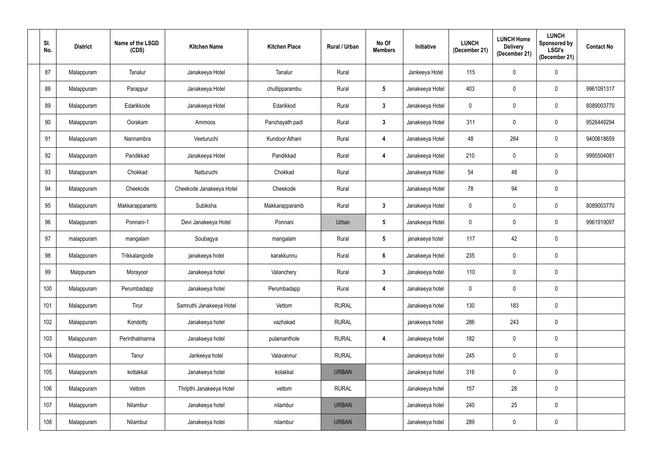| SI.<br>No. | <b>District</b> | Name of the LSGD<br>(CDS) | <b>Kitchen Name</b>      | <b>Kitchen Place</b> | Rural / Urban | No Of<br><b>Members</b> | Initiative      | <b>LUNCH</b><br>(December 21) | <b>LUNCH Home</b><br><b>Delivery</b><br>(December 21) | <b>LUNCH</b><br><b>Sponsored by</b><br><b>LSGI's</b><br>(December 21) | <b>Contact No</b> |
|------------|-----------------|---------------------------|--------------------------|----------------------|---------------|-------------------------|-----------------|-------------------------------|-------------------------------------------------------|-----------------------------------------------------------------------|-------------------|
| 87         | Malappuram      | Tanalur                   | Janakeeya Hotel          | Tanalur              | Rural         |                         | Jankeeya Hotel  | 115                           | 0                                                     | 0                                                                     |                   |
| 88         | Malappuram      | Parappur                  | Janakeeya Hotel          | chullipparambu       | Rural         | $5\phantom{.0}$         | Janakeeya Hotel | 403                           | 0                                                     | 0                                                                     | 9961091317        |
| 89         | Malappuram      | Edarikkode                | Janakeeya Hotel          | Edarikkod            | Rural         | $3\phantom{a}$          | Janakeeya Hotel | $\mathbf 0$                   | 0                                                     | $\mathbf 0$                                                           | 8089003770        |
| 90         | Malappuram      | Oorakam                   | Ammoos                   | Panchayath padi      | Rural         | $3\phantom{a}$          | Janakeeya Hotel | 311                           | 0                                                     | $\mathbf 0$                                                           | 9526449294        |
| 91         | Malappuram      | Nannambra                 | Veeturuchi               | Kundoor Athani       | Rural         | 4                       | Janakeeya Hotel | 48                            | 264                                                   | $\mathbf 0$                                                           | 9400618659        |
| 92         | Malappuram      | Pandikkad                 | Janakeeya Hotel          | Pandikkad            | Rural         | 4                       | Janakeeya Hotel | 210                           | 0                                                     | 0                                                                     | 9995504081        |
| 93         | Malappuram      | Chokkad                   | Natturuchi               | Chokkad              | Rural         |                         | Janakeeya Hotel | 54                            | 48                                                    | $\pmb{0}$                                                             |                   |
| 94         | Malappuram      | Cheekode                  | Cheekode Janakeeya Hotel | Cheekode             | Rural         |                         | Janakeeya Hotel | 78                            | 94                                                    | 0                                                                     |                   |
| 95         | Malappuram      | Makkarapparamb            | Subiksha                 | Makkarapparamb       | Rural         | $\mathbf{3}$            | Janakeeya Hotel | $\mathbf 0$                   | 0                                                     | $\mathbf 0$                                                           | 8089003770        |
| 96         | Malappuram      | Ponnani-1                 | Devi Janakeeya Hotel     | Ponnani              | Urban         | $5\phantom{.0}$         | Janakeeya Hotel | $\mathbf 0$                   | 0                                                     | $\mathbf 0$                                                           | 9961919097        |
| 97         | malappuram      | mangalam                  | Soubagya                 | mangalam             | Rural         | $5\phantom{.0}$         | janakeeya hotel | 117                           | 42                                                    | $\mathbf 0$                                                           |                   |
| 98         | Malappuram      | Trikkalangode             | janakeeya hotel          | karakkunnu           | Rural         | $6\phantom{1}$          | Janakeeya Hotel | 235                           | 0                                                     | 0                                                                     |                   |
| 99         | Malppuram       | Morayoor                  | Janakeeya hotel          | Valanchery           | Rural         | 3                       | Janakeeya hotel | 110                           | $\Omega$                                              | $\mathbf 0$                                                           |                   |
| 100        | Malappuram      | Perumbadapp               | Janakeeya hotel          | Perumbadapp          | Rural         | $\boldsymbol{4}$        | Janakeeya hotel | $\mathbf 0$                   | 0                                                     | $\mathbf 0$                                                           |                   |
| 101        | Malappuram      | Tirur                     | Samruthi Janakeeya Hotel | Vettom               | <b>RURAL</b>  |                         | Janakeeya hotel | 130                           | 183                                                   | $\mathbf 0$                                                           |                   |
| 102        | Malappuram      | Kondotty                  | Janakeeya hotel          | vazhakad             | <b>RURAL</b>  |                         | janakeeya hotel | 286                           | 243                                                   | $\mathbf 0$                                                           |                   |
| 103        | Malappuram      | Perinthalmanna            | Janakeeya hotel          | pulamanthole         | <b>RURAL</b>  | 4                       | Janakeeya hotel | 182                           | $\mathbf 0$                                           | $\mathbf 0$                                                           |                   |
| 104        | Malappuram      | Tanur                     | Jankeeya hotel           | Valavannur           | <b>RURAL</b>  |                         | Janakeeya hotel | 245                           | 0                                                     | $\mathbf 0$                                                           |                   |
| 105        | Malappuram      | kottakkal                 | Janakeeya hotel          | kotakkal             | <b>URBAN</b>  |                         | Janakeeya hotel | 316                           | $\mathbf 0$                                           | $\mathbf 0$                                                           |                   |
| 106        | Malappuram      | Vettom                    | Thripthi Janakeeya Hotel | vettom               | <b>RURAL</b>  |                         | Janakeeya hotel | 157                           | 28                                                    | $\mathbf 0$                                                           |                   |
| 107        | Malappuram      | Nilambur                  | Janakeeya hotel          | nilambur             | <b>URBAN</b>  |                         | Janakeeya hotel | 240                           | 25                                                    | $\mathbf 0$                                                           |                   |
| 108        | Malappuram      | Nilambur                  | Janakeeya hotel          | nilambur             | <b>URBAN</b>  |                         | Janakeeya hotel | 289                           | 0                                                     | $\pmb{0}$                                                             |                   |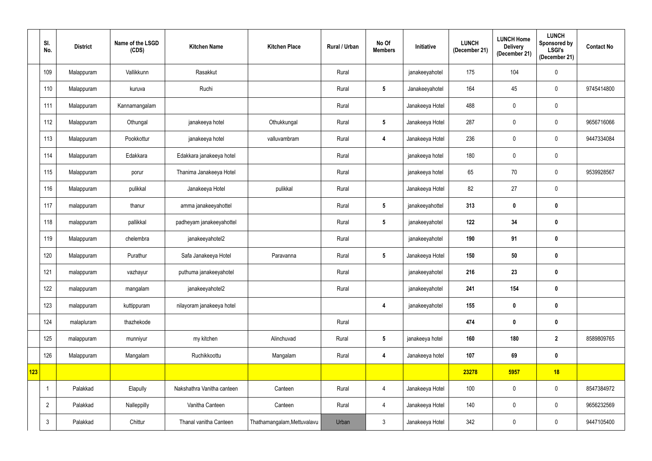|     | SI.<br>No.     | <b>District</b> | Name of the LSGD<br>(CDS) | <b>Kitchen Name</b>        | <b>Kitchen Place</b>        | Rural / Urban | No Of<br><b>Members</b> | Initiative      | <b>LUNCH</b><br>(December 21) | <b>LUNCH Home</b><br><b>Delivery</b><br>(December 21) | <b>LUNCH</b><br><b>Sponsored by</b><br>LSGI's<br>(December 21) | <b>Contact No</b> |
|-----|----------------|-----------------|---------------------------|----------------------------|-----------------------------|---------------|-------------------------|-----------------|-------------------------------|-------------------------------------------------------|----------------------------------------------------------------|-------------------|
|     | 109            | Malappuram      | Vallikkunn                | Rasakkut                   |                             | Rural         |                         | janakeeyahotel  | 175                           | 104                                                   | $\pmb{0}$                                                      |                   |
|     | 110            | Malappuram      | kuruva                    | Ruchi                      |                             | Rural         | $5\phantom{.0}$         | Janakeeyahotel  | 164                           | 45                                                    | $\mathbf 0$                                                    | 9745414800        |
|     | 111            | Malappuram      | Kannamangalam             |                            |                             | Rural         |                         | Janakeeya Hotel | 488                           | 0                                                     | $\mathbf 0$                                                    |                   |
|     | 112            | Malappuram      | Othungal                  | janakeeya hotel            | Othukkungal                 | Rural         | $5\phantom{.0}$         | Janakeeya Hotel | 287                           | 0                                                     | $\mathbf 0$                                                    | 9656716066        |
|     | 113            | Malappuram      | Pookkottur                | janakeeya hotel            | valluvambram                | Rural         | 4                       | Janakeeya Hotel | 236                           | $\mathbf 0$                                           | $\mathbf 0$                                                    | 9447334084        |
|     | 114            | Malappuram      | Edakkara                  | Edakkara janakeeya hotel   |                             | Rural         |                         | janakeeya hotel | 180                           | $\mathbf 0$                                           | $\mathbf 0$                                                    |                   |
|     | 115            | Malappuram      | porur                     | Thanima Janakeeya Hotel    |                             | Rural         |                         | janakeeya hotel | 65                            | $70\,$                                                | $\mathbf 0$                                                    | 9539928567        |
|     | 116            | Malappuram      | pulikkal                  | Janakeeya Hotel            | pulikkal                    | Rural         |                         | Janakeeya Hotel | 82                            | 27                                                    | $\mathbf 0$                                                    |                   |
|     | 117            | malappuram      | thanur                    | amma janakeeyahottel       |                             | Rural         | $5\phantom{.0}$         | janakeeyahottel | 313                           | 0                                                     | $\mathbf 0$                                                    |                   |
|     | 118            | malappuram      | pallikkal                 | padheyam janakeeyahottel   |                             | Rural         | $5\phantom{.0}$         | janakeeyahotel  | 122                           | 34                                                    | $\mathbf 0$                                                    |                   |
|     | 119            | Malappuram      | chelembra                 | janakeeyahotel2            |                             | Rural         |                         | janakeeyahotel  | 190                           | 91                                                    | $\mathbf 0$                                                    |                   |
|     | 120            | Malappuram      | Purathur                  | Safa Janakeeya Hotel       | Paravanna                   | Rural         | $5\overline{)}$         | Janakeeya Hotel | 150                           | $50\,$                                                | $\boldsymbol{0}$                                               |                   |
|     | 121            | malappuram      | vazhayur                  | puthuma janakeeyahotel     |                             | Rural         |                         | janakeeyahotel  | 216                           | 23                                                    | $\mathbf 0$                                                    |                   |
|     | 122            | malappuram      | mangalam                  | janakeeyahotel2            |                             | Rural         |                         | janakeeyahotel  | 241                           | 154                                                   | $\mathbf 0$                                                    |                   |
|     | 123            | malappuram      | kuttippuram               | nilayoram janakeeya hotel  |                             |               | 4                       | janakeeyahotel  | 155                           | $\boldsymbol{0}$                                      | $\mathbf 0$                                                    |                   |
|     | 124            | malapluram      | thazhekode                |                            |                             | Rural         |                         |                 | 474                           | $\boldsymbol{0}$                                      | $\mathbf 0$                                                    |                   |
|     | 125            | malappuram      | munniyur                  | my kitchen                 | Alinchuvad                  | Rural         | $5\phantom{.0}$         | janakeeya hotel | 160                           | 180                                                   | $2^{\circ}$                                                    | 8589809765        |
|     | 126            | Malappuram      | Mangalam                  | Ruchikkoottu               | Mangalam                    | Rural         | $\overline{\mathbf{4}}$ | Janakeeya hotel | 107                           | 69                                                    | $\mathbf 0$                                                    |                   |
| 123 |                |                 |                           |                            |                             |               |                         |                 | 23278                         | 5957                                                  | 18                                                             |                   |
|     | $\mathbf{1}$   | Palakkad        | Elapully                  | Nakshathra Vanitha canteen | Canteen                     | Rural         | $\overline{4}$          | Janakeeya Hotel | 100                           | $\mathbf 0$                                           | $\mathbf 0$                                                    | 8547384972        |
|     | $\overline{2}$ | Palakkad        | Nalleppilly               | Vanitha Canteen            | Canteen                     | Rural         | $\overline{4}$          | Janakeeya Hotel | 140                           | $\mathbf 0$                                           | $\pmb{0}$                                                      | 9656232569        |
|     | $\mathbf{3}$   | Palakkad        | Chittur                   | Thanal vanitha Canteen     | Thathamangalam, Mettuvalavu | Urban         | $\mathbf{3}$            | Janakeeya Hotel | 342                           | 0                                                     | $\mathbf 0$                                                    | 9447105400        |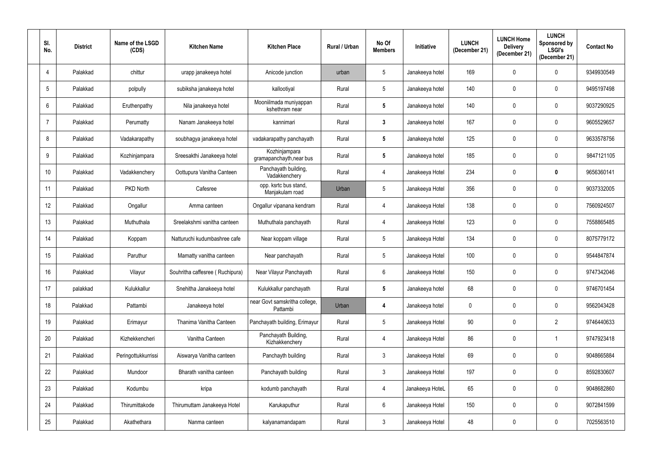| SI.<br>No.       | <b>District</b> | Name of the LSGD<br>(CDS) | <b>Kitchen Name</b>             | <b>Kitchen Place</b>                      | Rural / Urban | No Of<br><b>Members</b> | <b>Initiative</b> | <b>LUNCH</b><br>(December 21) | <b>LUNCH Home</b><br><b>Delivery</b><br>(December 21) | <b>LUNCH</b><br>Sponsored by<br><b>LSGI's</b><br>(December 21) | <b>Contact No</b> |
|------------------|-----------------|---------------------------|---------------------------------|-------------------------------------------|---------------|-------------------------|-------------------|-------------------------------|-------------------------------------------------------|----------------------------------------------------------------|-------------------|
| 4                | Palakkad        | chittur                   | urapp janakeeya hotel           | Anicode junction                          | urban         | $5\phantom{.0}$         | Janakeeya hotel   | 169                           | 0                                                     | $\mathbf 0$                                                    | 9349930549        |
| -5               | Palakkad        | polpully                  | subiksha janakeeya hotel        | kallootiyal                               | Rural         | $5\phantom{.0}$         | Janakeeya hotel   | 140                           | 0                                                     | $\mathbf 0$                                                    | 9495197498        |
| 6                | Palakkad        | Eruthenpathy              | Nila janakeeya hotel            | Mooniilmada muniyappan<br>kshethram near  | Rural         | $5\phantom{.0}$         | Janakeeya hotel   | 140                           | 0                                                     | 0                                                              | 9037290925        |
| 7                | Palakkad        | Perumatty                 | Nanam Janakeeya hotel           | kannimari                                 | Rural         | $\mathbf{3}$            | Janakeeya hotel   | 167                           | 0                                                     | $\mathbf 0$                                                    | 9605529657        |
| 8                | Palakkad        | Vadakarapathy             | soubhagya janakeeya hotel       | vadakarapathy panchayath                  | Rural         | $5\phantom{.0}$         | Janakeeya hotel   | 125                           | 0                                                     | 0                                                              | 9633578756        |
| 9                | Palakkad        | Kozhinjampara             | Sreesakthi Janakeeya hotel      | Kozhinjampara<br>gramapanchayth, near bus | Rural         | $5\phantom{.0}$         | Janakeeya hotel   | 185                           | 0                                                     | $\mathbf 0$                                                    | 9847121105        |
| 10 <sup>°</sup>  | Palakkad        | Vadakkenchery             | Oottupura Vanitha Canteen       | Panchayath building,<br>Vadakkenchery     | Rural         | 4                       | Janakeeya Hotel   | 234                           | 0                                                     | $\pmb{0}$                                                      | 9656360141        |
| 11               | Palakkad        | PKD North                 | Cafesree                        | opp. ksrtc bus stand,<br>Manjakulam road  | Urban         | $\overline{5}$          | Janakeeya Hotel   | 356                           | 0                                                     | $\mathbf 0$                                                    | 9037332005        |
| 12 <sup>°</sup>  | Palakkad        | Ongallur                  | Amma canteen                    | Ongallur vipanana kendram                 | Rural         | 4                       | Janakeeya Hotel   | 138                           | 0                                                     | 0                                                              | 7560924507        |
| 13               | Palakkad        | Muthuthala                | Sreelakshmi vanitha canteen     | Muthuthala panchayath                     | Rural         | 4                       | Janakeeya Hotel   | 123                           |                                                       | $\mathbf 0$                                                    | 7558865485        |
| 14               | Palakkad        | Koppam                    | Natturuchi kudumbashree cafe    | Near koppam village                       | Rural         | $\overline{5}$          | Janakeeya Hotel   | 134                           | 0                                                     | $\mathbf 0$                                                    | 8075779172        |
| 15 <sub>15</sub> | Palakkad        | Paruthur                  | Mamatty vanitha canteen         | Near panchayath                           | Rural         | $5\phantom{.0}$         | Janakeeya Hotel   | 100                           | 0                                                     | $\mathbf 0$                                                    | 9544847874        |
| 16               | Palakkad        | Vilayur                   | Souhritha caffesree (Ruchipura) | Near Vilayur Panchayath                   | Rural         | 6                       | Janakeeya Hotel   | 150                           |                                                       | $\mathbf 0$                                                    | 9747342046        |
| 17               | palakkad        | Kulukkallur               | Snehitha Janakeeya hotel        | Kulukkallur panchayath                    | Rural         | $5\phantom{.0}$         | Janakeeya hotel   | 68                            | 0                                                     | $\mathbf 0$                                                    | 9746701454        |
| 18               | Palakkad        | Pattambi                  | Janakeeya hotel                 | near Govt samskritha college,<br>Pattambi | Urban         | $\overline{\mathbf{4}}$ | Janakeeya hotel   | $\boldsymbol{0}$              | 0                                                     | $\mathbf 0$                                                    | 9562043428        |
| 19               | Palakkad        | Erimayur                  | Thanima Vanitha Canteen         | Panchayath building, Erimayur             | Rural         | $\sqrt{5}$              | Janakeeya Hotel   | $90\,$                        | 0                                                     | $\overline{2}$                                                 | 9746440633        |
| 20               | Palakkad        | Kizhekkencheri            | Vanitha Canteen                 | Panchayath Building,<br>Kizhakkenchery    | Rural         | $\overline{4}$          | Janakeeya Hotel   | 86                            | 0                                                     | $\mathbf 1$                                                    | 9747923418        |
| 21               | Palakkad        | Peringottukkurrissi       | Aiswarya Vanitha canteen        | Panchayth building                        | Rural         | $\mathbf{3}$            | Janakeeya Hotel   | 69                            | 0                                                     | $\mathbf 0$                                                    | 9048665884        |
| 22               | Palakkad        | Mundoor                   | Bharath vanitha canteen         | Panchayath building                       | Rural         | $\mathbf{3}$            | Janakeeya Hotel   | 197                           | 0                                                     | $\mathbf 0$                                                    | 8592830607        |
| 23               | Palakkad        | Kodumbu                   | kripa                           | kodumb panchayath                         | Rural         | $\overline{4}$          | Janakeeya HoteL   | 65                            | 0                                                     | $\mathbf 0$                                                    | 9048682860        |
| 24               | Palakkad        | Thirumittakode            | Thirumuttam Janakeeya Hotel     | Karukaputhur                              | Rural         | $6\,$                   | Janakeeya Hotel   | 150                           | 0                                                     | $\mathbf 0$                                                    | 9072841599        |
| 25               | Palakkad        | Akathethara               | Nanma canteen                   | kalyanamandapam                           | Rural         | $\mathfrak{Z}$          | Janakeeya Hotel   | 48                            | 0                                                     | $\mathbf 0$                                                    | 7025563510        |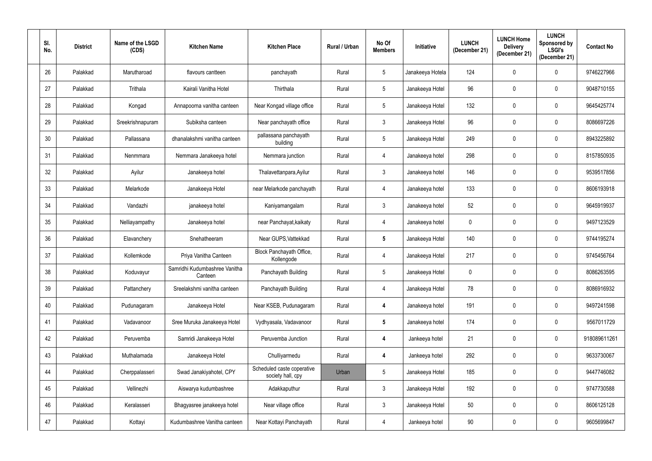| SI.<br>No. | <b>District</b> | Name of the LSGD<br>(CDS) | <b>Kitchen Name</b>                      | <b>Kitchen Place</b>                            | Rural / Urban | No Of<br><b>Members</b> | Initiative       | <b>LUNCH</b><br>(December 21) | <b>LUNCH Home</b><br><b>Delivery</b><br>(December 21) | <b>LUNCH</b><br>Sponsored by<br><b>LSGI's</b><br>(December 21) | <b>Contact No</b> |
|------------|-----------------|---------------------------|------------------------------------------|-------------------------------------------------|---------------|-------------------------|------------------|-------------------------------|-------------------------------------------------------|----------------------------------------------------------------|-------------------|
| 26         | Palakkad        | Marutharoad               | flavours cantteen                        | panchayath                                      | Rural         | $\sqrt{5}$              | Janakeeya Hotela | 124                           | 0                                                     | $\mathbf 0$                                                    | 9746227966        |
| 27         | Palakkad        | Trithala                  | Kairali Vanitha Hotel                    | Thirthala                                       | Rural         | $5\phantom{.0}$         | Janakeeya Hotel  | 96                            | 0                                                     | 0                                                              | 9048710155        |
| 28         | Palakkad        | Kongad                    | Annapoorna vanitha canteen               | Near Kongad village office                      | Rural         | $\sqrt{5}$              | Janakeeya Hotel  | 132                           | 0                                                     | 0                                                              | 9645425774        |
| 29         | Palakkad        | Sreekrishnapuram          | Subiksha canteen                         | Near panchayath office                          | Rural         | $\mathbf{3}$            | Janakeeya Hotel  | 96                            | 0                                                     | 0                                                              | 8086697226        |
| 30         | Palakkad        | Pallassana                | dhanalakshmi vanitha canteen             | pallassana panchayath<br>building               | Rural         | $\sqrt{5}$              | Janakeeya Hotel  | 249                           | 0                                                     | 0                                                              | 8943225892        |
| 31         | Palakkad        | Nenmmara                  | Nemmara Janakeeya hotel                  | Nemmara junction                                | Rural         | 4                       | Janakeeya hotel  | 298                           | 0                                                     | $\mathbf 0$                                                    | 8157850935        |
| 32         | Palakkad        | Ayilur                    | Janakeeya hotel                          | Thalavettanpara, Ayilur                         | Rural         | $\mathfrak{Z}$          | Janakeeya hotel  | 146                           | 0                                                     | $\mathbf 0$                                                    | 9539517856        |
| 33         | Palakkad        | Melarkode                 | Janakeeya Hotel                          | near Melarkode panchayath                       | Rural         | 4                       | Janakeeya hotel  | 133                           | 0                                                     | $\mathbf 0$                                                    | 8606193918        |
| 34         | Palakkad        | Vandazhi                  | janakeeya hotel                          | Kaniyamangalam                                  | Rural         | $\mathfrak{Z}$          | Janakeeya hotel  | 52                            | 0                                                     | 0                                                              | 9645919937        |
| 35         | Palakkad        | Nelliayampathy            | Janakeeya hotel                          | near Panchayat, kaikaty                         | Rural         | 4                       | Janakeeya hotel  | $\pmb{0}$                     | 0                                                     | 0                                                              | 9497123529        |
| 36         | Palakkad        | Elavanchery               | Snehatheeram                             | Near GUPS, Vattekkad                            | Rural         | $5\phantom{.0}$         | Janakeeya Hotel  | 140                           | 0                                                     | $\mathbf 0$                                                    | 9744195274        |
| 37         | Palakkad        | Kollemkode                | Priya Vanitha Canteen                    | Block Panchayath Office,<br>Kollengode          | Rural         | 4                       | Janakeeya Hotel  | 217                           | 0                                                     | $\mathbf 0$                                                    | 9745456764        |
| 38         | Palakkad        | Koduvayur                 | Samridhi Kudumbashree Vanitha<br>Canteen | Panchayath Building                             | Rural         | 5                       | Janakeeya Hotel  | 0                             |                                                       | $\mathbf 0$                                                    | 8086263595        |
| 39         | Palakkad        | Pattanchery               | Sreelakshmi vanitha canteen              | Panchayath Building                             | Rural         | 4                       | Janakeeya Hotel  | 78                            | 0                                                     | $\mathbf 0$                                                    | 8086916932        |
| 40         | Palakkad        | Pudunagaram               | Janakeeya Hotel                          | Near KSEB, Pudunagaram                          | Rural         | $\boldsymbol{4}$        | Janakeeya hotel  | 191                           | 0                                                     | $\mathbf 0$                                                    | 9497241598        |
| 41         | Palakkad        | Vadavanoor                | Sree Muruka Janakeeya Hotel              | Vydhyasala, Vadavanoor                          | Rural         | $5\phantom{.0}$         | Janakeeya hotel  | 174                           | 0                                                     | 0                                                              | 9567011729        |
| 42         | Palakkad        | Peruvemba                 | Samridi Janakeeya Hotel                  | Peruvemba Junction                              | Rural         | 4                       | Jankeeya hotel   | 21                            | 0                                                     | $\mathbf 0$                                                    | 918089611261      |
| 43         | Palakkad        | Muthalamada               | Janakeeya Hotel                          | Chulliyarmedu                                   | Rural         | $\boldsymbol{4}$        | Jankeeya hotel   | 292                           | 0                                                     | $\mathbf 0$                                                    | 9633730067        |
| 44         | Palakkad        | Cherppalasseri            | Swad Janakiyahotel, CPY                  | Scheduled caste coperative<br>society hall, cpy | Urban         | $5\phantom{.0}$         | Janakeeya Hotel  | 185                           | 0                                                     | $\mathbf 0$                                                    | 9447746082        |
| 45         | Palakkad        | Vellinezhi                | Aiswarya kudumbashree                    | Adakkaputhur                                    | Rural         | $\mathfrak{Z}$          | Janakeeya Hotel  | 192                           | 0                                                     | $\mathbf 0$                                                    | 9747730588        |
| 46         | Palakkad        | Keralasseri               | Bhagyasree janakeeya hotel               | Near village office                             | Rural         | $\mathfrak{Z}$          | Janakeeya Hotel  | 50                            | 0                                                     | $\mathbf 0$                                                    | 8606125128        |
| 47         | Palakkad        | Kottayi                   | Kudumbashree Vanitha canteen             | Near Kottayi Panchayath                         | Rural         | $\overline{4}$          | Jankeeya hotel   | $90\,$                        | 0                                                     | 0                                                              | 9605699847        |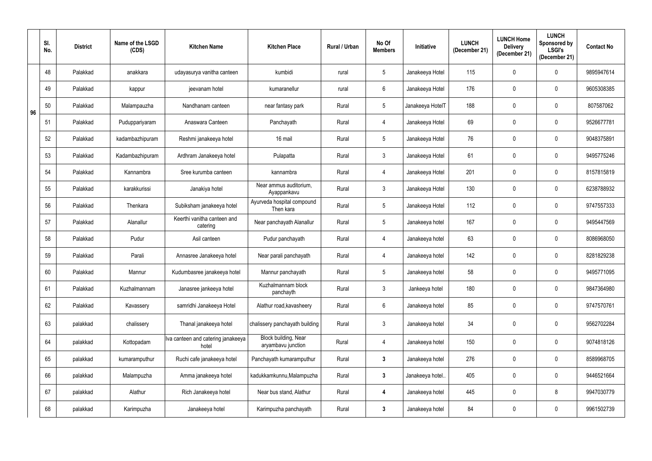|    | SI.<br>No. | <b>District</b> | Name of the LSGD<br>(CDS) | <b>Kitchen Name</b>                         | <b>Kitchen Place</b>                       | Rural / Urban | No Of<br><b>Members</b> | Initiative       | <b>LUNCH</b><br>(December 21) | <b>LUNCH Home</b><br><b>Delivery</b><br>(December 21) | <b>LUNCH</b><br>Sponsored by<br><b>LSGI's</b><br>(December 21) | <b>Contact No</b> |
|----|------------|-----------------|---------------------------|---------------------------------------------|--------------------------------------------|---------------|-------------------------|------------------|-------------------------------|-------------------------------------------------------|----------------------------------------------------------------|-------------------|
|    | 48         | Palakkad        | anakkara                  | udayasurya vanitha canteen                  | kumbidi                                    | rural         | $\sqrt{5}$              | Janakeeya Hotel  | 115                           | 0                                                     | 0                                                              | 9895947614        |
|    | 49         | Palakkad        | kappur                    | jeevanam hotel                              | kumaranellur                               | rural         | $6\,$                   | Janakeeya Hotel  | 176                           | 0                                                     | $\mathbf 0$                                                    | 9605308385        |
| 96 | 50         | Palakkad        | Malampauzha               | Nandhanam canteen                           | near fantasy park                          | Rural         | $\sqrt{5}$              | Janakeeya HotelT | 188                           | 0                                                     | 0                                                              | 807587062         |
|    | 51         | Palakkad        | Puduppariyaram            | Anaswara Canteen                            | Panchayath                                 | Rural         | $\overline{4}$          | Janakeeya Hotel  | 69                            | 0                                                     | 0                                                              | 9526677781        |
|    | 52         | Palakkad        | kadambazhipuram           | Reshmi janakeeya hotel                      | 16 mail                                    | Rural         | $\sqrt{5}$              | Janakeeya Hotel  | 76                            | 0                                                     | $\mathbf 0$                                                    | 9048375891        |
|    | 53         | Palakkad        | Kadambazhipuram           | Ardhram Janakeeya hotel                     | Pulapatta                                  | Rural         | $\mathfrak{Z}$          | Janakeeya Hotel  | 61                            | 0                                                     | $\mathbf 0$                                                    | 9495775246        |
|    | 54         | Palakkad        | Kannambra                 | Sree kurumba canteen                        | kannambra                                  | Rural         | $\overline{4}$          | Janakeeya Hotel  | 201                           | 0                                                     | $\mathbf 0$                                                    | 8157815819        |
|    | 55         | Palakkad        | karakkurissi              | Janakiya hotel                              | Near ammus auditorium,<br>Ayappankavu      | Rural         | $\mathfrak{Z}$          | Janakeeya Hotel  | 130                           | 0                                                     | 0                                                              | 6238788932        |
|    | 56         | Palakkad        | Thenkara                  | Subiksham janakeeya hotel                   | Ayurveda hospital compound<br>Then kara    | Rural         | $\sqrt{5}$              | Janakeeya Hotel  | 112                           | 0                                                     | 0                                                              | 9747557333        |
|    | 57         | Palakkad        | Alanallur                 | Keerthi vanitha canteen and<br>catering     | Near panchayath Alanallur                  | Rural         | $5\phantom{.0}$         | Janakeeya hotel  | 167                           | 0                                                     | 0                                                              | 9495447569        |
|    | 58         | Palakkad        | Pudur                     | Asil canteen                                | Pudur panchayath                           | Rural         | $\overline{4}$          | Janakeeya hotel  | 63                            | 0                                                     | $\mathbf 0$                                                    | 8086968050        |
|    | 59         | Palakkad        | Parali                    | Annasree Janakeeya hotel                    | Near parali panchayath                     | Rural         | 4                       | Janakeeya hotel  | 142                           | 0                                                     | $\mathbf 0$                                                    | 8281829238        |
|    | 60         | Palakkad        | Mannur                    | Kudumbasree janakeeya hotel                 | Mannur panchayath                          | Rural         |                         | Janakeeya hotel  | 58                            |                                                       | 0                                                              | 9495771095        |
|    | 61         | Palakkad        | Kuzhalmannam              | Janasree jankeeya hotel                     | Kuzhalmannam block<br>panchayth            | Rural         | $\mathbf{3}$            | Jankeeya hotel   | 180                           | $\mathbf 0$                                           | $\mathbf 0$                                                    | 9847364980        |
|    | 62         | Palakkad        | Kavassery                 | samridhi Janakeeya Hotel                    | Alathur road, kavasheery                   | Rural         | $6\phantom{.}6$         | Janakeeya hotel  | 85                            | 0                                                     | $\mathbf 0$                                                    | 9747570761        |
|    | 63         | palakkad        | chalissery                | Thanal janakeeya hotel                      | chalissery panchayath building             | Rural         | $\mathbf{3}$            | Janakeeya hotel  | 34                            | 0                                                     | $\mathbf 0$                                                    | 9562702284        |
|    | 64         | palakkad        | Kottopadam                | Iva canteen and catering janakeeya<br>hotel | Block building, Near<br>aryambavu junction | Rural         | $\overline{4}$          | Janakeeya hotel  | 150                           | 0                                                     | $\mathbf 0$                                                    | 9074818126        |
|    | 65         | palakkad        | kumaramputhur             | Ruchi cafe janakeeya hotel                  | Panchayath kumaramputhur                   | Rural         | $\mathbf{3}$            | Janakeeya hotel  | 276                           | $\mathbf 0$                                           | $\mathbf 0$                                                    | 8589968705        |
|    | 66         | palakkad        | Malampuzha                | Amma janakeeya hotel                        | kadukkamkunnu, Malampuzha                  | Rural         | $\mathbf{3}$            | Janakeeya hotel  | 405                           | 0                                                     | $\mathbf 0$                                                    | 9446521664        |
|    | 67         | palakkad        | Alathur                   | Rich Janakeeya hotel                        | Near bus stand, Alathur                    | Rural         | $\boldsymbol{4}$        | Janakeeya hotel  | 445                           | 0                                                     | 8                                                              | 9947030779        |
|    | 68         | palakkad        | Karimpuzha                | Janakeeya hotel                             | Karimpuzha panchayath                      | Rural         | $\mathbf{3}$            | Janakeeya hotel  | 84                            | 0                                                     | $\mathbf 0$                                                    | 9961502739        |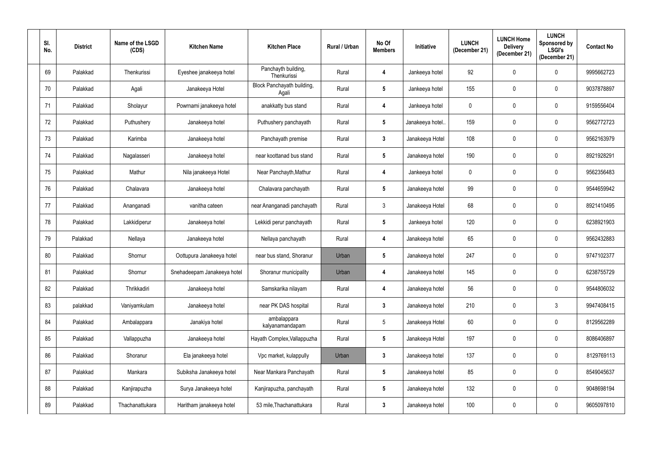| SI.<br>No. | <b>District</b> | Name of the LSGD<br>(CDS) | <b>Kitchen Name</b>         | <b>Kitchen Place</b>                | Rural / Urban | No Of<br><b>Members</b> | <b>Initiative</b> | <b>LUNCH</b><br>(December 21) | <b>LUNCH Home</b><br><b>Delivery</b><br>(December 21) | <b>LUNCH</b><br>Sponsored by<br><b>LSGI's</b><br>(December 21) | <b>Contact No</b> |
|------------|-----------------|---------------------------|-----------------------------|-------------------------------------|---------------|-------------------------|-------------------|-------------------------------|-------------------------------------------------------|----------------------------------------------------------------|-------------------|
| 69         | Palakkad        | Thenkurissi               | Eyeshee janakeeya hotel     | Panchayth building,<br>Thenkurissi  | Rural         | $\overline{\mathbf{4}}$ | Jankeeya hotel    | 92                            | 0                                                     | $\mathbf 0$                                                    | 9995662723        |
| 70         | Palakkad        | Agali                     | Janakeeya Hotel             | Block Panchayath building,<br>Agali | Rural         | $5\phantom{.0}$         | Jankeeya hotel    | 155                           | 0                                                     | 0                                                              | 9037878897        |
| 71         | Palakkad        | Sholayur                  | Powrnami janakeeya hotel    | anakkatty bus stand                 | Rural         | 4                       | Jankeeya hotel    | $\mathbf 0$                   | 0                                                     | $\mathbf 0$                                                    | 9159556404        |
| 72         | Palakkad        | Puthushery                | Janakeeya hotel             | Puthushery panchayath               | Rural         | $5\phantom{.0}$         | Janakeeya hotel.  | 159                           | 0                                                     | 0                                                              | 9562772723        |
| 73         | Palakkad        | Karimba                   | Janakeeya hotel             | Panchayath premise                  | Rural         | $\mathbf{3}$            | Janakeeya Hotel   | 108                           | 0                                                     | $\mathbf 0$                                                    | 9562163979        |
| 74         | Palakkad        | Nagalasseri               | Janakeeya hotel             | near koottanad bus stand            | Rural         | $5\phantom{.0}$         | Janakeeya hotel   | 190                           | 0                                                     | $\mathbf 0$                                                    | 8921928291        |
| 75         | Palakkad        | Mathur                    | Nila janakeeya Hotel        | Near Panchayth, Mathur              | Rural         | $\overline{\mathbf{4}}$ | Jankeeya hotel    | $\overline{0}$                | 0                                                     | $\mathbf 0$                                                    | 9562356483        |
| 76         | Palakkad        | Chalavara                 | Janakeeya hotel             | Chalavara panchayath                | Rural         | $5\phantom{.0}$         | Janakeeya hotel   | 99                            | 0                                                     | $\mathbf 0$                                                    | 9544659942        |
| 77         | Palakkad        | Ananganadi                | vanitha cateen              | near Ananganadi panchayath          | Rural         | $\mathfrak{Z}$          | Janakeeya Hotel   | 68                            | 0                                                     | $\mathbf 0$                                                    | 8921410495        |
| 78         | Palakkad        | Lakkidiperur              | Janakeeya hotel             | Lekkidi perur panchayath            | Rural         | $5\phantom{.0}$         | Jankeeya hotel    | 120                           | 0                                                     | 0                                                              | 6238921903        |
| 79         | Palakkad        | Nellaya                   | Janakeeya hotel             | Nellaya panchayath                  | Rural         | $\boldsymbol{4}$        | Janakeeya hotel   | 65                            | 0                                                     | $\mathbf 0$                                                    | 9562432883        |
| 80         | Palakkad        | Shornur                   | Oottupura Janakeeya hotel   | near bus stand, Shoranur            | Urban         | $5\phantom{.0}$         | Janakeeya hotel   | 247                           | 0                                                     | $\mathbf 0$                                                    | 9747102377        |
| 81         | Palakkad        | Shornur                   | Snehadeepam Janakeeya hotel | Shoranur municipality               | Urban         |                         | Janakeeya hotel   | 145                           |                                                       | $\mathbf 0$                                                    | 6238755729        |
| 82         | Palakkad        | Thrikkadiri               | Janakeeya hotel             | Samskarika nilayam                  | Rural         | 4                       | Janakeeya hotel   | 56                            | 0                                                     | $\mathbf 0$                                                    | 9544806032        |
| 83         | palakkad        | Vaniyamkulam              | Janakeeya hotel             | near PK DAS hospital                | Rural         | $3\phantom{a}$          | Janakeeya hotel   | 210                           | 0                                                     | $\mathfrak{Z}$                                                 | 9947408415        |
| 84         | Palakkad        | Ambalappara               | Janakiya hotel              | ambalappara<br>kalyanamandapam      | Rural         | $5\,$                   | Janakeeya Hotel   | 60                            | 0                                                     | $\mathbf 0$                                                    | 8129562289        |
| 85         | Palakkad        | Vallappuzha               | Janakeeya hotel             | Hayath Complex, Vallappuzha         | Rural         | ${\bf 5}$               | Janakeeya Hotel   | 197                           | 0                                                     | $\mathbf 0$                                                    | 8086406897        |
| 86         | Palakkad        | Shoranur                  | Ela janakeeya hotel         | Vpc market, kulappully              | Urban         | $\mathbf{3}$            | Janakeeya hotel   | 137                           | 0                                                     | $\mathbf 0$                                                    | 8129769113        |
| 87         | Palakkad        | Mankara                   | Subiksha Janakeeya hotel    | Near Mankara Panchayath             | Rural         | $5\phantom{.0}$         | Janakeeya hotel   | 85                            | 0                                                     | $\pmb{0}$                                                      | 8549045637        |
| 88         | Palakkad        | Kanjirapuzha              | Surya Janakeeya hotel       | Kanjirapuzha, panchayath            | Rural         | $5\phantom{.0}$         | Janakeeya hotel   | 132                           | 0                                                     | $\mathbf 0$                                                    | 9048698194        |
| 89         | Palakkad        | Thachanattukara           | Haritham janakeeya hotel    | 53 mile, Thachanattukara            | Rural         | $\mathbf{3}$            | Janakeeya hotel   | 100                           | 0                                                     | $\mathbf 0$                                                    | 9605097810        |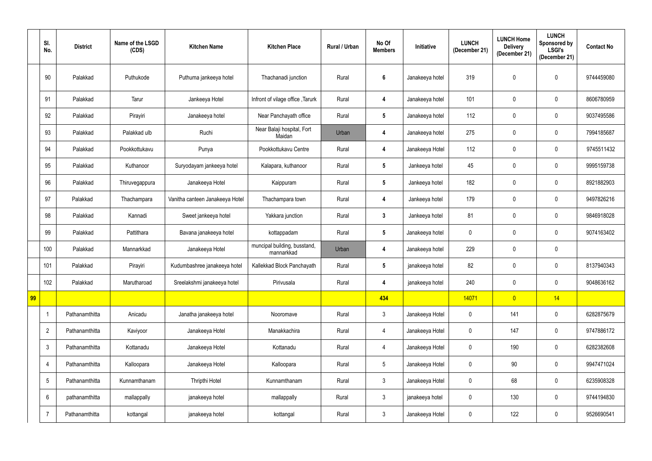|    | SI.<br>No.     | <b>District</b> | Name of the LSGD<br>(CDS) | <b>Kitchen Name</b>             | <b>Kitchen Place</b>                       | Rural / Urban | No Of<br><b>Members</b> | Initiative      | <b>LUNCH</b><br>(December 21) | <b>LUNCH Home</b><br><b>Delivery</b><br>(December 21) | <b>LUNCH</b><br>Sponsored by<br><b>LSGI's</b><br>(December 21) | <b>Contact No</b> |
|----|----------------|-----------------|---------------------------|---------------------------------|--------------------------------------------|---------------|-------------------------|-----------------|-------------------------------|-------------------------------------------------------|----------------------------------------------------------------|-------------------|
|    | 90             | Palakkad        | Puthukode                 | Puthuma jankeeya hotel          | Thachanadi junction                        | Rural         | $6\phantom{1}6$         | Janakeeya hotel | 319                           | $\mathbf 0$                                           | $\mathbf 0$                                                    | 9744459080        |
|    | 91             | Palakkad        | Tarur                     | Jankeeya Hotel                  | Infront of vilage office, Tarurk           | Rural         | $\boldsymbol{4}$        | Janakeeya hotel | 101                           | $\mathbf 0$                                           | $\mathbf 0$                                                    | 8606780959        |
|    | 92             | Palakkad        | Pirayiri                  | Janakeeya hotel                 | Near Panchayath office                     | Rural         | $5\phantom{.0}$         | Janakeeya hotel | 112                           | 0                                                     | $\mathbf 0$                                                    | 9037495586        |
|    | 93             | Palakkad        | Palakkad ulb              | Ruchi                           | Near Balaji hospital, Fort<br>Maidan       | Urban         | $\boldsymbol{4}$        | Janakeeya hotel | 275                           | 0                                                     | $\mathbf 0$                                                    | 7994185687        |
|    | 94             | Palakkad        | Pookkottukavu             | Punya                           | Pookkottukavu Centre                       | Rural         | $\boldsymbol{4}$        | Janakeeya Hotel | 112                           | 0                                                     | $\mathbf 0$                                                    | 9745511432        |
|    | 95             | Palakkad        | Kuthanoor                 | Suryodayam jankeeya hotel       | Kalapara, kuthanoor                        | Rural         | $5\phantom{.0}$         | Jankeeya hotel  | 45                            | 0                                                     | $\mathbf 0$                                                    | 9995159738        |
|    | 96             | Palakkad        | Thiruvegappura            | Janakeeya Hotel                 | Kaippuram                                  | Rural         | $5\phantom{.0}$         | Jankeeya hotel  | 182                           | 0                                                     | $\mathbf 0$                                                    | 8921882903        |
|    | 97             | Palakkad        | Thachampara               | Vanitha canteen Janakeeya Hotel | Thachampara town                           | Rural         | $\boldsymbol{4}$        | Jankeeya hotel  | 179                           | $\mathbf 0$                                           | $\mathbf 0$                                                    | 9497826216        |
|    | 98             | Palakkad        | Kannadi                   | Sweet jankeeya hotel            | Yakkara junction                           | Rural         | $\mathbf{3}$            | Jankeeya hotel  | 81                            | $\mathbf 0$                                           | $\mathbf 0$                                                    | 9846918028        |
|    | 99             | Palakkad        | Pattithara                | Bavana janakeeya hotel          | kottappadam                                | Rural         | $5\phantom{.0}$         | Janakeeya hotel | 0                             | 0                                                     | $\mathbf 0$                                                    | 9074163402        |
|    | 100            | Palakkad        | Mannarkkad                | Janakeeya Hotel                 | muncipal building, busstand,<br>mannarkkad | Urban         | $\boldsymbol{4}$        | Janakeeya hotel | 229                           | 0                                                     | $\pmb{0}$                                                      |                   |
|    | 101            | Palakkad        | Pirayiri                  | Kudumbashree janakeeya hotel    | Kallekkad Block Panchayath                 | Rural         | $5\phantom{.0}$         | janakeeya hotel | 82                            | $\mathbf 0$                                           | $\mathbf 0$                                                    | 8137940343        |
|    | 102            | Palakkad        | Marutharoad               | Sreelakshmi janakeeya hotel     | Pirivusala                                 | Rural         | $\boldsymbol{4}$        | janakeeya hotel | 240                           | 0                                                     | $\mathbf 0$                                                    | 9048636162        |
| 99 |                |                 |                           |                                 |                                            |               | 434                     |                 | 14071                         | $\overline{0}$                                        | 14                                                             |                   |
|    | $\mathbf{1}$   | Pathanamthitta  | Anicadu                   | Janatha janakeeya hotel         | Nooromave                                  | Rural         | $\mathbf{3}$            | Janakeeya Hotel | $\pmb{0}$                     | 141                                                   | $\mathbf 0$                                                    | 6282875679        |
|    | $\overline{2}$ | Pathanamthitta  | Kaviyoor                  | Janakeeya Hotel                 | Manakkachira                               | Rural         | $\overline{4}$          | Janakeeya Hotel | 0                             | 147                                                   | $\mathbf 0$                                                    | 9747886172        |
|    | $\mathfrak{Z}$ | Pathanamthitta  | Kottanadu                 | Janakeeya Hotel                 | Kottanadu                                  | Rural         | $\overline{4}$          | Janakeeya Hotel | 0                             | 190                                                   | $\mathbf 0$                                                    | 6282382608        |
|    | $\overline{4}$ | Pathanamthitta  | Kalloopara                | Janakeeya Hotel                 | Kalloopara                                 | Rural         | $5\phantom{.0}$         | Janakeeya Hotel | 0                             | $90\,$                                                | $\mathbf 0$                                                    | 9947471024        |
|    | $5\,$          | Pathanamthitta  | Kunnamthanam              | Thripthi Hotel                  | Kunnamthanam                               | Rural         | $\mathbf{3}$            | Janakeeya Hotel | 0                             | 68                                                    | $\mathbf 0$                                                    | 6235908328        |
|    | $6\,$          | pathanamthitta  | mallappally               | janakeeya hotel                 | mallappally                                | Rural         | $\mathbf{3}$            | janakeeya hotel | 0                             | 130                                                   | $\mathbf 0$                                                    | 9744194830        |
|    | $\overline{7}$ | Pathanamthitta  | kottangal                 | janakeeya hotel                 | kottangal                                  | Rural         | $\mathbf{3}$            | Janakeeya Hotel | 0                             | 122                                                   | $\mathbf 0$                                                    | 9526690541        |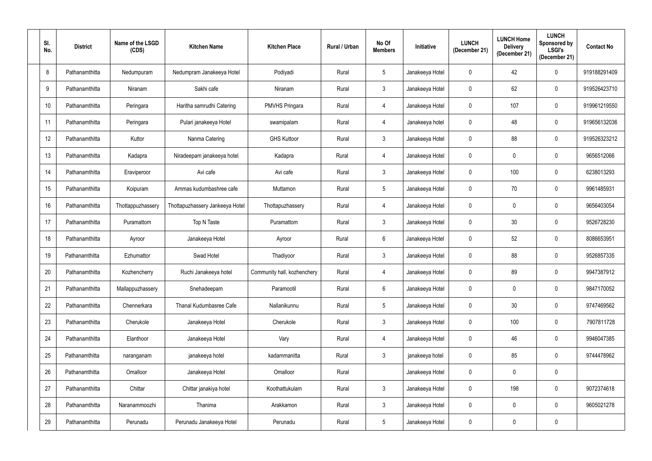| SI.<br>No. | <b>District</b> | Name of the LSGD<br>(CDS) | <b>Kitchen Name</b>             | <b>Kitchen Place</b>        | Rural / Urban | No Of<br><b>Members</b> | Initiative      | <b>LUNCH</b><br>(December 21) | <b>LUNCH Home</b><br><b>Delivery</b><br>(December 21) | <b>LUNCH</b><br>Sponsored by<br>LSGI's<br>(December 21) | <b>Contact No</b> |
|------------|-----------------|---------------------------|---------------------------------|-----------------------------|---------------|-------------------------|-----------------|-------------------------------|-------------------------------------------------------|---------------------------------------------------------|-------------------|
| 8          | Pathanamthitta  | Nedumpuram                | Nedumpram Janakeeya Hotel       | Podiyadi                    | Rural         | $5\phantom{.0}$         | Janakeeya Hotel | $\boldsymbol{0}$              | 42                                                    | $\mathbf 0$                                             | 919188291409      |
| 9          | Pathanamthitta  | Niranam                   | Sakhi cafe                      | Niranam                     | Rural         | $\mathbf{3}$            | Janakeeya Hotel | $\boldsymbol{0}$              | 62                                                    | $\mathbf 0$                                             | 919526423710      |
| 10         | Pathanamthitta  | Peringara                 | Haritha samrudhi Catering       | <b>PMVHS Pringara</b>       | Rural         | 4                       | Janakeeya Hotel | $\mathbf 0$                   | 107                                                   | $\mathbf 0$                                             | 919961219550      |
| 11         | Pathanamthitta  | Peringara                 | Pulari janakeeya Hotel          | swamipalam                  | Rural         | 4                       | Janakeeya hotel | $\boldsymbol{0}$              | 48                                                    | $\mathbf 0$                                             | 919656132036      |
| 12         | Pathanamthitta  | Kuttor                    | Nanma Catering                  | <b>GHS Kuttoor</b>          | Rural         | $\mathbf{3}$            | Janakeeya Hotel | $\mathbf 0$                   | 88                                                    | $\mathbf 0$                                             | 919526323212      |
| 13         | Pathanamthitta  | Kadapra                   | Niradeepam janakeeya hotel      | Kadapra                     | Rural         | 4                       | Janakeeya Hotel | $\boldsymbol{0}$              | 0                                                     | $\mathbf 0$                                             | 9656512066        |
| 14         | Pathanamthitta  | Eraviperoor               | Avi cafe                        | Avi cafe                    | Rural         | $\mathfrak{Z}$          | Janakeeya Hotel | $\mathbf 0$                   | 100                                                   | $\mathbf 0$                                             | 6238013293        |
| 15         | Pathanamthitta  | Koipuram                  | Ammas kudumbashree cafe         | Muttamon                    | Rural         | $5\phantom{.0}$         | Janakeeya Hotel | $\pmb{0}$                     | 70                                                    | 0                                                       | 9961485931        |
| 16         | Pathanamthitta  | Thottappuzhassery         | Thottapuzhassery Jankeeya Hotel | Thottapuzhassery            | Rural         | 4                       | Janakeeya Hotel | $\mathbf 0$                   | 0                                                     | $\mathbf 0$                                             | 9656403054        |
| 17         | Pathanamthitta  | Puramattom                | Top N Taste                     | Puramattom                  | Rural         | $\mathbf{3}$            | Janakeeya Hotel | $\mathbf 0$                   | 30                                                    | $\mathbf 0$                                             | 9526728230        |
| 18         | Pathanamthitta  | Ayroor                    | Janakeeya Hotel                 | Ayroor                      | Rural         | $6\phantom{.}6$         | Janakeeya Hotel | $\mathbf 0$                   | 52                                                    | $\mathbf 0$                                             | 8086653951        |
| 19         | Pathanamthitta  | Ezhumattor                | Swad Hotel                      | Thadiyoor                   | Rural         | $\mathfrak{Z}$          | Janakeeya Hotel | $\bf{0}$                      | 88                                                    | $\mathbf 0$                                             | 9526857335        |
| 20         | Pathanamthitta  | Kozhencherry              | Ruchi Janakeeya hotel           | Community hall, kozhenchery | Rural         | 4                       | Janakeeya Hotel | 0                             | 89                                                    | $\mathbf 0$                                             | 9947387912        |
| 21         | Pathanamthitta  | Mallappuzhassery          | Snehadeepam                     | Paramootil                  | Rural         | $6\,$                   | Janakeeya Hotel | $\mathbf 0$                   | 0                                                     | $\mathbf 0$                                             | 9847170052        |
| 22         | Pathanamthitta  | Chennerkara               | Thanal Kudumbasree Cafe         | Nallanikunnu                | Rural         | $5\,$                   | Janakeeya Hotel | $\pmb{0}$                     | $30\,$                                                | $\pmb{0}$                                               | 9747469562        |
| 23         | Pathanamthitta  | Cherukole                 | Janakeeya Hotel                 | Cherukole                   | Rural         | $\mathfrak{Z}$          | Janakeeya Hotel | $\mathbf 0$                   | 100                                                   | $\mathbf 0$                                             | 7907811728        |
| 24         | Pathanamthitta  | Elanthoor                 | Janakeeya Hotel                 | Vary                        | Rural         | 4                       | Janakeeya Hotel | $\mathbf 0$                   | 46                                                    | $\mathbf 0$                                             | 9946047385        |
| 25         | Pathanamthitta  | naranganam                | janakeeya hotel                 | kadammanitta                | Rural         | $\mathbf{3}$            | janakeeya hotel | $\mathbf 0$                   | 85                                                    | $\mathbf 0$                                             | 9744478962        |
| 26         | Pathanamthitta  | Omalloor                  | Janakeeya Hotel                 | Omalloor                    | Rural         |                         | Janakeeya Hotel | $\mathbf 0$                   | 0                                                     | $\mathbf 0$                                             |                   |
| 27         | Pathanamthitta  | Chittar                   | Chittar janakiya hotel          | Koothattukulam              | Rural         | $\mathbf{3}$            | Janakeeya Hotel | $\mathbf 0$                   | 198                                                   | $\mathbf 0$                                             | 9072374618        |
| 28         | Pathanamthitta  | Naranammoozhi             | Thanima                         | Arakkamon                   | Rural         | $\mathfrak{Z}$          | Janakeeya Hotel | $\mathbf 0$                   | 0                                                     | $\mathbf 0$                                             | 9605021278        |
| 29         | Pathanamthitta  | Perunadu                  | Perunadu Janakeeya Hotel        | Perunadu                    | Rural         | $5\,$                   | Janakeeya Hotel | $\mathbf 0$                   | 0                                                     | $\pmb{0}$                                               |                   |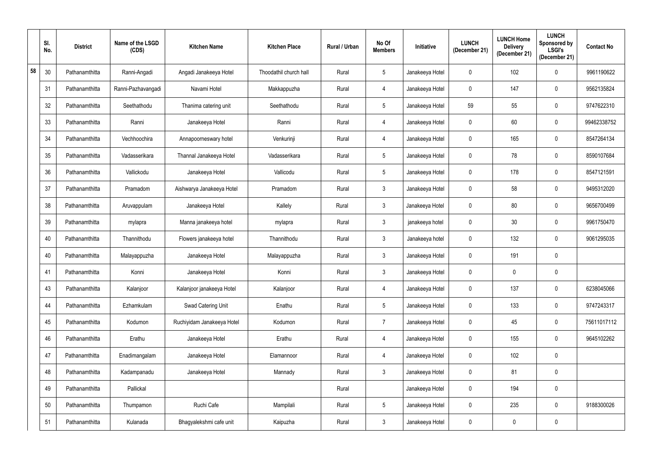|    | SI.<br>No. | <b>District</b> | Name of the LSGD<br>(CDS) | <b>Kitchen Name</b>        | <b>Kitchen Place</b>   | Rural / Urban | No Of<br><b>Members</b> | Initiative      | <b>LUNCH</b><br>(December 21) | <b>LUNCH Home</b><br><b>Delivery</b><br>(December 21) | <b>LUNCH</b><br>Sponsored by<br><b>LSGI's</b><br>(December 21) | <b>Contact No</b> |
|----|------------|-----------------|---------------------------|----------------------------|------------------------|---------------|-------------------------|-----------------|-------------------------------|-------------------------------------------------------|----------------------------------------------------------------|-------------------|
| 58 | 30         | Pathanamthitta  | Ranni-Angadi              | Angadi Janakeeya Hotel     | Thoodathil church hall | Rural         | $5\phantom{.0}$         | Janakeeya Hotel | $\pmb{0}$                     | 102                                                   | 0                                                              | 9961190622        |
|    | 31         | Pathanamthitta  | Ranni-Pazhavangadi        | Navami Hotel               | Makkappuzha            | Rural         | 4                       | Janakeeya Hotel | $\overline{0}$                | 147                                                   | $\mathbf 0$                                                    | 9562135824        |
|    | 32         | Pathanamthitta  | Seethathodu               | Thanima catering unit      | Seethathodu            | Rural         | $\sqrt{5}$              | Janakeeya Hotel | 59                            | 55                                                    | $\mathbf 0$                                                    | 9747622310        |
|    | 33         | Pathanamthitta  | Ranni                     | Janakeeya Hotel            | Ranni                  | Rural         | 4                       | Janakeeya Hotel | $\mathbf 0$                   | 60                                                    | 0                                                              | 99462338752       |
|    | 34         | Pathanamthitta  | Vechhoochira              | Annapoorneswary hotel      | Venkurinji             | Rural         | $\overline{4}$          | Janakeeya Hotel | $\mathbf 0$                   | 165                                                   | $\mathbf 0$                                                    | 8547264134        |
|    | 35         | Pathanamthitta  | Vadasserikara             | Thannal Janakeeya Hotel    | Vadasserikara          | Rural         | $\overline{5}$          | Janakeeya Hotel | $\mathbf 0$                   | 78                                                    | $\mathbf 0$                                                    | 8590107684        |
|    | 36         | Pathanamthitta  | Vallickodu                | Janakeeya Hotel            | Vallicodu              | Rural         | $\sqrt{5}$              | Janakeeya Hotel | $\mathbf 0$                   | 178                                                   | $\mathbf 0$                                                    | 8547121591        |
|    | 37         | Pathanamthitta  | Pramadom                  | Aishwarya Janakeeya Hotel  | Pramadom               | Rural         | $\mathfrak{Z}$          | Janakeeya Hotel | $\mathbf 0$                   | 58                                                    | 0                                                              | 9495312020        |
|    | 38         | Pathanamthitta  | Aruvappulam               | Janakeeya Hotel            | Kallely                | Rural         | $\mathfrak{Z}$          | Janakeeya Hotel | $\mathbf 0$                   | 80                                                    | $\mathbf 0$                                                    | 9656700499        |
|    | 39         | Pathanamthitta  | mylapra                   | Manna janakeeya hotel      | mylapra                | Rural         | $\mathfrak{Z}$          | janakeeya hotel | $\mathbf 0$                   | 30                                                    | $\mathbf 0$                                                    | 9961750470        |
|    | 40         | Pathanamthitta  | Thannithodu               | Flowers janakeeya hotel    | Thannithodu            | Rural         | $\mathfrak{Z}$          | Janakeeya hotel | $\mathbf 0$                   | 132                                                   | $\mathbf 0$                                                    | 9061295035        |
|    | 40         | Pathanamthitta  | Malayappuzha              | Janakeeya Hotel            | Malayappuzha           | Rural         | $\mathfrak{Z}$          | Janakeeya Hotel | $\mathbf 0$                   | 191                                                   | $\mathbf 0$                                                    |                   |
|    | 41         | Pathanamthitta  | Konni                     | Janakeeya Hotel            | Konni                  | Rural         | 3                       | Janakeeya Hotel | $\mathbf 0$                   |                                                       | $\mathbf 0$                                                    |                   |
|    | 43         | Pathanamthitta  | Kalanjoor                 | Kalanjoor janakeeya Hotel  | Kalanjoor              | Rural         | $\overline{4}$          | Janakeeya Hotel | $\mathbf 0$                   | 137                                                   | $\mathbf 0$                                                    | 6238045066        |
|    | 44         | Pathanamthitta  | Ezhamkulam                | Swad Catering Unit         | Enathu                 | Rural         | $\sqrt{5}$              | Janakeeya Hotel | $\mathbf 0$                   | 133                                                   | $\pmb{0}$                                                      | 9747243317        |
|    | 45         | Pathanamthitta  | Kodumon                   | Ruchiyidam Janakeeya Hotel | Kodumon                | Rural         | $\overline{7}$          | Janakeeya Hotel | $\mathbf 0$                   | 45                                                    | $\mathbf 0$                                                    | 75611017112       |
|    | 46         | Pathanamthitta  | Erathu                    | Janakeeya Hotel            | Erathu                 | Rural         | $\overline{4}$          | Janakeeya Hotel | $\mathbf 0$                   | 155                                                   | $\mathbf 0$                                                    | 9645102262        |
|    | 47         | Pathanamthitta  | Enadimangalam             | Janakeeya Hotel            | Elamannoor             | Rural         | $\overline{4}$          | Janakeeya Hotel | $\mathbf 0$                   | 102                                                   | $\mathbf 0$                                                    |                   |
|    | 48         | Pathanamthitta  | Kadampanadu               | Janakeeya Hotel            | Mannady                | Rural         | $\mathbf{3}$            | Janakeeya Hotel | $\mathbf 0$                   | 81                                                    | $\mathbf 0$                                                    |                   |
|    | 49         | Pathanamthitta  | Pallickal                 |                            |                        | Rural         |                         | Janakeeya Hotel | $\mathbf 0$                   | 194                                                   | $\mathbf 0$                                                    |                   |
|    | 50         | Pathanamthitta  | Thumpamon                 | Ruchi Cafe                 | Mampilali              | Rural         | $\sqrt{5}$              | Janakeeya Hotel | $\mathbf 0$                   | 235                                                   | $\mathbf 0$                                                    | 9188300026        |
|    | 51         | Pathanamthitta  | Kulanada                  | Bhagyalekshmi cafe unit    | Kaipuzha               | Rural         | $\mathfrak{Z}$          | Janakeeya Hotel | $\mathbf 0$                   | 0                                                     | $\pmb{0}$                                                      |                   |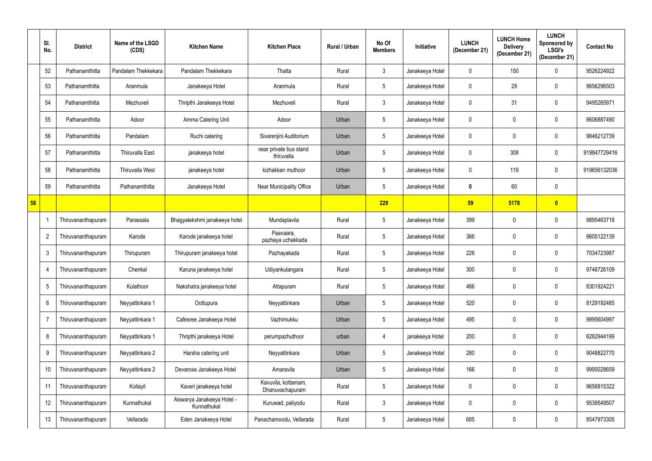|    | SI.<br>No.      | <b>District</b>    | Name of the LSGD<br>(CDS) | <b>Kitchen Name</b>                       | <b>Kitchen Place</b>                   | Rural / Urban | No Of<br><b>Members</b> | Initiative      | <b>LUNCH</b><br>(December 21) | <b>LUNCH Home</b><br><b>Delivery</b><br>(December 21) | <b>LUNCH</b><br>Sponsored by<br><b>LSGI's</b><br>(December 21) | <b>Contact No</b> |
|----|-----------------|--------------------|---------------------------|-------------------------------------------|----------------------------------------|---------------|-------------------------|-----------------|-------------------------------|-------------------------------------------------------|----------------------------------------------------------------|-------------------|
|    | 52              | Pathanamthitta     | Pandalam Thekkekara       | Pandalam Thekkekara                       | Thatta                                 | Rural         | $\mathfrak{Z}$          | Janakeeya Hotel | 0                             | 150                                                   | $\mathbf 0$                                                    | 9526224922        |
|    | 53              | Pathanamthitta     | Aranmula                  | Janakeeya Hotel                           | Aranmula                               | Rural         | $5\phantom{.0}$         | Janakeeya Hotel | $\mathbf 0$                   | 29                                                    | $\mathbf 0$                                                    | 9656296503        |
|    | 54              | Pathanamthitta     | Mezhuveli                 | Thripthi Janakeeya Hotel                  | Mezhuveli                              | Rural         | $\mathbf{3}$            | Janakeeya Hotel | 0                             | 31                                                    | $\mathbf 0$                                                    | 9495265971        |
|    | 55              | Pathanamthitta     | Adoor                     | Amma Catering Unit                        | Adoor                                  | Urban         | $5\phantom{.0}$         | Janakeeya Hotel | $\mathbf 0$                   | 0                                                     | $\mathbf 0$                                                    | 8606887490        |
|    | 56              | Pathanamthitta     | Pandalam                  | Ruchi catering                            | Sivarenjini Auditorium                 | Urban         | $\overline{5}$          | Janakeeya Hotel | $\mathbf 0$                   | 0                                                     | 0                                                              | 9846212739        |
|    | 57              | Pathanamthitta     | <b>Thiruvalla East</b>    | janakeeya hotel                           | near private bus stand<br>thiruvalla   | Urban         | $\overline{5}$          | Janakeeya Hotel | $\mathbf 0$                   | 308                                                   | $\mathbf 0$                                                    | 919847729416      |
|    | 58              | Pathanamthitta     | <b>Thiruvalla West</b>    | janakeeya hotel                           | kizhakkan muthoor                      | Urban         | $5\phantom{.0}$         | Janakeeya Hotel | 0                             | 119                                                   | $\mathbf 0$                                                    | 919656132036      |
|    | 59              | Pathanamthitta     | Pathanamthitta            | Janakeeya Hotel                           | Near Municipality Office               | Urban         | $5\phantom{.0}$         | Janakeeya Hotel | $\boldsymbol{0}$              | 60                                                    | 0                                                              |                   |
| 58 |                 |                    |                           |                                           |                                        |               | 229                     |                 | 59                            | 5178                                                  | $\bullet$                                                      |                   |
|    |                 | Thiruvananthapuram | Parassala                 | Bhagyalekshmi janakeeya hotel             | Mundaplavila                           | Rural         | $\overline{5}$          | Janakeeya Hotel | 399                           | 0                                                     | $\mathbf 0$                                                    | 9895463718        |
|    | $\overline{2}$  | Thiruvananthapuram | Karode                    | Karode janakeeya hotel                    | Paavaara,<br>pazhaya uchakkada         | Rural         | $5\phantom{.0}$         | Janakeeya Hotel | 366                           | 0                                                     | $\mathbf 0$                                                    | 9605122139        |
|    | 3               | Thiruvananthapuram | Thirupuram                | Thirupuram janakeeya hotel                | Pazhayakada                            | Rural         | $5\phantom{.0}$         | Janakeeya Hotel | 226                           | 0                                                     | $\mathbf 0$                                                    | 7034723987        |
|    |                 | Thiruvananthapuram | Chenkal                   | Karuna janakeeya hotel                    | Udiyankulangara                        | Rural         | $5\phantom{.0}$         | Janakeeya Hotel | 300                           | 0                                                     | $\mathbf 0$                                                    | 9746726109        |
|    | 5               | Thiruvananthapuram | Kulathoor                 | Nakshatra janakeeya hotel                 | Attapuram                              | Rural         | $\overline{5}$          | Janakeeya Hotel | 466                           | 0                                                     | 0                                                              | 8301924221        |
|    | $6\phantom{.}6$ | Thiruvananthapuram | Neyyattinkara 1           | Oottupura                                 | Neyyattinkara                          | Urban         | $\overline{5}$          | Janakeeya Hotel | 520                           | $\mathbf 0$                                           | 0                                                              | 8129192485        |
|    | $\overline{7}$  | Thiruvananthapuram | Neyyattinkara 1           | Cafesree Janakeeya Hotel                  | Vazhimukku                             | Urban         | $\overline{5}$          | Janakeeya Hotel | 495                           | 0                                                     | $\mathbf 0$                                                    | 9995604997        |
|    | 8               | Thiruvananthapuram | Neyyattinkara 1           | Thripthi janakeeya Hotel                  | perumpazhuthoor                        | urban         | 4                       | janakeeya Hotel | 200                           | 0                                                     | $\mathbf 0$                                                    | 6282944199        |
|    | 9               | Thiruvananthapuram | Neyyattinkara 2           | Harsha catering unit                      | Neyyattinkara                          | Urban         | $\overline{5}$          | Janakeeya Hotel | 280                           | 0                                                     | $\pmb{0}$                                                      | 9048822770        |
|    | 10              | Thiruvananthapuram | Neyyattinkara 2           | Devarose Janakeeya Hotel                  | Amaravila                              | Urban         | $\overline{5}$          | Janakeeya Hotel | 166                           | 0                                                     | 0                                                              | 9995028659        |
|    | 11              | Thiruvananthapuram | Kollayil                  | Kaveri janakeeya hotel                    | Kavuvila, kottamam,<br>Dhanuvachapuram | Rural         | $\overline{5}$          | Janakeeya Hotel | $\mathbf 0$                   | 0                                                     | $\mathbf 0$                                                    | 9656815322        |
|    | 12              | Thiruvananthapuram | Kunnathukal               | Aiswarya Janakeeya Hotel -<br>Kunnathukal | Kuruwad, paliyodu                      | Rural         | $\mathfrak{Z}$          | Janakeeya Hotel | $\mathbf 0$                   | 0                                                     | $\mathbf 0$                                                    | 9539549507        |
|    | 13              | Thiruvananthapuram | Vellarada                 | Eden Janakeeya Hotel                      | Panachamoodu, Vellarada                | Rural         | $5\,$                   | Janakeeya Hotel | 685                           | 0                                                     | $\mathbf 0$                                                    | 8547973305        |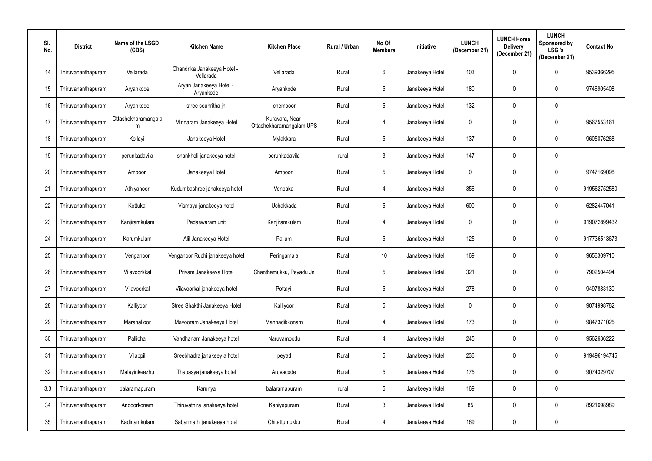| SI.<br>No. | <b>District</b>    | Name of the LSGD<br>(CDS) | <b>Kitchen Name</b>                      | <b>Kitchen Place</b>                       | Rural / Urban | No Of<br><b>Members</b> | Initiative      | <b>LUNCH</b><br>(December 21) | <b>LUNCH Home</b><br><b>Delivery</b><br>(December 21) | <b>LUNCH</b><br>Sponsored by<br><b>LSGI's</b><br>(December 21) | <b>Contact No</b> |
|------------|--------------------|---------------------------|------------------------------------------|--------------------------------------------|---------------|-------------------------|-----------------|-------------------------------|-------------------------------------------------------|----------------------------------------------------------------|-------------------|
| 14         | Thiruvananthapuram | Vellarada                 | Chandrika Janakeeya Hotel -<br>Vellarada | Vellarada                                  | Rural         | $6\phantom{.}6$         | Janakeeya Hotel | 103                           | 0                                                     | 0                                                              | 9539366295        |
| 15         | Thiruvananthapuram | Aryankode                 | Aryan Janakeeya Hotel -<br>Aryankode     | Aryankode                                  | Rural         | $5\phantom{.0}$         | Janakeeya Hotel | 180                           | 0                                                     | $\mathbf 0$                                                    | 9746905408        |
| 16         | Thiruvananthapuram | Aryankode                 | stree souhritha jh                       | chemboor                                   | Rural         | $5\phantom{.0}$         | Janakeeya Hotel | 132                           | 0                                                     | 0                                                              |                   |
| 17         | Thiruvananthapuram | Ottashekharamangala<br>m  | Minnaram Janakeeya Hotel                 | Kuravara, Near<br>Ottashekharamangalam UPS | Rural         | 4                       | Janakeeya Hotel | $\mathbf 0$                   | 0                                                     | 0                                                              | 9567553161        |
| 18         | Thiruvananthapuram | Kollayil                  | Janakeeya Hotel                          | Mylakkara                                  | Rural         | $5\phantom{.0}$         | Janakeeya Hotel | 137                           | 0                                                     | 0                                                              | 9605076268        |
| 19         | Thiruvananthapuram | perunkadavila             | shankholi janakeeya hotel                | perunkadavila                              | rural         | $\mathfrak{Z}$          | Janakeeya Hotel | 147                           | 0                                                     | 0                                                              |                   |
| 20         | Thiruvananthapuram | Amboori                   | Janakeeya Hotel                          | Amboori                                    | Rural         | $5\phantom{.0}$         | Janakeeya Hotel | $\mathbf 0$                   | 0                                                     | 0                                                              | 9747169098        |
| 21         | Thiruvananthapuram | Athiyanoor                | Kudumbashree janakeeya hotel             | Venpakal                                   | Rural         | 4                       | Janakeeya Hotel | 356                           | 0                                                     | 0                                                              | 919562752580      |
| 22         | Thiruvananthapuram | Kottukal                  | Vismaya janakeeya hotel                  | Uchakkada                                  | Rural         | $5\phantom{.0}$         | Janakeeya Hotel | 600                           | 0                                                     | 0                                                              | 6282447041        |
| 23         | Thiruvananthapuram | Kanjiramkulam             | Padaswaram unit                          | Kanjiramkulam                              | Rural         | 4                       | Janakeeya Hotel | $\mathbf 0$                   | 0                                                     | 0                                                              | 919072899432      |
| 24         | Thiruvananthapuram | Karumkulam                | Alil Janakeeya Hotel                     | Pallam                                     | Rural         | $5\phantom{.0}$         | Janakeeya Hotel | 125                           | 0                                                     | $\mathbf 0$                                                    | 917736513673      |
| 25         | Thiruvananthapuram | Venganoor                 | Venganoor Ruchi janakeeya hotel          | Peringamala                                | Rural         | 10                      | Janakeeya Hotel | 169                           | 0                                                     | 0                                                              | 9656309710        |
| 26         | Thiruvananthapuram | Vilavoorkkal              | Priyam Janakeeya Hotel                   | Chanthamukku, Peyadu Jn                    | Rural         | 5                       | Janakeeya Hotel | 321                           | 0                                                     | 0                                                              | 7902504494        |
| 27         | Thiruvananthapuram | Vilavoorkal               | Vilavoorkal janakeeya hotel              | Pottayil                                   | Rural         | $5\phantom{.0}$         | Janakeeya Hotel | 278                           | $\mathbf 0$                                           | $\boldsymbol{0}$                                               | 9497883130        |
| 28         | Thiruvananthapuram | Kalliyoor                 | Stree Shakthi Janakeeya Hotel            | Kalliyoor                                  | Rural         | $5\phantom{.0}$         | Janakeeya Hotel | $\pmb{0}$                     | 0                                                     | $\mathbf 0$                                                    | 9074998782        |
| 29         | Thiruvananthapuram | Maranalloor               | Mayooram Janakeeya Hotel                 | Mannadikkonam                              | Rural         | 4                       | Janakeeya Hotel | 173                           | 0                                                     | 0                                                              | 9847371025        |
| 30         | Thiruvananthapuram | Pallichal                 | Vandhanam Janakeeya hotel                | Naruvamoodu                                | Rural         | 4                       | Janakeeya Hotel | 245                           | 0                                                     | 0                                                              | 9562636222        |
| 31         | Thiruvananthapuram | Vilappil                  | Sreebhadra janakeey a hotel              | peyad                                      | Rural         | $5\phantom{.0}$         | Janakeeya Hotel | 236                           | 0                                                     | $\pmb{0}$                                                      | 919496194745      |
| 32         | Thiruvananthapuram | Malayinkeezhu             | Thapasya janakeeya hotel                 | Aruvacode                                  | Rural         | $5\phantom{.0}$         | Janakeeya Hotel | 175                           | $\mathbf 0$                                           | $\mathbf 0$                                                    | 9074329707        |
| 3,3        | Thiruvananthapuram | balaramapuram             | Karunya                                  | balaramapuram                              | rural         | $5\phantom{.0}$         | Janakeeya Hotel | 169                           | $\mathbf 0$                                           | 0                                                              |                   |
| 34         | Thiruvananthapuram | Andoorkonam               | Thiruvathira janakeeya hotel             | Kaniyapuram                                | Rural         | $\mathbf{3}$            | Janakeeya Hotel | 85                            | $\mathbf 0$                                           | $\mathbf 0$                                                    | 8921698989        |
| $35\,$     | Thiruvananthapuram | Kadinamkulam              | Sabarmathi janakeeya hotel               | Chitattumukku                              | Rural         | 4                       | Janakeeya Hotel | 169                           | 0                                                     | 0                                                              |                   |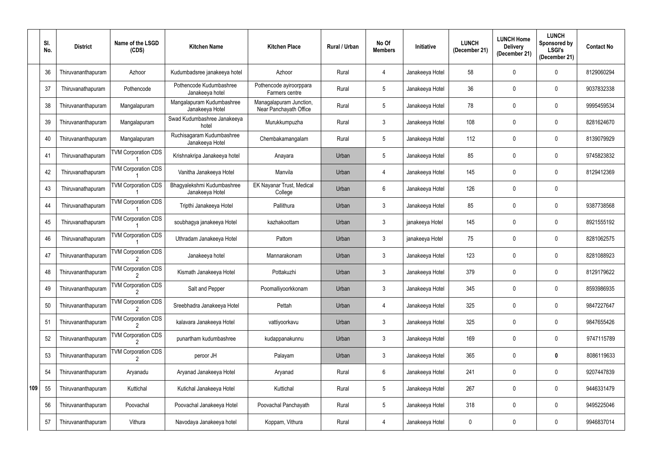|     | SI.<br>No. | <b>District</b>    | Name of the LSGD<br>(CDS)                  | <b>Kitchen Name</b>                           | <b>Kitchen Place</b>                              | Rural / Urban | No Of<br><b>Members</b> | Initiative      | <b>LUNCH</b><br>(December 21) | <b>LUNCH Home</b><br><b>Delivery</b><br>(December 21) | <b>LUNCH</b><br>Sponsored by<br><b>LSGI's</b><br>(December 21) | <b>Contact No</b> |
|-----|------------|--------------------|--------------------------------------------|-----------------------------------------------|---------------------------------------------------|---------------|-------------------------|-----------------|-------------------------------|-------------------------------------------------------|----------------------------------------------------------------|-------------------|
|     | 36         | Thiruvananthapuram | Azhoor                                     | Kudumbadsree janakeeya hotel                  | Azhoor                                            | Rural         | $\overline{4}$          | Janakeeya Hotel | 58                            | 0                                                     | $\mathbf 0$                                                    | 8129060294        |
|     | 37         | Thiruvanathapuram  | Pothencode                                 | Pothencode Kudumbashree<br>Janakeeya hotel    | Pothencode ayiroorppara<br>Farmers centre         | Rural         | $\overline{5}$          | Janakeeya Hotel | 36                            | 0                                                     | 0                                                              | 9037832338        |
|     | 38         | Thiruvananthapuram | Mangalapuram                               | Mangalapuram Kudumbashree<br>Janakeeya Hotel  | Managalapuram Junction,<br>Near Panchayath Office | Rural         | $\overline{5}$          | Janakeeya Hotel | 78                            | 0                                                     | $\mathbf 0$                                                    | 9995459534        |
|     | 39         | Thiruvananthapuram | Mangalapuram                               | Swad Kudumbashree Janakeeya<br>hotel          | Murukkumpuzha                                     | Rural         | $\mathbf{3}$            | Janakeeya Hotel | 108                           | 0                                                     | $\mathbf 0$                                                    | 8281624670        |
|     | 40         | Thiruvananthapuram | Mangalapuram                               | Ruchisagaram Kudumbashree<br>Janakeeya Hotel  | Chembakamangalam                                  | Rural         | $\overline{5}$          | Janakeeya Hotel | 112                           | 0                                                     | $\mathbf 0$                                                    | 8139079929        |
|     | 41         | Thiruvanathapuram  | <b>TVM Corporation CDS</b>                 | Krishnakripa Janakeeya hotel                  | Anayara                                           | Urban         | $\overline{5}$          | Janakeeya Hotel | 85                            | 0                                                     | $\mathbf 0$                                                    | 9745823832        |
|     | 42         | Thiruvanathapuram  | <b>TVM Corporation CDS</b>                 | Vanitha Janakeeya Hotel                       | Manvila                                           | Urban         | 4                       | Janakeeya Hotel | 145                           | 0                                                     | $\mathbf 0$                                                    | 8129412369        |
|     | 43         | Thiruvanathapuram  | <b>TVM Corporation CDS</b>                 | Bhagyalekshmi Kudumbashree<br>Janakeeya Hotel | EK Nayanar Trust, Medical<br>College              | Urban         | $6\phantom{.}6$         | Janakeeya Hotel | 126                           | 0                                                     | 0                                                              |                   |
|     | 44         | Thiruvanathapuram  | <b>TVM Corporation CDS</b>                 | Tripthi Janakeeya Hotel                       | Pallithura                                        | Urban         | $\mathbf{3}$            | Janakeeya Hotel | 85                            | 0                                                     | 0                                                              | 9387738568        |
|     | 45         | Thiruvanathapuram  | <b>TVM Corporation CDS</b>                 | soubhagya janakeeya Hotel                     | kazhakoottam                                      | Urban         | $\mathbf{3}$            | janakeeya Hotel | 145                           | 0                                                     | $\mathbf 0$                                                    | 8921555192        |
|     | 46         | Thiruvanathapuram  | <b>TVM Corporation CDS</b>                 | Uthradam Janakeeya Hotel                      | Pattom                                            | Urban         | $\mathbf{3}$            | janakeeya Hotel | 75                            | 0                                                     | 0                                                              | 8281062575        |
|     | 47         | Thiruvananthapuram | <b>TVM Corporation CDS</b>                 | Janakeeya hotel                               | Mannarakonam                                      | Urban         | $\mathbf{3}$            | Janakeeya Hotel | 123                           | 0                                                     | $\mathbf 0$                                                    | 8281088923        |
|     | 48         | Thiruvananthapuram | <b>TVM Corporation CDS</b><br>$\mathbf{2}$ | Kismath Janakeeya Hotel                       | Pottakuzhi                                        | Urban         | 3                       | Janakeeya Hotel | 379                           |                                                       | 0                                                              | 8129179622        |
|     | 49         | Thiruvananthapuram | <b>TVM Corporation CDS</b>                 | Salt and Pepper                               | Poomalliyoorkkonam                                | Urban         | $\mathfrak{Z}$          | Janakeeya Hotel | 345                           | 0                                                     | 0                                                              | 8593986935        |
|     | 50         | Thiruvananthapuram | <b>TVM Corporation CDS</b>                 | Sreebhadra Janakeeya Hotel                    | Pettah                                            | Urban         | $\overline{4}$          | Janakeeya Hotel | 325                           | 0                                                     | 0                                                              | 9847227647        |
|     | 51         | Thiruvananthapuram | <b>TVM Corporation CDS</b>                 | kalavara Janakeeya Hotel                      | vattiyoorkavu                                     | Urban         | $\mathfrak{Z}$          | Janakeeya Hotel | 325                           | 0                                                     | $\mathbf 0$                                                    | 9847655426        |
|     | 52         | Thiruvananthapuram | <b>TVM Corporation CDS</b>                 | punartham kudumbashree                        | kudappanakunnu                                    | Urban         | $\mathfrak{Z}$          | Janakeeya Hotel | 169                           | 0                                                     | 0                                                              | 9747115789        |
|     | 53         | Thiruvananthapuram | <b>TVM Corporation CDS</b>                 | peroor JH                                     | Palayam                                           | Urban         | $\mathbf{3}$            | Janakeeya Hotel | 365                           | 0                                                     | $\pmb{0}$                                                      | 8086119633        |
|     | 54         | Thiruvananthapuram | Aryanadu                                   | Aryanad Janakeeya Hotel                       | Aryanad                                           | Rural         | $6\phantom{.}6$         | Janakeeya Hotel | 241                           | 0                                                     | $\mathbf 0$                                                    | 9207447839        |
| 109 | 55         | Thiruvananthapuram | Kuttichal                                  | Kutichal Janakeeya Hotel                      | Kuttichal                                         | Rural         | $\sqrt{5}$              | Janakeeya Hotel | 267                           | 0                                                     | $\mathbf 0$                                                    | 9446331479        |
|     | 56         | Thiruvananthapuram | Poovachal                                  | Poovachal Janakeeya Hotel                     | Poovachal Panchayath                              | Rural         | $5\,$                   | Janakeeya Hotel | 318                           | 0                                                     | $\boldsymbol{0}$                                               | 9495225046        |
|     | 57         | Thiruvananthapuram | Vithura                                    | Navodaya Janakeeya hotel                      | Koppam, Vithura                                   | Rural         | $\overline{4}$          | Janakeeya Hotel | 0                             | 0                                                     | $\mathbf 0$                                                    | 9946837014        |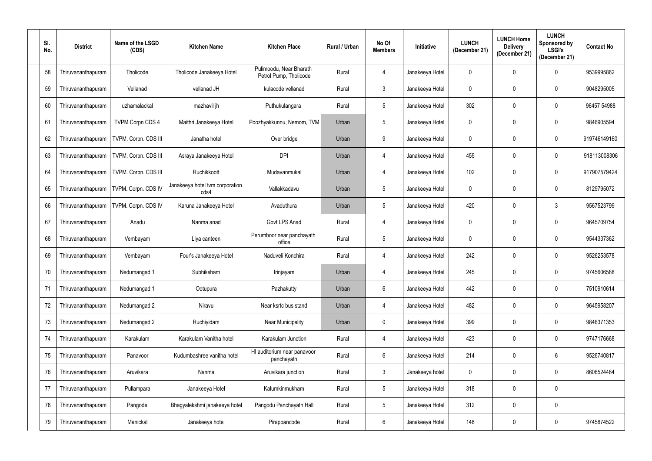| SI.<br>No. | <b>District</b>    | Name of the LSGD<br>(CDS) | <b>Kitchen Name</b>                     | <b>Kitchen Place</b>                              | <b>Rural / Urban</b> | No Of<br><b>Members</b> | <b>Initiative</b> | <b>LUNCH</b><br>(December 21) | <b>LUNCH Home</b><br><b>Delivery</b><br>(December 21) | <b>LUNCH</b><br>Sponsored by<br><b>LSGI's</b><br>(December 21) | <b>Contact No</b> |
|------------|--------------------|---------------------------|-----------------------------------------|---------------------------------------------------|----------------------|-------------------------|-------------------|-------------------------------|-------------------------------------------------------|----------------------------------------------------------------|-------------------|
| 58         | Thiruvananthapuram | Tholicode                 | Tholicode Janakeeya Hotel               | Pulimoodu, Near Bharath<br>Petrol Pump, Tholicode | Rural                | 4                       | Janakeeya Hotel   | $\boldsymbol{0}$              | 0                                                     | $\mathbf 0$                                                    | 9539995862        |
| 59         | Thiruvananthapuram | Vellanad                  | vellanad JH                             | kulacode vellanad                                 | Rural                | $\mathbf{3}$            | Janakeeya Hotel   | $\mathbf 0$                   | 0                                                     | $\mathbf 0$                                                    | 9048295005        |
| 60         | Thiruvananthapuram | uzhamalackal              | mazhavil jh                             | Puthukulangara                                    | Rural                | $5\phantom{.0}$         | Janakeeya Hotel   | 302                           | 0                                                     | 0                                                              | 96457 54988       |
| 61         | Thiruvananthapuram | <b>TVPM Corpn CDS 4</b>   | Maithri Janakeeya Hotel                 | Poozhyakkunnu, Nemom, TVM                         | Urban                | $5\phantom{.0}$         | Janakeeya Hotel   | $\mathbf 0$                   | 0                                                     | $\mathbf 0$                                                    | 9846905594        |
| 62         | Thiruvananthapuram | TVPM. Corpn. CDS III      | Janatha hotel                           | Over bridge                                       | Urban                | 9                       | Janakeeya Hotel   | $\mathbf 0$                   | 0                                                     | 0                                                              | 919746149160      |
| 63         | Thiruvananthapuram | TVPM. Corpn. CDS III      | Asraya Janakeeya Hotel                  | <b>DPI</b>                                        | Urban                | 4                       | Janakeeya Hotel   | 455                           | 0                                                     | $\mathbf 0$                                                    | 918113008306      |
| 64         | Thiruvananthapuram | TVPM. Corpn. CDS III      | Ruchikkoott                             | Mudavanmukal                                      | Urban                | 4                       | Janakeeya Hotel   | 102                           | 0                                                     | $\mathbf 0$                                                    | 917907579424      |
| 65         | Thiruvananthapuram | TVPM. Corpn. CDS IV       | Janakeeya hotel tvm corporation<br>cds4 | Vallakkadavu                                      | Urban                | $5\phantom{.0}$         | Janakeeya Hotel   | $\mathbf 0$                   | 0                                                     | $\mathbf 0$                                                    | 8129795072        |
| 66         | Thiruvananthapuram | TVPM. Corpn. CDS IV       | Karuna Janakeeya Hotel                  | Avaduthura                                        | Urban                | $5\phantom{.0}$         | Janakeeya Hotel   | 420                           | 0                                                     | 3                                                              | 9567523799        |
| 67         | Thiruvananthapuram | Anadu                     | Nanma anad                              | Govt LPS Anad                                     | Rural                | 4                       | Janakeeya Hotel   | $\mathbf 0$                   | 0                                                     | $\mathbf 0$                                                    | 9645709754        |
| 68         | Thiruvananthapuram | Vembayam                  | Liya canteen                            | Perumboor near panchayath<br>office               | Rural                | $5\phantom{.0}$         | Janakeeya Hotel   | $\mathbf 0$                   | 0                                                     | $\mathbf 0$                                                    | 9544337362        |
| 69         | Thiruvananthapuram | Vembayam                  | Four's Janakeeya Hotel                  | Naduveli Konchira                                 | Rural                | 4                       | Janakeeya Hotel   | 242                           | 0                                                     | $\mathbf 0$                                                    | 9526253578        |
| 70         | Thiruvananthapuram | Nedumangad 1              | Subhiksham                              | Irinjayam                                         | Urban                | 4                       | Janakeeya Hotel   | 245                           |                                                       | 0                                                              | 9745606588        |
| 71         | Thiruvananthapuram | Nedumangad 1              | Ootupura                                | Pazhakutty                                        | Urban                | $6\phantom{.0}$         | Janakeeya Hotel   | 442                           | 0                                                     | $\boldsymbol{0}$                                               | 7510910614        |
| 72         | Thiruvananthapuram | Nedumangad 2              | Niravu                                  | Near ksrtc bus stand                              | Urban                | 4                       | Janakeeya Hotel   | 482                           | 0                                                     | 0                                                              | 9645958207        |
| 73         | Thiruvananthapuram | Nedumangad 2              | Ruchiyidam                              | <b>Near Municipality</b>                          | Urban                | $\pmb{0}$               | Janakeeya Hotel   | 399                           | 0                                                     | 0                                                              | 9846371353        |
| 74         | Thiruvananthapuram | Karakulam                 | Karakulam Vanitha hotel                 | Karakulam Junction                                | Rural                | 4                       | Janakeeya Hotel   | 423                           | 0                                                     | 0                                                              | 9747176668        |
| 75         | Thiruvananthapuram | Panavoor                  | Kudumbashree vanitha hotel              | HI auditorium near panavoor<br>panchayath         | Rural                | $6\phantom{.0}$         | Janakeeya Hotel   | 214                           | 0                                                     | 6                                                              | 9526740817        |
| 76         | Thiruvananthapuram | Aruvikara                 | Nanma                                   | Aruvikara junction                                | Rural                | $\mathbf{3}$            | Janakeeya hotel   | $\mathbf 0$                   | 0                                                     | $\mathbf 0$                                                    | 8606524464        |
| 77         | Thiruvananthapuram | Pullampara                | Janakeeya Hotel                         | Kalumkinmukham                                    | Rural                | $\sqrt{5}$              | Janakeeya Hotel   | 318                           | 0                                                     | $\mathbf 0$                                                    |                   |
| 78         | Thiruvananthapuram | Pangode                   | Bhagyalekshmi janakeeya hotel           | Pangodu Panchayath Hall                           | Rural                | $\overline{5}$          | Janakeeya Hotel   | 312                           | 0                                                     | $\mathbf 0$                                                    |                   |
| 79         | Thiruvananthapuram | Manickal                  | Janakeeya hotel                         | Pirappancode                                      | Rural                | $6\phantom{.0}$         | Janakeeya Hotel   | 148                           | 0                                                     | 0                                                              | 9745874522        |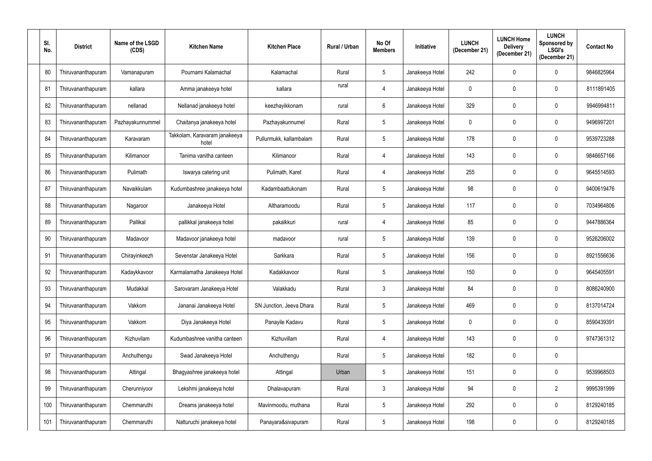| SI.<br>No. | <b>District</b>    | Name of the LSGD<br>(CDS) | <b>Kitchen Name</b>                    | <b>Kitchen Place</b>     | <b>Rural / Urban</b> | No Of<br><b>Members</b> | <b>Initiative</b> | <b>LUNCH</b><br>(December 21) | <b>LUNCH Home</b><br><b>Delivery</b><br>(December 21) | <b>LUNCH</b><br>Sponsored by<br><b>LSGI's</b><br>(December 21) | <b>Contact No</b> |
|------------|--------------------|---------------------------|----------------------------------------|--------------------------|----------------------|-------------------------|-------------------|-------------------------------|-------------------------------------------------------|----------------------------------------------------------------|-------------------|
| 80         | Thiruvananthapuram | Vamanapuram               | Pournami Kalamachal                    | Kalamachal               | Rural                | $5\phantom{.0}$         | Janakeeya Hotel   | 242                           | 0                                                     | $\mathbf 0$                                                    | 9846825964        |
| 81         | Thiruvananthapuram | kallara                   | Amma janakeeya hotel                   | kallara                  | rural                | 4                       | Janakeeya Hotel   | $\mathbf 0$                   | 0                                                     | $\mathbf 0$                                                    | 8111891405        |
| 82         | Thiruvananthapuram | nellanad                  | Nellanad janakeeya hotel               | keezhayikkonam           | rural                | $6\phantom{.0}$         | Janakeeya Hotel   | 329                           | 0                                                     | 0                                                              | 9946994811        |
| 83         | Thiruvananthapuram | Pazhayakunnummel          | Chaitanya janakeeya hotel              | Pazhayakunnumel          | Rural                | $5\phantom{.0}$         | Janakeeya Hotel   | $\mathbf 0$                   | 0                                                     | $\mathbf 0$                                                    | 9496997201        |
| 84         | Thiruvananthapuram | Karavaram                 | Takkolam, Karavaram janakeeya<br>hotel | Pullurmukk, kallambalam  | Rural                | $\sqrt{5}$              | Janakeeya Hotel   | 178                           | 0                                                     | $\mathbf 0$                                                    | 9539723288        |
| 85         | Thiruvananthapuram | Kilimanoor                | Tanima vanitha canteen                 | Kilimanoor               | Rural                | 4                       | Janakeeya Hotel   | 143                           | 0                                                     | $\mathbf 0$                                                    | 9846657166        |
| 86         | Thiruvananthapuram | Pulimath                  | Iswarya catering unit                  | Pulimath, Karet          | Rural                | 4                       | Janakeeya Hotel   | 255                           | 0                                                     | $\mathbf 0$                                                    | 9645514593        |
| 87         | Thiruvananthapuram | Navaikkulam               | Kudumbashree janakeeya hotel           | Kadambaattukonam         | Rural                | $5\phantom{.0}$         | Janakeeya Hotel   | 98                            | 0                                                     | $\mathbf 0$                                                    | 9400619476        |
| 88         | Thiruvananthapuram | Nagaroor                  | Janakeeya Hotel                        | Altharamoodu             | Rural                | $5\phantom{.0}$         | Janakeeya Hotel   | 117                           | 0                                                     | 0                                                              | 7034964806        |
| 89         | Thiruvananthapuram | Pallikal                  | pallikkal janakeeya hotel              | pakalkkuri               | rural                | 4                       | Janakeeya Hotel   | 85                            | 0                                                     | $\mathbf 0$                                                    | 9447886364        |
| 90         | Thiruvananthapuram | Madavoor                  | Madavoor janakeeya hotel               | madavoor                 | rural                | $5\phantom{.0}$         | Janakeeya Hotel   | 139                           | 0                                                     | $\mathbf 0$                                                    | 9526206002        |
| 91         | Thiruvananthapuram | Chirayinkeezh             | Sevenstar Janakeeya Hotel              | Sarkkara                 | Rural                | $5\phantom{.0}$         | Janakeeya Hotel   | 156                           | 0                                                     | $\mathbf 0$                                                    | 8921556636        |
| 92         | Thiruvananthapuram | Kadaykkavoor              | Karmalamatha Janakeeya Hotel           | Kadakkavoor              | Rural                |                         | Janakeeya Hotel   | 150                           |                                                       | 0                                                              | 9645405591        |
| 93         | Thiruvananthapuram | Mudakkal                  | Sarovaram Janakeeya Hotel              | Valakkadu                | Rural                | $\mathbf{3}$            | Janakeeya Hotel   | 84                            | 0                                                     | $\boldsymbol{0}$                                               | 8086240900        |
| 94         | Thiruvananthapuram | Vakkom                    | Jananai Janakeeya Hotel                | SN Junction, Jeeva Dhara | Rural                | $\overline{5}$          | Janakeeya Hotel   | 469                           | 0                                                     | 0                                                              | 8137014724        |
| 95         | Thiruvananthapuram | Vakkom                    | Diya Janakeeya Hotel                   | Panayile Kadavu          | Rural                | $5\phantom{.0}$         | Janakeeya Hotel   | $\pmb{0}$                     | 0                                                     | 0                                                              | 8590439391        |
| 96         | Thiruvananthapuram | Kizhuvilam                | Kudumbashree vanitha canteen           | Kizhuvillam              | Rural                | 4                       | Janakeeya Hotel   | 143                           | 0                                                     | 0                                                              | 9747361312        |
| 97         | Thiruvananthapuram | Anchuthengu               | Swad Janakeeya Hotel                   | Anchuthengu              | Rural                | $\sqrt{5}$              | Janakeeya Hotel   | 182                           | 0                                                     | 0                                                              |                   |
| 98         | Thiruvananthapuram | Attingal                  | Bhagyashree janakeeya hotel            | Attingal                 | Urban                | $5\phantom{.0}$         | Janakeeya Hotel   | 151                           | 0                                                     | $\mathbf 0$                                                    | 9539968503        |
| 99         | Thiruvananthapuram | Cherunniyoor              | Lekshmi janakeeya hotel                | Dhalavapuram             | Rural                | $\mathfrak{Z}$          | Janakeeya Hotel   | 94                            | 0                                                     | $\overline{2}$                                                 | 9995391999        |
| 100        | Thiruvananthapuram | Chemmaruthi               | Dreams janakeeya hotel                 | Mavinmoodu, muthana      | Rural                | $\overline{5}$          | Janakeeya Hotel   | 292                           | 0                                                     | $\mathbf 0$                                                    | 8129240185        |
| 101        | Thiruvananthapuram | Chemmaruthi               | Natturuchi janakeeya hotel             | Panayara&sivapuram       | Rural                | $\overline{5}$          | Janakeeya Hotel   | 198                           | 0                                                     | 0                                                              | 8129240185        |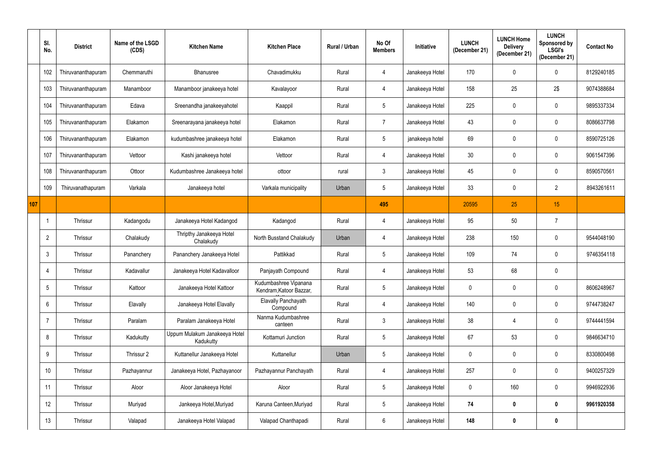|     | SI.<br>No.      | <b>District</b>    | Name of the LSGD<br>(CDS) | <b>Kitchen Name</b>                        | <b>Kitchen Place</b>                             | Rural / Urban | No Of<br><b>Members</b> | <b>Initiative</b> | <b>LUNCH</b><br>(December 21) | <b>LUNCH Home</b><br><b>Delivery</b><br>(December 21) | <b>LUNCH</b><br>Sponsored by<br><b>LSGI's</b><br>(December 21) | <b>Contact No</b> |
|-----|-----------------|--------------------|---------------------------|--------------------------------------------|--------------------------------------------------|---------------|-------------------------|-------------------|-------------------------------|-------------------------------------------------------|----------------------------------------------------------------|-------------------|
|     | 102             | Thiruvananthapuram | Chemmaruthi               | Bhanusree                                  | Chavadimukku                                     | Rural         | 4                       | Janakeeya Hotel   | 170                           | 0                                                     | 0                                                              | 8129240185        |
|     | 103             | Thiruvananthapuram | Manamboor                 | Manamboor janakeeya hotel                  | Kavalayoor                                       | Rural         | 4                       | Janakeeya Hotel   | 158                           | 25                                                    | $2\$                                                           | 9074388684        |
|     | 104             | Thiruvananthapuram | Edava                     | Sreenandha janakeeyahotel                  | Kaappil                                          | Rural         | $\sqrt{5}$              | Janakeeya Hotel   | 225                           | 0                                                     | 0                                                              | 9895337334        |
|     | 105             | Thiruvananthapuram | Elakamon                  | Sreenarayana janakeeya hotel               | Elakamon                                         | Rural         | $\overline{7}$          | Janakeeya Hotel   | 43                            | 0                                                     | 0                                                              | 8086637798        |
|     | 106             | Thiruvananthapuram | Elakamon                  | kudumbashree janakeeya hotel               | Elakamon                                         | Rural         | $\overline{5}$          | janakeeya hotel   | 69                            | 0                                                     | $\mathbf 0$                                                    | 8590725126        |
|     | 107             | Thiruvananthapuram | Vettoor                   | Kashi janakeeya hotel                      | Vettoor                                          | Rural         | $\overline{4}$          | Janakeeya Hotel   | 30                            | 0                                                     | 0                                                              | 9061547396        |
|     | 108             | Thiruvananthapuram | Ottoor                    | Kudumbashree Janakeeya hotel               | ottoor                                           | rural         | $\mathfrak{Z}$          | Janakeeya Hotel   | 45                            | 0                                                     | 0                                                              | 8590570561        |
|     | 109             | Thiruvanathapuram  | Varkala                   | Janakeeya hotel                            | Varkala municipality                             | Urban         | $5\phantom{.0}$         | Janakeeya Hotel   | 33                            | 0                                                     | $\overline{2}$                                                 | 8943261611        |
| 107 |                 |                    |                           |                                            |                                                  |               | 495                     |                   | 20595                         | 25                                                    | 15                                                             |                   |
|     |                 | Thrissur           | Kadangodu                 | Janakeeya Hotel Kadangod                   | Kadangod                                         | Rural         | 4                       | Janakeeya Hotel   | 95                            | 50                                                    | $\overline{7}$                                                 |                   |
|     | $\overline{2}$  | Thrissur           | Chalakudy                 | Thripthy Janakeeya Hotel<br>Chalakudy      | North Busstand Chalakudy                         | Urban         | 4                       | Janakeeya Hotel   | 238                           | 150                                                   | $\mathbf 0$                                                    | 9544048190        |
|     | $\mathbf{3}$    | Thrissur           | Pananchery                | Pananchery Janakeeya Hotel                 | Pattikkad                                        | Rural         | $\sqrt{5}$              | Janakeeya Hotel   | 109                           | 74                                                    | $\mathbf 0$                                                    | 9746354118        |
|     | 4               | Thrissur           | Kadavallur                | Janakeeya Hotel Kadavalloor                | Panjayath Compound                               | Rural         | 4                       | Janakeeya Hotel   | 53                            | 68                                                    | 0                                                              |                   |
|     | $5\phantom{.0}$ | Thrissur           | Kattoor                   | Janakeeya Hotel Kattoor                    | Kudumbashree Vipanana<br>Kendram, Katoor Bazzar, | Rural         | $\sqrt{5}$              | Janakeeya Hotel   | $\mathbf 0$                   | 0                                                     | $\mathbf 0$                                                    | 8606248967        |
|     | $6\overline{6}$ | Thrissur           | Elavally                  | Janakeeya Hotel Elavally                   | Elavally Panchayath<br>Compound                  | Rural         | $\overline{4}$          | Janakeeya Hotel   | 140                           | 0                                                     | $\mathbf 0$                                                    | 9744738247        |
|     | $\overline{7}$  | Thrissur           | Paralam                   | Paralam Janakeeya Hotel                    | Nanma Kudumbashree<br>canteen                    | Rural         | $\mathbf{3}$            | Janakeeya Hotel   | 38                            | 4                                                     | $\mathbf 0$                                                    | 9744441594        |
|     | 8               | Thrissur           | Kadukutty                 | Uppum Mulakum Janakeeya Hotel<br>Kadukutty | Kottamuri Junction                               | Rural         | $\sqrt{5}$              | Janakeeya Hotel   | 67                            | 53                                                    | $\mathbf 0$                                                    | 9846634710        |
|     | 9               | Thrissur           | Thrissur 2                | Kuttanellur Janakeeya Hotel                | Kuttanellur                                      | Urban         | $\sqrt{5}$              | Janakeeya Hotel   | $\mathbf 0$                   | 0                                                     | $\mathbf 0$                                                    | 8330800498        |
|     | 10              | Thrissur           | Pazhayannur               | Janakeeya Hotel, Pazhayanoor               | Pazhayannur Panchayath                           | Rural         | $\overline{4}$          | Janakeeya Hotel   | 257                           | 0                                                     | $\mathbf 0$                                                    | 9400257329        |
|     | 11              | Thrissur           | Aloor                     | Aloor Janakeeya Hotel                      | Aloor                                            | Rural         | $\sqrt{5}$              | Janakeeya Hotel   | $\mathbf 0$                   | 160                                                   | $\mathbf 0$                                                    | 9946922936        |
|     | 12              | Thrissur           | Muriyad                   | Jankeeya Hotel, Muriyad                    | Karuna Canteen, Muriyad                          | Rural         | $\sqrt{5}$              | Janakeeya Hotel   | 74                            | $\boldsymbol{0}$                                      | $\mathbf 0$                                                    | 9961920358        |
|     | 13              | Thrissur           | Valapad                   | Janakeeya Hotel Valapad                    | Valapad Chanthapadi                              | Rural         | $\,6\,$                 | Janakeeya Hotel   | 148                           | $\boldsymbol{0}$                                      | $\boldsymbol{0}$                                               |                   |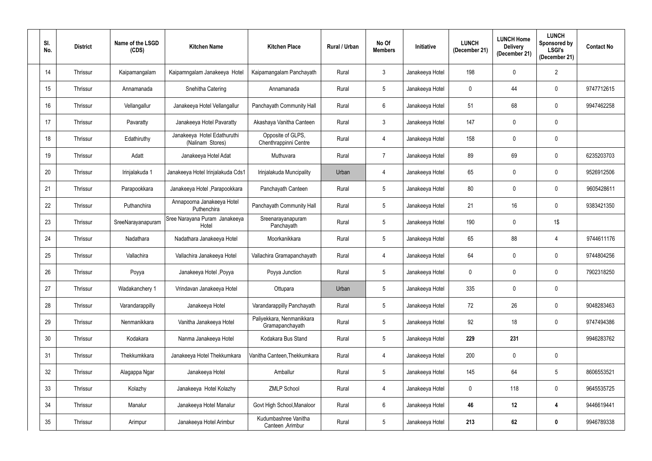| SI.<br>No. | <b>District</b> | Name of the LSGD<br>(CDS) | <b>Kitchen Name</b>                             | <b>Kitchen Place</b>                         | Rural / Urban | No Of<br><b>Members</b> | <b>Initiative</b> | <b>LUNCH</b><br>(December 21) | <b>LUNCH Home</b><br><b>Delivery</b><br>(December 21) | <b>LUNCH</b><br>Sponsored by<br>LSGI's<br>(December 21) | <b>Contact No</b> |
|------------|-----------------|---------------------------|-------------------------------------------------|----------------------------------------------|---------------|-------------------------|-------------------|-------------------------------|-------------------------------------------------------|---------------------------------------------------------|-------------------|
| 14         | Thrissur        | Kaipamangalam             | Kaipamngalam Janakeeya Hotel                    | Kaipamangalam Panchayath                     | Rural         | $\mathfrak{Z}$          | Janakeeya Hotel   | 198                           | 0                                                     | $\overline{2}$                                          |                   |
| 15         | Thrissur        | Annamanada                | Snehitha Catering                               | Annamanada                                   | Rural         | $5\phantom{.0}$         | Janakeeya Hotel   | $\mathbf 0$                   | 44                                                    | $\mathbf 0$                                             | 9747712615        |
| 16         | Thrissur        | Vellangallur              | Janakeeya Hotel Vellangallur                    | Panchayath Community Hall                    | Rural         | $6\phantom{.}$          | Janakeeya Hotel   | 51                            | 68                                                    | $\pmb{0}$                                               | 9947462258        |
| 17         | Thrissur        | Pavaratty                 | Janakeeya Hotel Pavaratty                       | Akashaya Vanitha Canteen                     | Rural         | $\mathbf{3}$            | Janakeeya Hotel   | 147                           | 0                                                     | $\mathbf 0$                                             |                   |
| 18         | Thrissur        | Edathiruthy               | Janakeeya Hotel Edathuruthi<br>(Nalinam Stores) | Opposite of GLPS,<br>Chenthrappinni Centre   | Rural         | 4                       | Janakeeya Hotel   | 158                           | 0                                                     | $\pmb{0}$                                               |                   |
| 19         | Thrissur        | Adatt                     | Janakeeya Hotel Adat                            | Muthuvara                                    | Rural         | $\overline{7}$          | Janakeeya Hotel   | 89                            | 69                                                    | $\mathbf 0$                                             | 6235203703        |
| 20         | Thrissur        | Irinjalakuda 1            | Janakeeya Hotel Irinjalakuda Cds1               | Irinjalakuda Muncipality                     | Urban         | 4                       | Janakeeya Hotel   | 65                            | 0                                                     | $\mathbf 0$                                             | 9526912506        |
| 21         | Thrissur        | Parapookkara              | Janakeeya Hotel , Parapookkara                  | Panchayath Canteen                           | Rural         | $\overline{5}$          | Janakeeya Hotel   | 80                            | 0                                                     | $\mathbf 0$                                             | 9605428611        |
| 22         | Thrissur        | Puthanchira               | Annapoorna Janakeeya Hotel<br>Puthenchira       | Panchayath Community Hall                    | Rural         | $\overline{5}$          | Janakeeya Hotel   | 21                            | 16                                                    | $\pmb{0}$                                               | 9383421350        |
| 23         | Thrissur        | SreeNarayanapuram         | Sree Narayana Puram Janakeeya<br>Hotel          | Sreenarayanapuram<br>Panchayath              | Rural         | $5\phantom{.0}$         | Janakeeya Hotel   | 190                           | 0                                                     | 1\$                                                     |                   |
| 24         | Thrissur        | Nadathara                 | Nadathara Janakeeya Hotel                       | Moorkanikkara                                | Rural         | $\overline{5}$          | Janakeeya Hotel   | 65                            | 88                                                    | 4                                                       | 9744611176        |
| 25         | Thrissur        | Vallachira                | Vallachira Janakeeya Hotel                      | Vallachira Gramapanchayath                   | Rural         | 4                       | Janakeeya Hotel   | 64                            | 0                                                     | $\mathbf 0$                                             | 9744804256        |
| 26         | Thrissur        | Poyya                     | Janakeeya Hotel , Poyya                         | Poyya Junction                               | Rural         |                         | Janakeeya Hotel   | 0                             | 0                                                     | $\mathbf 0$                                             | 7902318250        |
| 27         | Thrissur        | Wadakanchery 1            | Vrindavan Janakeeya Hotel                       | Ottupara                                     | Urban         | $5\,$                   | Janakeeya Hotel   | 335                           | 0                                                     | $\mathbf 0$                                             |                   |
| 28         | Thrissur        | Varandarappilly           | Janakeeya Hotel                                 | Varandarappilly Panchayath                   | Rural         | $5\,$                   | Janakeeya Hotel   | 72                            | 26                                                    | $\pmb{0}$                                               | 9048283463        |
| 29         | Thrissur        | Nenmanikkara              | Vanitha Janakeeya Hotel                         | Paliyekkara, Nenmanikkara<br>Gramapanchayath | Rural         | $\sqrt{5}$              | Janakeeya Hotel   | 92                            | 18                                                    | $\mathbf 0$                                             | 9747494386        |
| 30         | Thrissur        | Kodakara                  | Nanma Janakeeya Hotel                           | Kodakara Bus Stand                           | Rural         | $5\,$                   | Janakeeya Hotel   | 229                           | 231                                                   |                                                         | 9946283762        |
| 31         | Thrissur        | Thekkumkkara              | Janakeeya Hotel Thekkumkara                     | Vanitha Canteen, Thekkumkara                 | Rural         | 4                       | Janakeeya Hotel   | 200                           | 0                                                     | $\mathbf 0$                                             |                   |
| 32         | Thrissur        | Alagappa Ngar             | Janakeeya Hotel                                 | Amballur                                     | Rural         | $\overline{5}$          | Janakeeya Hotel   | 145                           | 64                                                    | $5\phantom{.0}$                                         | 8606553521        |
| 33         | Thrissur        | Kolazhy                   | Janakeeya Hotel Kolazhy                         | <b>ZMLP School</b>                           | Rural         | 4                       | Janakeeya Hotel   | $\mathbf 0$                   | 118                                                   | $\mathbf 0$                                             | 9645535725        |
| 34         | Thrissur        | Manalur                   | Janakeeya Hotel Manalur                         | Govt High School, Manaloor                   | Rural         | $6\,$                   | Janakeeya Hotel   | 46                            | 12                                                    | $\overline{\mathbf{4}}$                                 | 9446619441        |
| 35         | Thrissur        | Arimpur                   | Janakeeya Hotel Arimbur                         | Kudumbashree Vanitha<br>Canteen, Arimbur     | Rural         | $5\,$                   | Janakeeya Hotel   | 213                           | 62                                                    | $\pmb{0}$                                               | 9946789338        |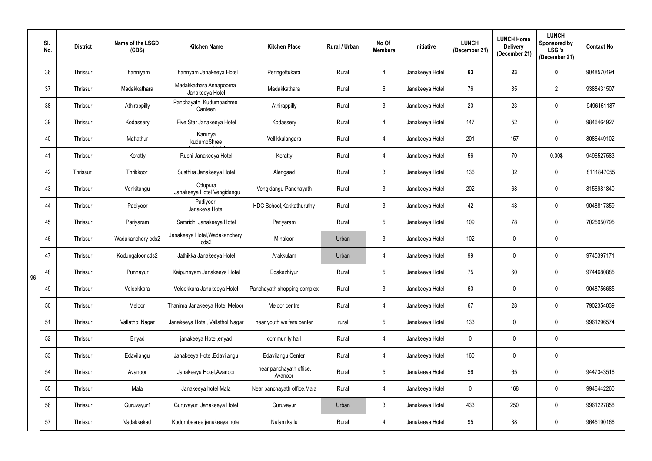|    | SI.<br>No. | <b>District</b> | Name of the LSGD<br>(CDS) | <b>Kitchen Name</b>                        | <b>Kitchen Place</b>               | Rural / Urban | No Of<br><b>Members</b> | Initiative      | <b>LUNCH</b><br>(December 21) | <b>LUNCH Home</b><br><b>Delivery</b><br>(December 21) | <b>LUNCH</b><br>Sponsored by<br><b>LSGI's</b><br>(December 21) | <b>Contact No</b> |
|----|------------|-----------------|---------------------------|--------------------------------------------|------------------------------------|---------------|-------------------------|-----------------|-------------------------------|-------------------------------------------------------|----------------------------------------------------------------|-------------------|
|    | 36         | Thrissur        | Thanniyam                 | Thannyam Janakeeya Hotel                   | Peringottukara                     | Rural         | 4                       | Janakeeya Hotel | 63                            | 23                                                    | $\mathbf 0$                                                    | 9048570194        |
|    | 37         | Thrissur        | Madakkathara              | Madakkathara Annapoorna<br>Janakeeya Hotel | Madakkathara                       | Rural         | $6\phantom{.}$          | Janakeeya Hotel | 76                            | 35                                                    | $\overline{2}$                                                 | 9388431507        |
|    | 38         | Thrissur        | Athirappilly              | Panchayath Kudumbashree<br>Canteen         | Athirappilly                       | Rural         | $\mathfrak{Z}$          | Janakeeya Hotel | 20                            | 23                                                    | 0                                                              | 9496151187        |
|    | 39         | Thrissur        | Kodassery                 | Five Star Janakeeya Hotel                  | Kodassery                          | Rural         | $\overline{4}$          | Janakeeya Hotel | 147                           | 52                                                    | $\mathbf 0$                                                    | 9846464927        |
|    | 40         | Thrissur        | Mattathur                 | Karunya<br>kudumbShree                     | Vellikkulangara                    | Rural         | $\overline{4}$          | Janakeeya Hotel | 201                           | 157                                                   | $\mathbf 0$                                                    | 8086449102        |
|    | 41         | Thrissur        | Koratty                   | Ruchi Janakeeya Hotel                      | Koratty                            | Rural         | 4                       | Janakeeya Hotel | 56                            | 70                                                    | 0.00\$                                                         | 9496527583        |
|    | 42         | Thrissur        | Thrikkoor                 | Susthira Janakeeya Hotel                   | Alengaad                           | Rural         | $\mathfrak{Z}$          | Janakeeya Hotel | 136                           | 32                                                    | $\mathbf 0$                                                    | 8111847055        |
|    | 43         | Thrissur        | Venkitangu                | Ottupura<br>Janakeeya Hotel Vengidangu     | Vengidangu Panchayath              | Rural         | $\mathfrak{Z}$          | Janakeeya Hotel | 202                           | 68                                                    | $\mathbf 0$                                                    | 8156981840        |
|    | 44         | Thrissur        | Padiyoor                  | Padiyoor<br>Janakeya Hotel                 | HDC School, Kakkathuruthy          | Rural         | $\mathfrak{Z}$          | Janakeeya Hotel | 42                            | 48                                                    | $\mathbf 0$                                                    | 9048817359        |
|    | 45         | Thrissur        | Pariyaram                 | Samridhi Janakeeya Hotel                   | Pariyaram                          | Rural         | $5\phantom{.0}$         | Janakeeya Hotel | 109                           | 78                                                    | $\mathbf 0$                                                    | 7025950795        |
|    | 46         | Thrissur        | Wadakanchery cds2         | Janakeeya Hotel, Wadakanchery<br>cds2      | Minaloor                           | Urban         | $\mathfrak{Z}$          | Janakeeya Hotel | 102                           | 0                                                     | 0                                                              |                   |
|    | 47         | Thrissur        | Kodungaloor cds2          | Jathikka Janakeeya Hotel                   | Arakkulam                          | Urban         | 4                       | Janakeeya Hotel | 99                            | 0                                                     | $\mathbf 0$                                                    | 9745397171        |
| 96 | 48         | Thrissur        | Punnayur                  | Kaipunnyam Janakeeya Hotel                 | Edakazhiyur                        | Rural         | 5                       | Janakeeya Hotel | 75                            | 60                                                    | $\mathbf 0$                                                    | 9744680885        |
|    | 49         | Thrissur        | Velookkara                | Velookkara Janakeeya Hotel                 | Panchayath shopping complex        | Rural         | $\mathfrak{Z}$          | Janakeeya Hotel | 60                            | 0                                                     | $\mathbf 0$                                                    | 9048756685        |
|    | 50         | Thrissur        | Meloor                    | Thanima Janakeeya Hotel Meloor             | Meloor centre                      | Rural         | 4                       | Janakeeya Hotel | 67                            | 28                                                    | $\mathbf 0$                                                    | 7902354039        |
|    | 51         | Thrissur        | Vallathol Nagar           | Janakeeya Hotel, Vallathol Nagar           | near youth welfare center          | rural         | $\sqrt{5}$              | Janakeeya Hotel | 133                           | 0                                                     | $\mathbf 0$                                                    | 9961296574        |
|    | 52         | Thrissur        | Eriyad                    | janakeeya Hotel, eriyad                    | community hall                     | Rural         | 4                       | Janakeeya Hotel | $\mathbf 0$                   | 0                                                     | 0                                                              |                   |
|    | 53         | Thrissur        | Edavilangu                | Janakeeya Hotel, Edavilangu                | <b>Edavilangu Center</b>           | Rural         | 4                       | Janakeeya Hotel | 160                           | 0                                                     | $\mathbf 0$                                                    |                   |
|    | 54         | Thrissur        | Avanoor                   | Janakeeya Hotel, Avanoor                   | near panchayath office,<br>Avanoor | Rural         | $5\phantom{.0}$         | Janakeeya Hotel | 56                            | 65                                                    | $\mathbf 0$                                                    | 9447343516        |
|    | 55         | Thrissur        | Mala                      | Janakeeya hotel Mala                       | Near panchayath office, Mala       | Rural         | 4                       | Janakeeya Hotel | $\mathbf 0$                   | 168                                                   | $\mathbf 0$                                                    | 9946442260        |
|    | 56         | Thrissur        | Guruvayur1                | Guruvayur Janakeeya Hotel                  | Guruvayur                          | Urban         | $\mathfrak{Z}$          | Janakeeya Hotel | 433                           | 250                                                   | $\mathbf 0$                                                    | 9961227858        |
|    | 57         | Thrissur        | Vadakkekad                | Kudumbasree janakeeya hotel                | Nalam kallu                        | Rural         | 4                       | Janakeeya Hotel | 95                            | 38                                                    | 0                                                              | 9645190166        |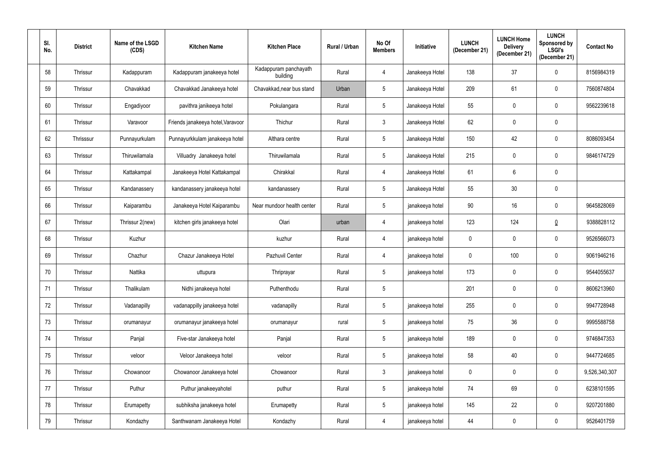| SI.<br>No. | <b>District</b> | Name of the LSGD<br>(CDS) | <b>Kitchen Name</b>               | <b>Kitchen Place</b>              | Rural / Urban | No Of<br><b>Members</b> | Initiative      | <b>LUNCH</b><br>(December 21) | <b>LUNCH Home</b><br><b>Delivery</b><br>(December 21) | <b>LUNCH</b><br>Sponsored by<br><b>LSGI's</b><br>(December 21) | <b>Contact No</b> |
|------------|-----------------|---------------------------|-----------------------------------|-----------------------------------|---------------|-------------------------|-----------------|-------------------------------|-------------------------------------------------------|----------------------------------------------------------------|-------------------|
| 58         | Thrissur        | Kadappuram                | Kadappuram janakeeya hotel        | Kadappuram panchayath<br>building | Rural         | 4                       | Janakeeya Hotel | 138                           | 37                                                    | $\mathbf 0$                                                    | 8156984319        |
| 59         | Thrissur        | Chavakkad                 | Chavakkad Janakeeya hotel         | Chavakkad, near bus stand         | Urban         | $5\phantom{.0}$         | Janakeeya Hotel | 209                           | 61                                                    | 0                                                              | 7560874804        |
| 60         | Thrissur        | Engadiyoor                | pavithra janikeeya hotel          | Pokulangara                       | Rural         | $5\phantom{.0}$         | Janakeeya Hotel | 55                            | 0                                                     | $\mathbf 0$                                                    | 9562239618        |
| 61         | Thrissur        | Varavoor                  | Friends janakeeya hotel, Varavoor | Thichur                           | Rural         | $\mathbf{3}$            | Janakeeya Hotel | 62                            | 0                                                     | 0                                                              |                   |
| 62         | Thrisssur       | Punnayurkulam             | Punnayurkkulam janakeeya hotel    | Althara centre                    | Rural         | $5\phantom{.0}$         | Janakeeya Hotel | 150                           | 42                                                    | $\mathbf 0$                                                    | 8086093454        |
| 63         | Thrissur        | Thiruwilamala             | Villuadry Janakeeya hotel         | Thiruwilamala                     | Rural         | $5\phantom{.0}$         | Janakeeya Hotel | 215                           | 0                                                     | $\mathbf 0$                                                    | 9846174729        |
| 64         | Thrissur        | Kattakampal               | Janakeeya Hotel Kattakampal       | Chirakkal                         | Rural         | 4                       | Janakeeya Hotel | 61                            | 6                                                     | $\mathbf 0$                                                    |                   |
| 65         | Thrissur        | Kandanassery              | kandanassery janakeeya hotel      | kandanassery                      | Rural         | $5\phantom{.0}$         | Janakeeya Hotel | 55                            | 30                                                    | 0                                                              |                   |
| 66         | Thrissur        | Kaiparambu                | Janakeeya Hotel Kaiparambu        | Near mundoor health center        | Rural         | $5\phantom{.0}$         | janakeeya hotel | 90                            | 16                                                    | $\mathbf 0$                                                    | 9645828069        |
| 67         | Thrissur        | Thrissur 2(new)           | kitchen girls janakeeya hotel     | Olari                             | urban         | 4                       | janakeeya hotel | 123                           | 124                                                   | $\underline{0}$                                                | 9388828112        |
| 68         | Thrissur        | Kuzhur                    |                                   | kuzhur                            | Rural         | 4                       | janakeeya hotel | $\mathbf 0$                   | 0                                                     | $\mathbf 0$                                                    | 9526566073        |
| 69         | Thrissur        | Chazhur                   | Chazur Janakeeya Hotel            | Pazhuvil Center                   | Rural         | 4                       | janakeeya hotel | $\mathbf 0$                   | 100                                                   | $\mathbf 0$                                                    | 9061946216        |
| 70         | Thrissur        | Nattika                   | uttupura                          | Thriprayar                        | Rural         | 5                       | janakeeya hotel | 173                           |                                                       | $\mathbf 0$                                                    | 9544055637        |
| 71         | Thrissur        | Thalikulam                | Nidhi janakeeya hotel             | Puthenthodu                       | Rural         | $5\,$                   |                 | 201                           | 0                                                     | $\mathbf 0$                                                    | 8606213960        |
| 72         | Thrissur        | Vadanapilly               | vadanappilly janakeeya hotel      | vadanapilly                       | Rural         | $5\,$                   | janakeeya hotel | 255                           | 0                                                     | $\mathbf 0$                                                    | 9947728948        |
| 73         | Thrissur        | orumanayur                | orumanayur janakeeya hotel        | orumanayur                        | rural         | $\sqrt{5}$              | janakeeya hotel | 75                            | 36                                                    | $\pmb{0}$                                                      | 9995588758        |
| 74         | Thrissur        | Panjal                    | Five-star Janakeeya hotel         | Panjal                            | Rural         | $\sqrt{5}$              | janakeeya hotel | 189                           | 0                                                     | $\pmb{0}$                                                      | 9746847353        |
| 75         | Thrissur        | veloor                    | Veloor Janakeeya hotel            | veloor                            | Rural         | $\sqrt{5}$              | janakeeya hotel | 58                            | 40                                                    | $\mathbf 0$                                                    | 9447724685        |
| 76         | Thrissur        | Chowanoor                 | Chowanoor Janakeeya hotel         | Chowanoor                         | Rural         | $\mathfrak{Z}$          | janakeeya hotel | $\mathbf 0$                   | $\mathbf 0$                                           | $\pmb{0}$                                                      | 9,526,340,307     |
| 77         | Thrissur        | Puthur                    | Puthur janakeeyahotel             | puthur                            | Rural         | $5\phantom{.0}$         | janakeeya hotel | 74                            | 69                                                    | $\mathbf 0$                                                    | 6238101595        |
| 78         | Thrissur        | Erumapetty                | subhiksha janakeeya hotel         | Erumapetty                        | Rural         | $5\phantom{.0}$         | janakeeya hotel | 145                           | 22                                                    | $\mathbf 0$                                                    | 9207201880        |
| 79         | Thrissur        | Kondazhy                  | Santhwanam Janakeeya Hotel        | Kondazhy                          | Rural         | $\overline{4}$          | janakeeya hotel | 44                            | 0                                                     | $\overline{0}$                                                 | 9526401759        |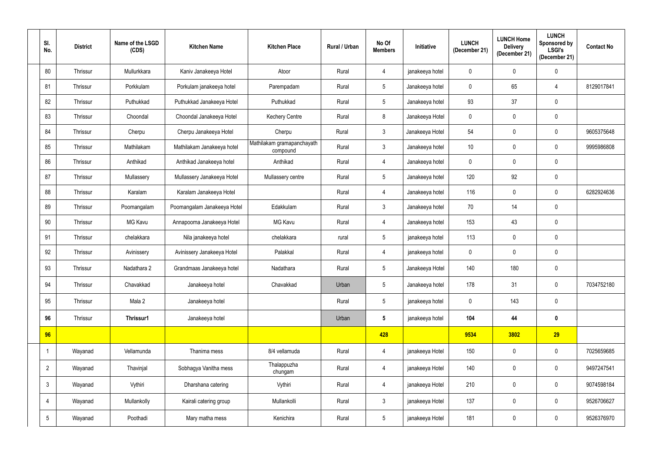| SI.<br>No.      | <b>District</b> | Name of the LSGD<br>(CDS) | <b>Kitchen Name</b>         | <b>Kitchen Place</b>                   | <b>Rural / Urban</b> | No Of<br><b>Members</b> | <b>Initiative</b> | <b>LUNCH</b><br>(December 21) | <b>LUNCH Home</b><br><b>Delivery</b><br>(December 21) | <b>LUNCH</b><br>Sponsored by<br>LSGI's<br>(December 21) | <b>Contact No</b> |
|-----------------|-----------------|---------------------------|-----------------------------|----------------------------------------|----------------------|-------------------------|-------------------|-------------------------------|-------------------------------------------------------|---------------------------------------------------------|-------------------|
| 80              | Thrissur        | Mullurkkara               | Kaniv Janakeeya Hotel       | Atoor                                  | Rural                | $\overline{4}$          | janakeeya hotel   | $\mathbf 0$                   | $\mathbf 0$                                           | $\mathbf 0$                                             |                   |
| 81              | Thrissur        | Porkkulam                 | Porkulam janakeeya hotel    | Parempadam                             | Rural                | $5\phantom{.0}$         | Janakeeya hotel   | $\mathbf 0$                   | 65                                                    | 4                                                       | 8129017841        |
| 82              | Thrissur        | Puthukkad                 | Puthukkad Janakeeya Hotel   | Puthukkad                              | Rural                | $5\phantom{.0}$         | Janakeeya hotel   | 93                            | 37                                                    | $\pmb{0}$                                               |                   |
| 83              | Thrissur        | Choondal                  | Choondal Janakeeya Hotel    | <b>Kechery Centre</b>                  | Rural                | 8                       | Janakeeya Hotel   | $\mathbf 0$                   | 0                                                     | $\pmb{0}$                                               |                   |
| 84              | Thrissur        | Cherpu                    | Cherpu Janakeeya Hotel      | Cherpu                                 | Rural                | $\mathbf{3}$            | Janakeeya Hotel   | 54                            | 0                                                     | $\mathbf 0$                                             | 9605375648        |
| 85              | Thrissur        | Mathilakam                | Mathilakam Janakeeya hotel  | Mathilakam gramapanchayath<br>compound | Rural                | $\mathbf{3}$            | Janakeeya hotel   | 10                            | $\mathbf 0$                                           | $\mathbf 0$                                             | 9995986808        |
| 86              | Thrissur        | Anthikad                  | Anthikad Janakeeya hotel    | Anthikad                               | Rural                | 4                       | Janakeeya hotel   | 0                             | 0                                                     | $\mathbf 0$                                             |                   |
| 87              | Thrissur        | Mullassery                | Mullassery Janakeeya Hotel  | Mullassery centre                      | Rural                | $5\phantom{.0}$         | Janakeeya hotel   | 120                           | 92                                                    | $\mathbf 0$                                             |                   |
| 88              | Thrissur        | Karalam                   | Karalam Janakeeya Hotel     |                                        | Rural                | $\overline{4}$          | Janakeeya hotel   | 116                           | $\mathbf 0$                                           | $\mathbf 0$                                             | 6282924636        |
| 89              | Thrissur        | Poomangalam               | Poomangalam Janakeeya Hotel | Edakkulam                              | Rural                | $\mathbf{3}$            | Janakeeya hotel   | 70                            | 14                                                    | $\mathbf 0$                                             |                   |
| 90              | Thrissur        | MG Kavu                   | Annapoorna Janakeeya Hotel  | <b>MG Kavu</b>                         | Rural                | $\overline{4}$          | Janakeeya hotel   | 153                           | 43                                                    | $\mathbf 0$                                             |                   |
| 91              | Thrissur        | chelakkara                | Nila janakeeya hotel        | chelakkara                             | rural                | $5\phantom{.0}$         | janakeeya hotel   | 113                           | $\mathbf 0$                                           | $\mathbf 0$                                             |                   |
| 92              | Thrissur        | Avinissery                | Avinissery Janakeeya Hotel  | Palakkal                               | Rural                | 4                       | janakeeya hotel   | $\mathbf 0$                   | 0                                                     | $\mathbf 0$                                             |                   |
| 93              | Thrissur        | Nadathara 2               | Grandmaas Janakeeya hotel   | Nadathara                              | Rural                | $5\overline{)}$         | Janakeeya Hotel   | 140                           | 180                                                   | $\mathbf 0$                                             |                   |
| 94              | Thrissur        | Chavakkad                 | Janakeeya hotel             | Chavakkad                              | Urban                | $5\phantom{.0}$         | Janakeeya hotel   | 178                           | 31                                                    | $\mathbf 0$                                             | 7034752180        |
| 95              | Thrissur        | Mala 2                    | Janakeeya hotel             |                                        | Rural                | $5\phantom{.0}$         | janakeeya hotel   | $\pmb{0}$                     | 143                                                   | $\mathbf 0$                                             |                   |
| 96              | Thrissur        | Thrissur1                 | Janakeeya hotel             |                                        | Urban                | $5\phantom{.0}$         | janakeeya hotel   | 104                           | 44                                                    | $\pmb{0}$                                               |                   |
| 96              |                 |                           |                             |                                        |                      | 428                     |                   | 9534                          | 3802                                                  | 29                                                      |                   |
|                 | Wayanad         | Vellamunda                | Thanima mess                | 8/4 vellamuda                          | Rural                | $\overline{4}$          | janakeeya Hotel   | 150                           | $\pmb{0}$                                             | $\mathbf 0$                                             | 7025659685        |
| $\overline{2}$  | Wayanad         | Thavinjal                 | Sobhagya Vanitha mess       | Thalappuzha<br>chungam                 | Rural                | $\overline{4}$          | janakeeya Hotel   | 140                           | $\mathbf 0$                                           | $\mathbf 0$                                             | 9497247541        |
| $\mathbf{3}$    | Wayanad         | Vythiri                   | Dharshana catering          | Vythiri                                | Rural                | $\overline{4}$          | janakeeya Hotel   | 210                           | $\mathbf 0$                                           | $\mathbf 0$                                             | 9074598184        |
| 4               | Wayanad         | Mullankolly               | Kairali catering group      | Mullankolli                            | Rural                | $\mathbf{3}$            | janakeeya Hotel   | 137                           | $\mathbf 0$                                           | $\mathbf 0$                                             | 9526706627        |
| $5\overline{)}$ | Wayanad         | Poothadi                  | Mary matha mess             | Kenichira                              | Rural                | $5\phantom{.0}$         | janakeeya Hotel   | 181                           | 0                                                     | $\mathbf 0$                                             | 9526376970        |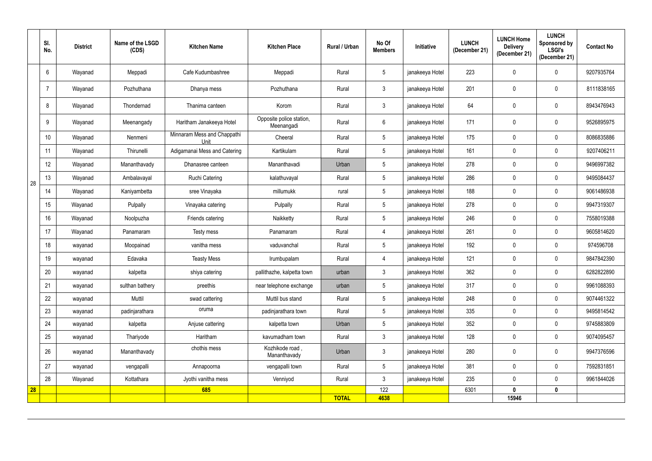|    | SI.<br>No. | <b>District</b> | Name of the LSGD<br>(CDS) | <b>Kitchen Name</b>                 | <b>Kitchen Place</b>                   | Rural / Urban | No Of<br><b>Members</b> | Initiative      | <b>LUNCH</b><br>(December 21) | <b>LUNCH Home</b><br><b>Delivery</b><br>(December 21) | <b>LUNCH</b><br>Sponsored by<br><b>LSGI's</b><br>(December 21) | <b>Contact No</b> |
|----|------------|-----------------|---------------------------|-------------------------------------|----------------------------------------|---------------|-------------------------|-----------------|-------------------------------|-------------------------------------------------------|----------------------------------------------------------------|-------------------|
|    | 6          | Wayanad         | Meppadi                   | Cafe Kudumbashree                   | Meppadi                                | Rural         | $\overline{5}$          | janakeeya Hotel | 223                           | $\mathbf 0$                                           | $\mathbf 0$                                                    | 9207935764        |
|    |            | Wayanad         | Pozhuthana                | Dhanya mess                         | Pozhuthana                             | Rural         | $\mathbf{3}$            | janakeeya Hotel | 201                           | 0                                                     | $\mathbf 0$                                                    | 8111838165        |
|    | 8          | Wayanad         | Thondernad                | Thanima canteen                     | Korom                                  | Rural         | $\mathbf{3}$            | janakeeya Hotel | 64                            | 0                                                     | $\mathbf 0$                                                    | 8943476943        |
|    | 9          | Wayanad         | Meenangady                | Haritham Janakeeya Hotel            | Opposite police station,<br>Meenangadi | Rural         | 6                       | janakeeya Hotel | 171                           | 0                                                     | $\mathbf 0$                                                    | 9526895975        |
|    | 10         | Wayanad         | Nenmeni                   | Minnaram Mess and Chappathi<br>Unit | Cheeral                                | Rural         | $5\phantom{.0}$         | janakeeya Hotel | 175                           | 0                                                     | $\mathbf 0$                                                    | 8086835886        |
|    | 11         | Wayanad         | Thirunelli                | Adigamanai Mess and Catering        | Kartikulam                             | Rural         | $5\phantom{.0}$         | janakeeya Hotel | 161                           | 0                                                     | $\mathbf 0$                                                    | 9207406211        |
|    | 12         | Wayanad         | Mananthavady              | Dhanasree canteen                   | Mananthavadi                           | Urban         | $5\phantom{.0}$         | janakeeya Hotel | 278                           | 0                                                     | $\mathbf 0$                                                    | 9496997382        |
| 28 | 13         | Wayanad         | Ambalavayal               | <b>Ruchi Catering</b>               | kalathuvayal                           | Rural         | $5\phantom{.0}$         | janakeeya Hotel | 286                           | 0                                                     | $\mathbf 0$                                                    | 9495084437        |
|    | 14         | Wayanad         | Kaniyambetta              | sree Vinayaka                       | millumukk                              | rural         | $5\phantom{.0}$         | janakeeya Hotel | 188                           | 0                                                     | $\mathbf 0$                                                    | 9061486938        |
|    | 15         | Wayanad         | Pulpally                  | Vinayaka catering                   | Pulpally                               | Rural         | $5\phantom{.0}$         | janakeeya Hotel | 278                           | 0                                                     | $\mathbf 0$                                                    | 9947319307        |
|    | 16         | Wayanad         | Noolpuzha                 | Friends catering                    | Naikketty                              | Rural         | $5\phantom{.0}$         | janakeeya Hotel | 246                           | 0                                                     | $\mathbf 0$                                                    | 7558019388        |
|    | 17         | Wayanad         | Panamaram                 | Testy mess                          | Panamaram                              | Rural         | 4                       | janakeeya Hotel | 261                           | 0                                                     | $\mathbf 0$                                                    | 9605814620        |
|    | 18         | wayanad         | Moopainad                 | vanitha mess                        | vaduvanchal                            | Rural         | $5\phantom{.0}$         | janakeeya Hotel | 192                           | 0                                                     | $\mathbf 0$                                                    | 974596708         |
|    | 19         | wayanad         | Edavaka                   | <b>Teasty Mess</b>                  | Irumbupalam                            | Rural         | $\overline{4}$          | janakeeya Hotel | 121                           | $\mathbf 0$                                           | $\mathbf 0$                                                    | 9847842390        |
|    | 20         | wayanad         | kalpetta                  | shiya catering                      | pallithazhe, kalpetta town             | urban         | 3                       | janakeeya Hotel | 362                           |                                                       | 0                                                              | 6282822890        |
|    | 21         | wayanad         | sulthan bathery           | preethis                            | near telephone exchange                | urban         | $5\phantom{.0}$         | janakeeya Hotel | 317                           | $\mathbf 0$                                           | $\mathbf 0$                                                    | 9961088393        |
|    | 22         | wayanad         | Muttil                    | swad cattering                      | Muttil bus stand                       | Rural         | $5\phantom{.0}$         | janakeeya Hotel | 248                           | $\mathbf 0$                                           | $\mathbf 0$                                                    | 9074461322        |
|    | 23         | wayanad         | padinjarathara            | oruma                               | padinjarathara town                    | Rural         | $5\phantom{.0}$         | janakeeya Hotel | 335                           | $\mathbf 0$                                           | $\mathbf 0$                                                    | 9495814542        |
|    | 24         | wayanad         | kalpetta                  | Anjuse cattering                    | kalpetta town                          | Urban         | $5\phantom{.0}$         | janakeeya Hotel | 352                           | $\mathbf 0$                                           | $\mathbf 0$                                                    | 9745883809        |
|    | 25         | wayanad         | Thariyode                 | Haritham                            | kavumadham town                        | Rural         | $\mathbf{3}$            | janakeeya Hotel | 128                           | $\mathbf 0$                                           | $\mathbf 0$                                                    | 9074095457        |
|    | 26         | wayanad         | Mananthavady              | chothis mess                        | Kozhikode road,<br>Mananthavady        | Urban         | $\mathbf{3}$            | janakeeya Hotel | 280                           | 0                                                     | $\mathbf 0$                                                    | 9947376596        |
|    | 27         | wayanad         | vengapalli                | Annapoorna                          | vengapalli town                        | Rural         | $5\phantom{.0}$         | janakeeya Hotel | 381                           | $\mathbf 0$                                           | $\mathbf 0$                                                    | 7592831851        |
|    | 28         | Wayanad         | Kottathara                | Jyothi vanitha mess                 | Venniyod                               | Rural         | 3                       | janakeeya Hotel | 235                           | $\mathbf 0$                                           | $\mathbf 0$                                                    | 9961844026        |
| 28 |            |                 |                           | 685                                 |                                        | <b>TOTAL</b>  | 122<br>4638             |                 | 6301                          | 0<br>15946                                            | $\mathbf 0$                                                    |                   |
|    |            |                 |                           |                                     |                                        |               |                         |                 |                               |                                                       |                                                                |                   |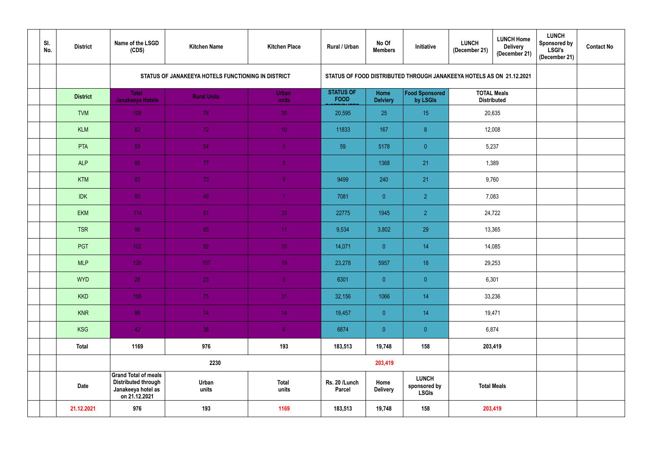| SI.<br>No. | <b>District</b> | Name of the LSGD<br>(CDS)                                                                        | <b>Kitchen Name</b>                                | <b>Kitchen Place</b>  | Rural / Urban                   | No Of<br><b>Members</b>                                              | Initiative                                   | <b>LUNCH</b><br>(December 21) | <b>LUNCH Home</b><br><b>Delivery</b><br>(December 21) | <b>LUNCH</b><br><b>Sponsored by</b><br><b>LSGI's</b><br>(December 21) | <b>Contact No</b> |  |  |
|------------|-----------------|--------------------------------------------------------------------------------------------------|----------------------------------------------------|-----------------------|---------------------------------|----------------------------------------------------------------------|----------------------------------------------|-------------------------------|-------------------------------------------------------|-----------------------------------------------------------------------|-------------------|--|--|
|            |                 |                                                                                                  | STATUS OF JANAKEEYA HOTELS FUNCTIONING IN DISTRICT |                       |                                 | STATUS OF FOOD DISTRIBUTED THROUGH JANAKEEYA HOTELS AS ON 21.12.2021 |                                              |                               |                                                       |                                                                       |                   |  |  |
|            | <b>District</b> | <b>Total</b><br>Janakeeya Hotels                                                                 | <b>Rural Units</b>                                 | <b>Urban</b><br>units | <b>STATUS OF</b><br><b>FOOD</b> | <b>Home</b><br><b>Delviery</b>                                       | <b>Food Sponsored</b><br>by LSGIs            | <b>TOTAL Meals</b>            | <b>Distributed</b>                                    |                                                                       |                   |  |  |
|            | <b>TVM</b>      | 108                                                                                              | 78                                                 | 30                    | 20,595                          | 25                                                                   | 15                                           |                               | 20,635                                                |                                                                       |                   |  |  |
|            | <b>KLM</b>      | 82                                                                                               | 72                                                 | 10 <sub>1</sub>       | 11833                           | 167                                                                  | 8 <sup>°</sup>                               | 12,008                        |                                                       |                                                                       |                   |  |  |
|            | PTA             | 59                                                                                               | 54                                                 | 5 <sub>1</sub>        | 59                              | 5178                                                                 | $\overline{0}$                               | 5,237                         |                                                       |                                                                       |                   |  |  |
|            | <b>ALP</b>      | 86                                                                                               | 77                                                 | 9 <sup>°</sup>        |                                 | 1368                                                                 | 21                                           | 1,389                         |                                                       |                                                                       |                   |  |  |
|            | <b>KTM</b>      | 82                                                                                               | 73                                                 | 9 <sub>1</sub>        | 9499                            | 240                                                                  | 21                                           | 9,760                         |                                                       |                                                                       |                   |  |  |
|            | <b>IDK</b>      | 50 <sub>1</sub>                                                                                  | 49                                                 | $\overline{1}$        | 7081                            | $\overline{0}$                                                       | $\overline{2}$                               | 7,083                         |                                                       |                                                                       |                   |  |  |
|            | <b>EKM</b>      | 114                                                                                              | 81                                                 | 33                    | 22775                           | 1945                                                                 | 2 <sup>1</sup>                               | 24,722                        |                                                       |                                                                       |                   |  |  |
|            | <b>TSR</b>      | 96                                                                                               | 85                                                 | 11 <sub>1</sub>       | 9,534                           | 3,802                                                                | 29                                           | 13,365                        |                                                       |                                                                       |                   |  |  |
|            | PGT             | 102                                                                                              | 92                                                 | 10 <sup>°</sup>       | 14,071                          | $\overline{0}$                                                       | 14                                           |                               | 14,085                                                |                                                                       |                   |  |  |
|            | <b>MLP</b>      | 126                                                                                              | 107                                                | 19                    | 23,278                          | 5957                                                                 | 18                                           |                               | 29,253                                                |                                                                       |                   |  |  |
|            | <b>WYD</b>      | 28                                                                                               | 23                                                 | 5 <sub>1</sub>        | 6301                            | $\overline{0}$                                                       | $\overline{0}$                               | 6,301                         |                                                       |                                                                       |                   |  |  |
|            | <b>KKD</b>      | 106                                                                                              | 75                                                 | 31 <sup>°</sup>       | 32,156                          | 1066                                                                 | 14                                           |                               | 33,236                                                |                                                                       |                   |  |  |
|            | <b>KNR</b>      | 88                                                                                               | 74                                                 | 14 <sub>1</sub>       | 19,457                          | $\overline{0}$                                                       | 14                                           |                               | 19,471                                                |                                                                       |                   |  |  |
|            | <b>KSG</b>      | 42                                                                                               | 36                                                 | 6 <sub>1</sub>        | 6874                            | $\overline{0}$                                                       | $\overline{0}$                               | 6,874                         |                                                       |                                                                       |                   |  |  |
|            | <b>Total</b>    | 1169                                                                                             | 976                                                | 193                   | 183,513                         | 19,748                                                               | 158                                          |                               | 203,419                                               |                                                                       |                   |  |  |
|            |                 |                                                                                                  | 2230                                               |                       |                                 | 203,419                                                              |                                              |                               |                                                       |                                                                       |                   |  |  |
|            | <b>Date</b>     | <b>Grand Total of meals</b><br><b>Distributed through</b><br>Janakeeya hotel as<br>on 21.12.2021 | Urban<br>units                                     | <b>Total</b><br>units | Rs. 20 /Lunch<br><b>Parcel</b>  | Home<br><b>Delivery</b>                                              | <b>LUNCH</b><br>sponsored by<br><b>LSGIs</b> | <b>Total Meals</b>            |                                                       |                                                                       |                   |  |  |
|            | 21.12.2021      | 976                                                                                              | 193                                                | 1169                  | 183,513                         | 19,748                                                               | 158                                          |                               | 203,419                                               |                                                                       |                   |  |  |